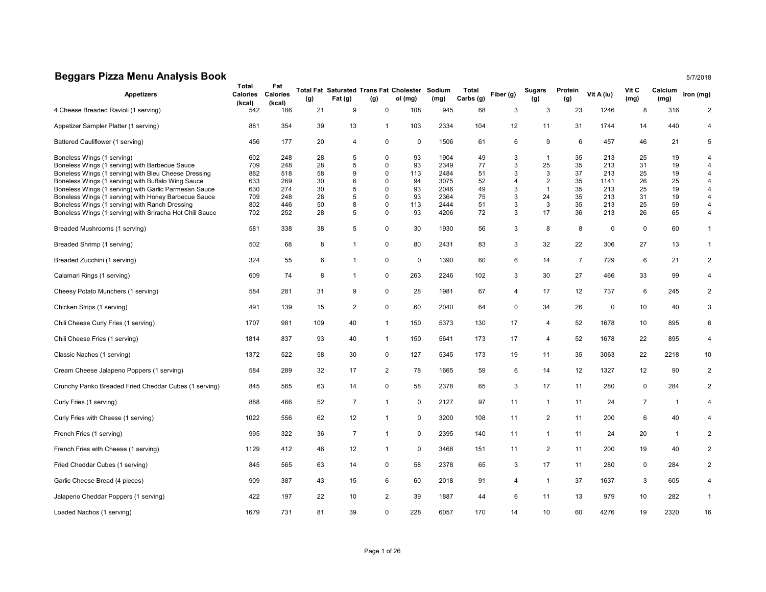## Beggars Pizza Menu Analysis Book 5/7/2018

| <b>Appetizers</b>                                                            | Total<br>Calories<br>(kcal) | Fat<br>Calories<br>(kcal) | (g)      | <b>Total Fat Saturated Trans Fat Cholester</b><br>Fat (g) | (g)                     | ol (mg)     | Sodium<br>(mg) | Total<br>Carbs (g) | Fiber (g) | Sugars<br>(g)      | Protein<br>(g) | Vit A (iu)  | Vit C<br>(mg)  | Calcium<br>(mg) | Iron (mg)                        |
|------------------------------------------------------------------------------|-----------------------------|---------------------------|----------|-----------------------------------------------------------|-------------------------|-------------|----------------|--------------------|-----------|--------------------|----------------|-------------|----------------|-----------------|----------------------------------|
| 4 Cheese Breaded Ravioli (1 serving)                                         | 542                         | 186                       | 21       | 9                                                         | $\mathbf 0$             | 108         | 945            | 68                 | 3         | 3                  | 23             | 1246        | 8              | 316             | $\overline{2}$                   |
| Appetizer Sampler Platter (1 serving)                                        | 881                         | 354                       | 39       | 13                                                        | -1                      | 103         | 2334           | 104                | 12        | 11                 | 31             | 1744        | 14             | 440             | 4                                |
| Battered Cauliflower (1 serving)                                             | 456                         | 177                       | 20       | $\overline{4}$                                            | 0                       | 0           | 1506           | 61                 | 6         | 9                  | 6              | 457         | 46             | 21              | 5                                |
| Boneless Wings (1 serving)<br>Boneless Wings (1 serving) with Barbecue Sauce | 602<br>709                  | 248<br>248                | 28<br>28 | 5<br>5                                                    | $\Omega$<br>$\mathbf 0$ | 93<br>93    | 1904<br>2349   | 49<br>77           | 3<br>3    | $\mathbf{1}$<br>25 | 35<br>35       | 213<br>213  | 25<br>31       | 19<br>19        | $\overline{4}$<br>$\overline{4}$ |
| Boneless Wings (1 serving) with Bleu Cheese Dressing                         | 882                         | 518                       | 58       | 9                                                         | $\mathbf 0$             | 113         | 2484           | 51                 | 3         | 3                  | 37             | 213         | 25             | 19              | $\overline{4}$                   |
| Boneless Wings (1 serving) with Buffalo Wing Sauce                           | 633                         | 269                       | 30       | 6                                                         | $\Omega$                | 94          | 3075           | 52                 | 4         | $\overline{c}$     | 35             | 1141        | 26             | 25              | $\overline{4}$                   |
| Boneless Wings (1 serving) with Garlic Parmesan Sauce                        | 630                         | 274                       | 30       | 5                                                         | $\mathbf 0$             | 93          | 2046           | 49                 | 3         | $\mathbf{1}$       | 35             | 213         | 25             | 19              | $\overline{4}$                   |
| Boneless Wings (1 serving) with Honey Barbecue Sauce                         | 709                         | 248                       | 28       | 5                                                         | $\Omega$                | 93          | 2364           | 75                 | 3         | 24                 | 35             | 213         | 31             | 19              | $\overline{4}$                   |
| Boneless Wings (1 serving) with Ranch Dressing                               | 802                         | 446                       | 50       | 8                                                         | 0                       | 113         | 2444           | 51                 | 3         | 3                  | 35             | 213         | 25             | 59              | 4                                |
| Boneless Wings (1 serving) with Sriracha Hot Chili Sauce                     | 702                         | 252                       | 28       | 5                                                         | $\mathbf 0$             | 93          | 4206           | 72                 | 3         | 17                 | 36             | 213         | 26             | 65              | 4                                |
| Breaded Mushrooms (1 serving)                                                | 581                         | 338                       | 38       | 5                                                         | $\mathbf 0$             | 30          | 1930           | 56                 | 3         | 8                  | 8              | $\mathbf 0$ | $\mathbf 0$    | 60              | $\mathbf{1}$                     |
| Breaded Shrimp (1 serving)                                                   | 502                         | 68                        | 8        | 1                                                         | $\mathbf 0$             | 80          | 2431           | 83                 | 3         | 32                 | 22             | 306         | 27             | 13              | $\mathbf{1}$                     |
| Breaded Zucchini (1 serving)                                                 | 324                         | 55                        | 6        | $\mathbf{1}$                                              | 0                       | 0           | 1390           | 60                 | 6         | 14                 | $\overline{7}$ | 729         | 6              | 21              | $\overline{2}$                   |
| Calamari Rings (1 serving)                                                   | 609                         | 74                        | 8        | $\mathbf{1}$                                              | $\mathbf 0$             | 263         | 2246           | 102                | 3         | 30                 | 27             | 466         | 33             | 99              | 4                                |
| Cheesy Potato Munchers (1 serving)                                           | 584                         | 281                       | 31       | 9                                                         | $\mathbf 0$             | 28          | 1981           | 67                 | 4         | 17                 | 12             | 737         | 6              | 245             | $\overline{2}$                   |
| Chicken Strips (1 serving)                                                   | 491                         | 139                       | 15       | 2                                                         | $\mathbf 0$             | 60          | 2040           | 64                 | 0         | 34                 | 26             | $\mathbf 0$ | 10             | 40              | 3                                |
| Chili Cheese Curly Fries (1 serving)                                         | 1707                        | 981                       | 109      | 40                                                        | $\mathbf{1}$            | 150         | 5373           | 130                | 17        | 4                  | 52             | 1678        | 10             | 895             | 6                                |
| Chili Cheese Fries (1 serving)                                               | 1814                        | 837                       | 93       | 40                                                        | $\mathbf{1}$            | 150         | 5641           | 173                | 17        | 4                  | 52             | 1678        | 22             | 895             | $\overline{4}$                   |
| Classic Nachos (1 serving)                                                   | 1372                        | 522                       | 58       | 30                                                        | $\mathbf 0$             | 127         | 5345           | 173                | 19        | 11                 | 35             | 3063        | 22             | 2218            | 10                               |
| Cream Cheese Jalapeno Poppers (1 serving)                                    | 584                         | 289                       | 32       | 17                                                        | $\overline{2}$          | 78          | 1665           | 59                 | 6         | 14                 | 12             | 1327        | 12             | 90              | $\overline{2}$                   |
| Crunchy Panko Breaded Fried Cheddar Cubes (1 serving)                        | 845                         | 565                       | 63       | 14                                                        | $\mathbf 0$             | 58          | 2378           | 65                 | 3         | 17                 | 11             | 280         | $\mathbf 0$    | 284             | $\overline{2}$                   |
| Curly Fries (1 serving)                                                      | 888                         | 466                       | 52       | $\overline{7}$                                            | $\mathbf{1}$            | 0           | 2127           | 97                 | 11        | $\mathbf{1}$       | 11             | 24          | $\overline{7}$ | $\overline{1}$  | 4                                |
| Curly Fries with Cheese (1 serving)                                          | 1022                        | 556                       | 62       | 12                                                        | -1                      | $\mathbf 0$ | 3200           | 108                | 11        | $\overline{2}$     | 11             | 200         | 6              | 40              | 4                                |
| French Fries (1 serving)                                                     | 995                         | 322                       | 36       | $\overline{7}$                                            | $\mathbf 1$             | $\mathbf 0$ | 2395           | 140                | 11        | $\mathbf{1}$       | 11             | 24          | 20             | $\mathbf{1}$    | $\overline{2}$                   |
| French Fries with Cheese (1 serving)                                         | 1129                        | 412                       | 46       | 12                                                        | $\mathbf{1}$            | $\mathbf 0$ | 3468           | 151                | 11        | $\overline{2}$     | 11             | 200         | 19             | 40              | $\overline{2}$                   |
| Fried Cheddar Cubes (1 serving)                                              | 845                         | 565                       | 63       | 14                                                        | $\mathbf 0$             | 58          | 2378           | 65                 | 3         | 17                 | 11             | 280         | 0              | 284             | $\overline{2}$                   |
| Garlic Cheese Bread (4 pieces)                                               | 909                         | 387                       | 43       | 15                                                        | 6                       | 60          | 2018           | 91                 | 4         | $\mathbf{1}$       | 37             | 1637        | 3              | 605             | 4                                |
| Jalapeno Cheddar Poppers (1 serving)                                         | 422                         | 197                       | 22       | 10                                                        | 2                       | 39          | 1887           | 44                 | 6         | 11                 | 13             | 979         | 10             | 282             | $\mathbf{1}$                     |
| Loaded Nachos (1 serving)                                                    | 1679                        | 731                       | 81       | 39                                                        | $\Omega$                | 228         | 6057           | 170                | 14        | 10                 | 60             | 4276        | 19             | 2320            | 16                               |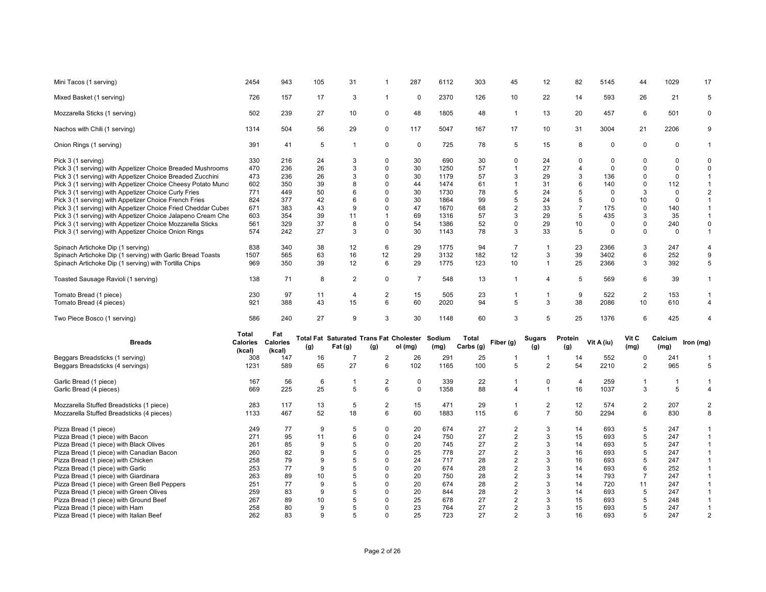| Mini Tacos (1 serving)                                                    | 2454       | 943             | 105               | 31                                             | -1                      | 287            | 6112       | 303       | 45                  | 12                | 82             | 5145        | 44             | 1029        | 17                               |
|---------------------------------------------------------------------------|------------|-----------------|-------------------|------------------------------------------------|-------------------------|----------------|------------|-----------|---------------------|-------------------|----------------|-------------|----------------|-------------|----------------------------------|
| Mixed Basket (1 serving)                                                  | 726        | 157             | 17                | 3                                              | $\mathbf{1}$            | $\mathbf 0$    | 2370       | 126       | 10                  | 22                | 14             | 593         | 26             | 21          | 5                                |
| Mozzarella Sticks (1 serving)                                             | 502        | 239             | 27                | 10                                             | 0                       | 48             | 1805       | 48        | $\mathbf{1}$        | 13                | 20             | 457         | 6              | 501         | $\mathsf 0$                      |
| Nachos with Chili (1 serving)                                             | 1314       | 504             | 56                | 29                                             | 0                       | 117            | 5047       | 167       | 17                  | 10                | 31             | 3004        | 21             | 2206        | 9                                |
| Onion Rings (1 serving)                                                   | 391        | 41              | $\sqrt{5}$        | $\mathbf{1}$                                   | $\mathbf 0$             | 0              | 725        | 78        | 5                   | 15                | 8              | $\mathsf 0$ | $\mathbf 0$    | 0           | $\mathbf{1}$                     |
| Pick 3 (1 serving)                                                        | 330        | 216             | 24                | 3                                              | $\Omega$                | 30             | 690        | 30        | $\mathbf 0$         | 24                | $\Omega$       | $\Omega$    | $\Omega$       | $\Omega$    | $\mathbf 0$                      |
| Pick 3 (1 serving) with Appetizer Choice Breaded Mushrooms                | 470        | 236             | 26                | 3                                              | $\Omega$                | 30             | 1250       | 57        | $\mathbf{1}$        | 27                | 4              | $\mathbf 0$ | $\Omega$       | $\Omega$    | 0                                |
| Pick 3 (1 serving) with Appetizer Choice Breaded Zucchini                 | 473        | 236             | 26                | 3                                              | $\mathbf 0$             | 30             | 1179       | 57        | 3                   | 29                | 3              | 136         | $\Omega$       | $\Omega$    | $\mathbf{1}$                     |
| Pick 3 (1 serving) with Appetizer Choice Cheesy Potato Munc               | 602        | 350             | 39                | 8                                              | $\mathbf 0$             | 44             | 1474       | 61        | $\mathbf{1}$        | 31                | 6              | 140         | $\mathbf 0$    | 112         | $\mathbf{1}$                     |
| Pick 3 (1 serving) with Appetizer Choice Curly Fries                      | 771        | 449             | 50                | 6                                              | $\Omega$                | 30             | 1730       | 78        | 5                   | 24                | 5              | $\Omega$    | 3              | $\mathbf 0$ | $\overline{2}$                   |
| Pick 3 (1 serving) with Appetizer Choice French Fries                     | 824        | 377             | 42                | 6                                              | $\Omega$                | 30             | 1864       | 99        | 5                   | 24                | 5              | $\mathbf 0$ | 10             | $\mathbf 0$ | $\mathbf{1}$                     |
| Pick 3 (1 serving) with Appetizer Choice Fried Cheddar Cubes              | 671        | 383             | 43                | 9                                              | 0                       | 47             | 1670       | 68        | 2                   | 33                | $\overline{7}$ | 175         | $\Omega$       | 140         | $\mathbf{1}$                     |
|                                                                           | 603        | 354             | 39                | 11                                             | $\mathbf{1}$            | 69             | 1316       | 57        | 3                   | 29                | 5              | 435         | 3              | 35          | $\mathbf{1}$                     |
| Pick 3 (1 serving) with Appetizer Choice Jalapeno Cream Che               |            |                 |                   |                                                |                         |                |            |           |                     |                   |                |             |                |             |                                  |
| Pick 3 (1 serving) with Appetizer Choice Mozzarella Sticks                | 561        | 329             | 37                | 8                                              | $\Omega$                | 54             | 1386       | 52        | 0                   | 29                | 10             | $\mathbf 0$ | $\Omega$       | 240         | $\mathbf 0$                      |
| Pick 3 (1 serving) with Appetizer Choice Onion Rings                      | 574        | 242             | 27                | 3                                              | $\mathbf 0$             | 30             | 1143       | 78        | 3                   | 33                | 5              | $\mathbf 0$ | $\Omega$       | $\mathbf 0$ | $\mathbf{1}$                     |
| Spinach Artichoke Dip (1 serving)                                         | 838        | 340             | 38                | 12                                             | 6                       | 29             | 1775       | 94        | $\overline{7}$      | $\overline{1}$    | 23             | 2366        | 3              | 247         | $\overline{4}$                   |
| Spinach Artichoke Dip (1 serving) with Garlic Bread Toasts                | 1507       | 565             | 63                | 16                                             | 12                      | 29             | 3132       | 182       | 12                  | 3                 | 39             | 3402        | 6              | 252         | 9                                |
| Spinach Artichoke Dip (1 serving) with Tortilla Chips                     | 969        | 350             | 39                | 12                                             | 6                       | 29             | 1775       | 123       | 10                  | $\overline{1}$    | 25             | 2366        | 3              | 392         | 5                                |
|                                                                           |            |                 |                   |                                                |                         |                |            |           |                     |                   |                |             |                |             |                                  |
| Toasted Sausage Ravioli (1 serving)                                       | 138        | 71              | 8                 | 2                                              | 0                       | $\overline{7}$ | 548        | 13        | $\mathbf{1}$        | $\overline{4}$    | 5              | 569         | 6              | 39          | $\mathbf{1}$                     |
| Tomato Bread (1 piece)                                                    | 230        | 97              | 11                | 4                                              | 2                       | 15             | 505        | 23        | -1                  | $\mathbf{1}$      | 9              | 522         | $\overline{c}$ | 153         | $\mathbf{1}$                     |
| Tomato Bread (4 pieces)                                                   | 921        | 388             | 43                | 15                                             | 6                       | 60             | 2020       | 94        | 5                   | 3                 | 38             | 2086        | 10             | 610         | $\overline{4}$                   |
|                                                                           |            |                 |                   |                                                |                         |                |            |           |                     |                   |                |             |                |             |                                  |
| Two Piece Bosco (1 serving)                                               | 586        | 240             | 27                | 9                                              | 3                       | 30             | 1148       | 60        | 3                   | 5                 | 25             | 1376        | 6              | 425         | $\Delta$                         |
|                                                                           | Total      | Fat             |                   |                                                |                         |                |            |           |                     |                   |                |             |                |             |                                  |
| <b>Breads</b>                                                             | Calories   | <b>Calories</b> |                   | <b>Total Fat Saturated Trans Fat Cholester</b> |                         |                | Sodium     | Total     | Fiber (g)           | Sugars            | Protein        | Vit A (iu)  | Vit C          | Calcium     | Iron (mg)                        |
|                                                                           | (kcal)     | (kcal)          | (g)               | Fat (g)                                        | (g)                     | ol (mg)        | (mg)       | Carbs (g) |                     | (g)               | (g)            |             | (mg)           | (mg)        |                                  |
|                                                                           | 308        | 147             | 16                |                                                |                         |                |            |           |                     |                   |                |             |                |             | $\mathbf{1}$                     |
| Beggars Breadsticks (1 serving)                                           |            |                 |                   |                                                |                         |                |            |           |                     |                   |                |             |                |             |                                  |
| Beggars Breadsticks (4 servings)                                          |            |                 |                   | $\overline{7}$                                 | $\overline{\mathbf{c}}$ | 26             | 291        | 25        | $\mathbf{1}$        | $\overline{1}$    | 14             | 552         | 0              | 241         |                                  |
|                                                                           | 1231       | 589             | 65                | 27                                             | 6                       | 102            | 1165       | 100       | 5                   | $\overline{2}$    | 54             | 2210        | $\overline{2}$ | 965         | 5                                |
|                                                                           |            |                 |                   | -1                                             |                         |                |            |           | -1                  |                   |                |             | -1             | -1          | -1                               |
| Garlic Bread (1 piece)                                                    | 167        | 56              | 6                 |                                                | 2                       | 0              | 339        | 22        |                     | 0                 | 4              | 259         |                |             |                                  |
| Garlic Bread (4 pieces)                                                   | 669        | 225             | 25                | 5                                              | 6                       | $\Omega$       | 1358       | 88        | 4                   | $\mathbf{1}$      | 16             | 1037        | 3              | 5           | $\overline{4}$                   |
| Mozzarella Stuffed Breadsticks (1 piece)                                  | 283        | 117             | 13                | 5                                              | 2                       | 15             | 471        | 29        | $\mathbf{1}$        | $\overline{2}$    | 12             | 574         | 2              | 207         | $\overline{2}$                   |
| Mozzarella Stuffed Breadsticks (4 pieces)                                 | 1133       | 467             | 52                | 18                                             | 6                       | 60             | 1883       | 115       | 6                   | $\overline{7}$    | 50             | 2294        | 6              | 830         | 8                                |
|                                                                           |            |                 |                   |                                                |                         |                |            |           |                     |                   |                |             |                |             |                                  |
| Pizza Bread (1 piece)                                                     | 249        | 77              | 9                 | 5                                              | 0                       | 20             | 674        | 27        | $\overline{2}$      | 3                 | 14             | 693         | 5              | 247         | $\mathbf{1}$                     |
| Pizza Bread (1 piece) with Bacon                                          | 271        | 95              | 11                | 6                                              | $\mathbf 0$             | 24             | 750        | 27        | $\overline{c}$      | 3                 | 15             | 693         | 5              | 247         | $\mathbf{1}$                     |
| Pizza Bread (1 piece) with Black Olives                                   | 261        | 85              | 9                 | 5                                              | $\Omega$                | 20             | 745        | 27        | $\overline{2}$      | 3                 | 14             | 693         | 5              | 247         | $\mathbf{1}$                     |
| Pizza Bread (1 piece) with Canadian Bacon                                 | 260        | 82              | 9                 | 5                                              | $\Omega$                | 25             | 778        | 27        | $\overline{c}$      | 3                 | 16             | 693         | 5              | 247         | $\mathbf{1}$                     |
| Pizza Bread (1 piece) with Chicken                                        | 258        | 79              | 9                 | 5                                              | $\Omega$                | 24             | 717        | 28        | $\overline{2}$      | 3                 | 16             | 693         | 5              | 247         | $\mathbf{1}$                     |
| Pizza Bread (1 piece) with Garlic                                         | 253        | 77              | 9                 | 5                                              | 0                       | 20             | 674        | 28        | $\overline{c}$      | 3                 | 14             | 693         | 6              | 252         | $\mathbf{1}$                     |
| Pizza Bread (1 piece) with Giardinara                                     | 263        | 89              | 10                | 5                                              | $\Omega$                | 20             | 750        | 28        | $\overline{2}$      | 3                 | 14             | 793         | $\overline{7}$ | 247         | $\mathbf{1}$                     |
|                                                                           |            |                 | 9                 | 5                                              | $\Omega$                |                | 674        |           |                     | 3                 |                | 720         | 11             |             | $\mathbf{1}$                     |
| Pizza Bread (1 piece) with Green Bell Peppers                             | 251        | 77              |                   | 5                                              | $\Omega$                | 20             |            | 28        | $\sqrt{2}$          |                   | 14             |             |                | 247         |                                  |
| Pizza Bread (1 piece) with Green Olives                                   | 259        | 83              | 9                 |                                                |                         | 20             | 844        | 28        | 2                   | 3                 | 14             | 693         | 5              | 247         | $\mathbf{1}$                     |
| Pizza Bread (1 piece) with Ground Beef                                    | 267        | 89              | 10                | 5                                              | $\Omega$                | 25             | 678        | 27        | $\overline{c}$      | 3                 | 15             | 693         | 5              | 248         | $\mathbf{1}$                     |
| Pizza Bread (1 piece) with Ham<br>Pizza Bread (1 piece) with Italian Beef | 258<br>262 | 80<br>83        | 9<br>$\mathbf{Q}$ | 5<br>5                                         | $\mathbf 0$<br>$\Omega$ | 23<br>25       | 764<br>723 | 27<br>27  | $\overline{2}$<br>2 | 3<br>$\mathbf{B}$ | 15<br>16       | 693<br>693  | 5<br>5         | 247<br>247  | $\overline{1}$<br>$\overline{2}$ |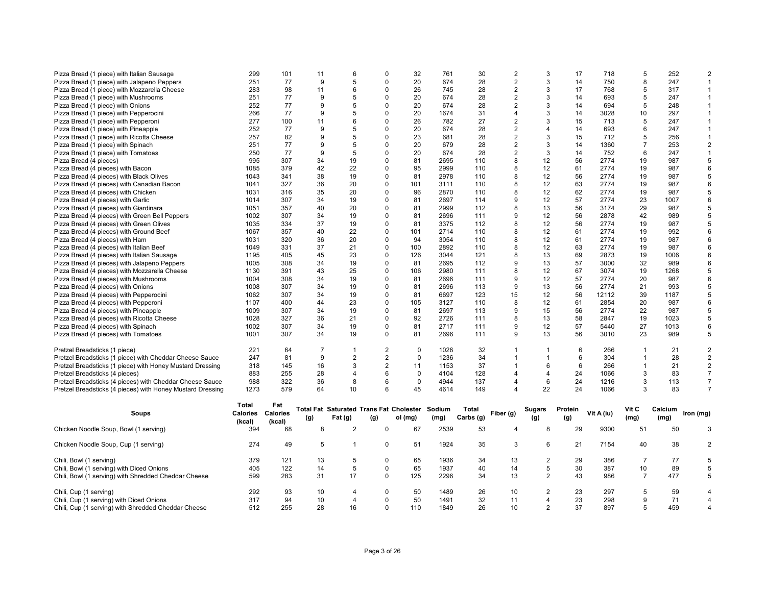| Pizza Bread (1 piece) with Italian Sausage                 | 299      | 101             | 11               | 6                                              | $\Omega$                | 32           | 761    | 30        | $\overline{2}$ | 3              | 17      | 718        | 5              | 252     | $\overline{2}$ |
|------------------------------------------------------------|----------|-----------------|------------------|------------------------------------------------|-------------------------|--------------|--------|-----------|----------------|----------------|---------|------------|----------------|---------|----------------|
| Pizza Bread (1 piece) with Jalapeno Peppers                | 251      | 77              | 9                | 5                                              | $\Omega$                | 20           | 674    | 28        | $\overline{2}$ | 3              | 14      | 750        | 8              | 247     | $\mathbf{1}$   |
| Pizza Bread (1 piece) with Mozzarella Cheese               | 283      | 98              | 11               | 6                                              | $\Omega$                | 26           | 745    | 28        | 2              | 3              | 17      | 768        | 5              | 317     | $\mathbf{1}$   |
| Pizza Bread (1 piece) with Mushrooms                       | 251      | 77              | 9                | 5                                              | $\Omega$                | 20           | 674    | 28        | $\overline{2}$ | 3              | 14      | 693        | 5              | 247     | $\mathbf{1}$   |
| Pizza Bread (1 piece) with Onions                          | 252      | 77              | $\boldsymbol{9}$ | 5                                              | $\Omega$                | 20           | 674    | 28        | $\overline{2}$ | 3              | 14      | 694        | 5              | 248     | $\mathbf{1}$   |
| Pizza Bread (1 piece) with Pepperocini                     | 266      | 77              | 9                | 5                                              | $\Omega$                | 20           | 1674   | 31        | 4              | 3              | 14      | 3028       | 10             | 297     | $\mathbf{1}$   |
| Pizza Bread (1 piece) with Pepperoni                       | 277      | 100             | 11               | 6                                              | $\Omega$                | 26           | 782    | 27        | $\overline{2}$ | 3              | 15      | 713        | 5              | 247     | $\mathbf{1}$   |
| Pizza Bread (1 piece) with Pineapple                       | 252      | 77              | 9                | 5                                              | $\Omega$                | 20           | 674    | 28        | $\overline{2}$ | $\overline{4}$ | 14      | 693        | 6              | 247     | $\mathbf{1}$   |
| Pizza Bread (1 piece) with Ricotta Cheese                  | 257      | 82              | 9                | 5                                              | $\Omega$                | 23           | 681    | 28        | $\overline{2}$ | 3              | 15      | 712        | 5              | 256     | $\mathbf{1}$   |
| Pizza Bread (1 piece) with Spinach                         | 251      | 77              | 9                | 5                                              | $\Omega$                | 20           | 679    | 28        | $\overline{2}$ | 3              | 14      | 1360       | $\overline{7}$ | 253     | $\overline{2}$ |
|                                                            | 250      | 77              | 9                | 5                                              | $\Omega$                | 20           | 674    | 28        |                | 3              |         | 752        | 6              | 247     | $\mathbf{1}$   |
| Pizza Bread (1 piece) with Tomatoes                        |          |                 |                  |                                                |                         |              |        |           | $\overline{c}$ |                | 14      |            |                |         |                |
| Pizza Bread (4 pieces)                                     | 995      | 307             | 34               | 19                                             | $\Omega$                | 81           | 2695   | 110       | 8              | 12             | 56      | 2774       | 19             | 987     | 5              |
| Pizza Bread (4 pieces) with Bacon                          | 1085     | 379             | 42               | 22                                             | $\Omega$                | 95           | 2999   | 110       | 8              | 12             | 61      | 2774       | 19             | 987     | 6              |
| Pizza Bread (4 pieces) with Black Olives                   | 1043     | 341             | 38               | 19                                             | $\Omega$                | 81           | 2978   | 110       | 8              | 12             | 56      | 2774       | 19             | 987     | 5              |
| Pizza Bread (4 pieces) with Canadian Bacon                 | 1041     | 327             | 36               | 20                                             | $\Omega$                | 101          | 3111   | 110       | 8              | 12             | 63      | 2774       | 19             | 987     | 6              |
| Pizza Bread (4 pieces) with Chicken                        | 1031     | 316             | 35               | 20                                             | $\Omega$                | 96           | 2870   | 110       | 8              | 12             | 62      | 2774       | 19             | 987     | 5              |
| Pizza Bread (4 pieces) with Garlic                         | 1014     | 307             | 34               | 19                                             | $\Omega$                | 81           | 2697   | 114       | 9              | 12             | 57      | 2774       | 23             | 1007    | 6              |
| Pizza Bread (4 pieces) with Giardinara                     | 1051     | 357             | 40               | 20                                             | $\Omega$                | 81           | 2999   | 112       | 8              | 13             | 56      | 3174       | 29             | 987     | 5              |
| Pizza Bread (4 pieces) with Green Bell Peppers             | 1002     | 307             | 34               | 19                                             | $\Omega$                | 81           | 2696   | 111       | 9              | 12             | 56      | 2878       | 42             | 989     | 5              |
| Pizza Bread (4 pieces) with Green Olives                   | 1035     | 334             | 37               | 19                                             | $\Omega$                | 81           | 3375   | 112       | 8              | 12             | 56      | 2774       | 19             | 987     | 5              |
| Pizza Bread (4 pieces) with Ground Beef                    | 1067     | 357             | 40               | 22                                             | $\Omega$                | 101          | 2714   | 110       | 8              | 12             | 61      | 2774       | 19             | 992     | 6              |
| Pizza Bread (4 pieces) with Ham                            | 1031     | 320             | 36               | 20                                             | $\Omega$                | 94           | 3054   | 110       | 8              | 12             | 61      | 2774       | 19             | 987     | 6              |
| Pizza Bread (4 pieces) with Italian Beef                   | 1049     | 331             | 37               | 21                                             | $\Omega$                | 100          | 2892   | 110       | 8              | 12             | 63      | 2774       | 19             | 987     | 6              |
| Pizza Bread (4 pieces) with Italian Sausage                | 1195     | 405             | 45               | 23                                             | $\Omega$                | 126          | 3044   | 121       | 8              | 13             | 69      | 2873       | 19             | 1006    | 6              |
| Pizza Bread (4 pieces) with Jalapeno Peppers               | 1005     | 308             | 34               | 19                                             | $\Omega$                | 81           | 2695   | 112       | 9              | 13             | 57      | 3000       | 32             | 989     | 6              |
| Pizza Bread (4 pieces) with Mozzarella Cheese              | 1130     | 391             | 43               | 25                                             | $\Omega$                | 106          | 2980   | 111       | 8              | 12             | 67      | 3074       | 19             | 1268    | 5              |
| Pizza Bread (4 pieces) with Mushrooms                      | 1004     | 308             | 34               | 19                                             | $\Omega$                | 81           | 2696   | 111       | 9              | 12             | 57      | 2774       | 20             | 987     | 6              |
| Pizza Bread (4 pieces) with Onions                         | 1008     | 307             | 34               | 19                                             | $\Omega$                | 81           | 2696   | 113       | 9              | 13             | 56      | 2774       | 21             | 993     | 5              |
|                                                            |          |                 |                  |                                                | $\Omega$                |              |        |           |                |                |         |            |                |         | 5              |
| Pizza Bread (4 pieces) with Pepperocini                    | 1062     | 307             | 34               | 19                                             |                         | 81           | 6697   | 123       | 15             | 12             | 56      | 12112      | 39             | 1187    |                |
| Pizza Bread (4 pieces) with Pepperoni                      | 1107     | 400             | 44               | 23                                             | $\Omega$                | 105          | 3127   | 110       | 8              | 12             | 61      | 2854       | 20             | 987     | 6              |
| Pizza Bread (4 pieces) with Pineapple                      | 1009     | 307             | 34               | 19                                             | $\Omega$                | 81           | 2697   | 113       | 9              | 15             | 56      | 2774       | 22             | 987     | 5              |
| Pizza Bread (4 pieces) with Ricotta Cheese                 | 1028     | 327             | 36               | 21                                             | $\Omega$                | 92           | 2726   | 111       | 8              | 13             | 58      | 2847       | 19             | 1023    | 5              |
| Pizza Bread (4 pieces) with Spinach                        | 1002     | 307             | 34               | 19                                             | $\Omega$                | 81           | 2717   | 111       | 9              | 12             | 57      | 5440       | 27             | 1013    | 6              |
| Pizza Bread (4 pieces) with Tomatoes                       | 1001     | 307             | 34               | 19                                             | $\Omega$                | 81           | 2696   | 111       | 9              | 13             | 56      | 3010       | 23             | 989     | 5              |
| Pretzel Breadsticks (1 piece)                              | 221      | 64              | $\overline{7}$   | $\overline{1}$                                 | $\overline{2}$          | $\mathbf{0}$ | 1026   | 32        | 1              | -1             | 6       | 266        | $\mathbf 1$    | 21      | $\overline{2}$ |
| Pretzel Breadsticks (1 piece) with Cheddar Cheese Sauce    | 247      | 81              | 9                | $\overline{2}$                                 | $\overline{\mathbf{c}}$ | $\mathbf 0$  | 1236   | 34        | $\mathbf{1}$   | $\mathbf{1}$   | 6       | 304        | $\mathbf{1}$   | 28      | $\overline{2}$ |
| Pretzel Breadsticks (1 piece) with Honey Mustard Dressing  | 318      | 145             | 16               | 3                                              | $\overline{2}$          | 11           | 1153   | 37        | $\mathbf{1}$   | 6              | 6       | 266        | $\mathbf{1}$   | 21      | 2              |
| Pretzel Breadsticks (4 pieces)                             | 883      | 255             | 28               | $\overline{4}$                                 | 6                       | $\mathbf 0$  | 4104   | 128       | 4              | $\overline{4}$ | 24      | 1066       | 3              | 83      | $\overline{7}$ |
| Pretzel Breadsticks (4 pieces) with Cheddar Cheese Sauce   | 988      | 322             | 36               | 8                                              | 6                       | 0            | 4944   | 137       | 4              | 6              | 24      | 1216       | 3              | 113     | $\overline{7}$ |
| Pretzel Breadsticks (4 pieces) with Honey Mustard Dressing | 1273     | 579             | 64               | 10                                             | 6                       | 45           | 4614   | 149       | 4              | 22             | 24      | 1066       | 3              | 83      | $\overline{7}$ |
|                                                            | Total    | Fat             |                  |                                                |                         |              |        |           |                |                |         |            |                |         |                |
| Soups                                                      | Calories | <b>Calories</b> |                  | <b>Total Fat Saturated Trans Fat Cholester</b> |                         |              | Sodium | Total     | Fiber (g)      | <b>Sugars</b>  | Protein | Vit A (iu) | Vit C          | Calcium | Iron (mg)      |
|                                                            | (kcal)   | (kcal)          | (g)              | Fat (g)                                        | (g)                     | ol (mg)      | (mg)   | Carbs (g) |                | (g)            | (g)     |            | (mg)           | (mg)    |                |
| Chicken Noodle Soup, Bowl (1 serving)                      | 394      | 68              | 8                | $\overline{c}$                                 | $\mathbf 0$             | 67           | 2539   | 53        | 4              | 8              | 29      | 9300       | 51             | 50      | 3              |
| Chicken Noodle Soup, Cup (1 serving)                       | 274      | 49              | 5                | $\overline{1}$                                 | $\Omega$                | 51           | 1924   | 35        | 3              | 6              | 21      | 7154       | 40             | 38      | $\overline{2}$ |
|                                                            |          |                 |                  |                                                |                         |              |        |           |                |                |         |            |                |         |                |
| Chili, Bowl (1 serving)                                    | 379      | 121             | 13               | 5                                              | $\mathbf 0$             | 65           | 1936   | 34        | 13             | $\overline{2}$ | 29      | 386        | $\overline{7}$ | 77      | 5              |
| Chili, Bowl (1 serving) with Diced Onions                  | 405      | 122             | 14               | 5                                              | $\Omega$                | 65           | 1937   | 40        | 14             | 5              | 30      | 387        | 10             | 89      | 5              |
| Chili, Bowl (1 serving) with Shredded Cheddar Cheese       | 599      | 283             | 31               | 17                                             | $\Omega$                | 125          | 2296   | 34        | 13             | $\overline{2}$ | 43      | 986        | $\overline{7}$ | 477     | 5              |
| Chili, Cup (1 serving)                                     | 292      | 93              | 10               | $\overline{4}$                                 | $\Omega$                | 50           | 1489   | 26        | 10             | $\overline{2}$ | 23      | 297        | 5              | 59      | $\overline{4}$ |
| Chili, Cup (1 serving) with Diced Onions                   | 317      | 94              | 10               | $\overline{4}$                                 | $\Omega$                | 50           | 1491   | 32        | 11             | $\overline{4}$ | 23      | 298        | 9              | 71      | $\overline{4}$ |
| Chili, Cup (1 serving) with Shredded Cheddar Cheese        | 512      | 255             | 28               | 16                                             | $\Omega$                | 110          | 1849   | 26        | 10             | 2              | 37      | 897        | 5              | 459     | $\overline{4}$ |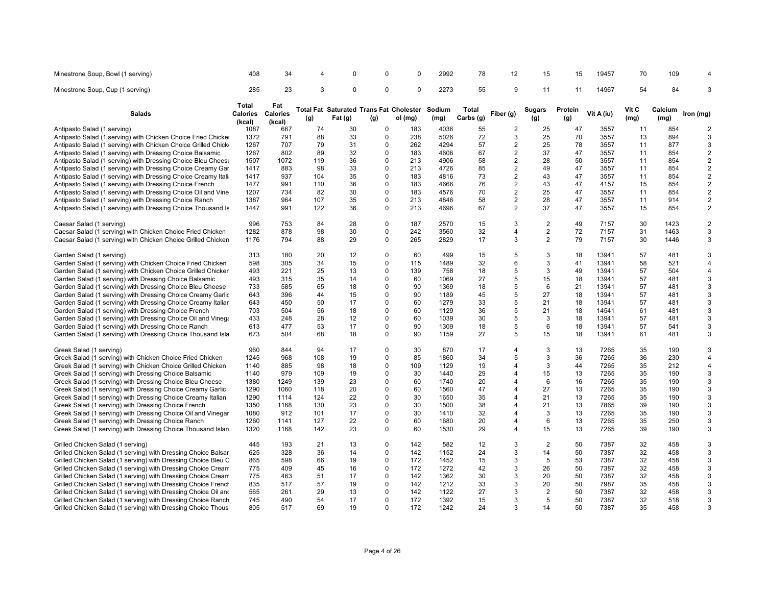| Minestrone Soup, Bowl (1 serving)                              | 408                                | 34                        | 4   | 0           | 0           | 0                                                         | 2992           | 78                 | 12             | 15                   | 15             | 19457      | 70            | 109             | 4              |
|----------------------------------------------------------------|------------------------------------|---------------------------|-----|-------------|-------------|-----------------------------------------------------------|----------------|--------------------|----------------|----------------------|----------------|------------|---------------|-----------------|----------------|
| Minestrone Soup, Cup (1 serving)                               | 285                                | 23                        | 3   | $\mathbf 0$ | $\mathbf 0$ | $\Omega$                                                  | 2273           | 55                 | 9              | 11                   | 11             | 14967      | 54            | 84              | 3              |
| <b>Salads</b>                                                  | <b>Total</b><br>Calories<br>(kcal) | Fat<br>Calories<br>(kcal) | (g) | Fat (g)     | (g)         | <b>Total Fat Saturated Trans Fat Cholester</b><br>ol (mg) | Sodium<br>(mg) | Total<br>Carbs (g) | Fiber (g)      | <b>Sugars</b><br>(g) | Protein<br>(g) | Vit A (iu) | Vit C<br>(mg) | Calcium<br>(mg) | Iron (mg)      |
| Antipasto Salad (1 serving)                                    | 1087                               | 667                       | 74  | 30          | $\Omega$    | 183                                                       | 4036           | 55                 | 2              | 25                   | 47             | 3557       | 11            | 854             | 2              |
| Antipasto Salad (1 serving) with Chicken Choice Fried Chicke   | 1372                               | 791                       | 88  | 33          | $\mathbf 0$ | 238                                                       | 5026           | 72                 | 3              | 25                   | 70             | 3557       | 13            | 894             | 3              |
| Antipasto Salad (1 serving) with Chicken Choice Grilled Chick  | 1267                               | 707                       | 79  | 31          | 0           | 262                                                       | 4294           | 57                 | $\overline{c}$ | 25                   | 78             | 3557       | 11            | 877             | 3              |
| Antipasto Salad (1 serving) with Dressing Choice Balsamic      | 1267                               | 802                       | 89  | 32          | 0           | 183                                                       | 4606           | 67                 | $\overline{c}$ | 37                   | 47             | 3557       | 11            | 854             | $\overline{c}$ |
| Antipasto Salad (1 serving) with Dressing Choice Bleu Chees    | 1507                               | 1072                      | 119 | 36          | $\Omega$    | 213                                                       | 4906           | 58                 | 2              | 28                   | 50             | 3557       | 11            | 854             | $\overline{2}$ |
| Antipasto Salad (1 serving) with Dressing Choice Creamy Gar    | 1417                               | 883                       | 98  | 33          | $\Omega$    | 213                                                       | 4726           | 85                 | $\overline{2}$ | 49                   | 47             | 3557       | 11            | 854             | $\overline{2}$ |
| Antipasto Salad (1 serving) with Dressing Choice Creamy Itali  | 1417                               | 937                       | 104 | 35          | $\Omega$    | 183                                                       | 4816           | 73                 | $\overline{c}$ | 43                   | 47             | 3557       | 11            | 854             | $\overline{c}$ |
| Antipasto Salad (1 serving) with Dressing Choice French        | 1477                               | 991                       | 110 | 36          | $\Omega$    | 183                                                       | 4666           | 76                 | $\overline{c}$ | 43                   | 47             | 4157       | 15            | 854             | $\overline{2}$ |
| Antipasto Salad (1 serving) with Dressing Choice Oil and Vine  | 1207                               | 734                       | 82  | 30          | $\Omega$    | 183                                                       | 4576           | 70                 | $\overline{a}$ | 25                   | 47             | 3557       | 11            | 854             | $\overline{2}$ |
|                                                                |                                    |                           | 107 | 35          | $\mathbf 0$ | 213                                                       |                | 58                 |                | 28                   | 47             |            |               | 914             | $\overline{2}$ |
| Antipasto Salad (1 serving) with Dressing Choice Ranch         | 1387                               | 964                       |     |             |             |                                                           | 4846           |                    | $\overline{2}$ |                      |                | 3557       | 11            |                 |                |
| Antipasto Salad (1 serving) with Dressing Choice Thousand Is   | 1447                               | 991                       | 122 | 36          | $\mathbf 0$ | 213                                                       | 4696           | 67                 | $\overline{2}$ | 37                   | 47             | 3557       | 15            | 854             | $\overline{2}$ |
| Caesar Salad (1 serving)                                       | 996                                | 753                       | 84  | 28          | $\Omega$    | 187                                                       | 2570           | 15                 | 3              | $\overline{2}$       | 49             | 7157       | 30            | 1423            | $\mathbf 2$    |
| Caesar Salad (1 serving) with Chicken Choice Fried Chicken     | 1282                               | 878                       | 98  | 30          | $\pmb{0}$   | 242                                                       | 3560           | 32                 | 4              | $\overline{2}$       | 72             | 7157       | 31            | 1463            | 3              |
| Caesar Salad (1 serving) with Chicken Choice Grilled Chicken   | 1176                               | 794                       | 88  | 29          | $\mathbf 0$ | 265                                                       | 2829           | 17                 | 3              | 2                    | 79             | 7157       | 30            | 1446            | 3              |
| Garden Salad (1 serving)                                       | 313                                | 180                       | 20  | 12          | $\mathbf 0$ | 60                                                        | 499            | 15                 | 5              | 3                    | 18             | 13941      | 57            | 481             | 3              |
| Garden Salad (1 serving) with Chicken Choice Fried Chicken     | 598                                | 305                       | 34  | 15          | $\Omega$    | 115                                                       | 1489           | 32                 | 6              | 3                    | 41             | 13941      | 58            | 521             | $\overline{4}$ |
| Garden Salad (1 serving) with Chicken Choice Grilled Chicker   | 493                                | 221                       | 25  | 13          | $\Omega$    | 139                                                       | 758            | 18                 | 5              | 3                    | 49             | 13941      | 57            | 504             | $\overline{4}$ |
| Garden Salad (1 serving) with Dressing Choice Balsamic         | 493                                | 315                       | 35  | 14          | $\Omega$    | 60                                                        | 1069           | 27                 | 5              | 15                   | 18             | 13941      | 57            | 481             | 3              |
| Garden Salad (1 serving) with Dressing Choice Bleu Cheese      | 733                                | 585                       | 65  | 18          | $\Omega$    | 90                                                        | 1369           | 18                 | 5              | 6                    | 21             | 13941      | 57            | 481             | 3              |
| Garden Salad (1 serving) with Dressing Choice Creamy Garlic    | 643                                | 396                       | 44  | 15          | $\mathbf 0$ | 90                                                        | 1189           | 45                 | 5              | 27                   | 18             | 13941      | 57            | 481             | 3              |
| Garden Salad (1 serving) with Dressing Choice Creamy Italiar   | 643                                | 450                       | 50  | 17          | $\Omega$    | 60                                                        | 1279           | 33                 | 5              | 21                   | 18             | 13941      | 57            | 481             | 3              |
| Garden Salad (1 serving) with Dressing Choice French           | 703                                | 504                       | 56  | 18          | $\Omega$    | 60                                                        | 1129           | 36                 | 5              | 21                   | 18             | 14541      | 61            | 481             | 3              |
| Garden Salad (1 serving) with Dressing Choice Oil and Vinega   | 433                                | 248                       | 28  | 12          | $\Omega$    | 60                                                        | 1039           | 30                 | 5              | 3                    | 18             | 13941      | 57            | 481             | 3              |
| Garden Salad (1 serving) with Dressing Choice Ranch            | 613                                | 477                       | 53  | 17          | $\Omega$    | 90                                                        | 1309           | 18                 | 5              | 6                    | 18             | 13941      | 57            | 541             | 3              |
| Garden Salad (1 serving) with Dressing Choice Thousand Isla    | 673                                | 504                       | 68  | 18          | $\Omega$    | 90                                                        | 1159           | 27                 | 5              | 15                   | 18             | 13941      | 61            | 481             | 3              |
|                                                                |                                    |                           |     |             |             |                                                           |                |                    |                |                      |                |            |               |                 |                |
| Greek Salad (1 serving)                                        | 960                                | 844                       | 94  | 17          | $\Omega$    | 30                                                        | 870            | 17                 | 4              | 3                    | 13             | 7265       | 35            | 190             | 3              |
| Greek Salad (1 serving) with Chicken Choice Fried Chicken      | 1245                               | 968                       | 108 | 19          | $\Omega$    | 85                                                        | 1860           | 34                 | 5              | 3                    | 36             | 7265       | 36            | 230             | $\overline{4}$ |
| Greek Salad (1 serving) with Chicken Choice Grilled Chicken    | 1140                               | 885                       | 98  | 18          | $\Omega$    | 109                                                       | 1129           | 19                 | 4              | 3                    | 44             | 7265       | 35            | 212             | 4              |
| Greek Salad (1 serving) with Dressing Choice Balsamic          | 1140                               | 979                       | 109 | 19          | $\Omega$    | 30                                                        | 1440           | 29                 | 4              | 15                   | 13             | 7265       | 35            | 190             | 3              |
| Greek Salad (1 serving) with Dressing Choice Bleu Cheese       | 1380                               | 1249                      | 139 | 23          | $\mathbf 0$ | 60                                                        | 1740           | 20                 | 4              | 6                    | 16             | 7265       | 35            | 190             | 3              |
| Greek Salad (1 serving) with Dressing Choice Creamy Garlic     | 1290                               | 1060                      | 118 | 20          | $\Omega$    | 60                                                        | 1560           | 47                 | 4              | 27                   | 13             | 7265       | 35            | 190             | 3              |
| Greek Salad (1 serving) with Dressing Choice Creamy Italian    | 1290                               | 1114                      | 124 | 22          | $\Omega$    | 30                                                        | 1650           | 35                 | 4              | 21                   | 13             | 7265       | 35            | 190             | 3              |
| Greek Salad (1 serving) with Dressing Choice French            | 1350                               | 1168                      | 130 | 23          | $\Omega$    | 30                                                        | 1500           | 38                 | 4              | 21                   | 13             | 7865       | 39            | 190             | 3              |
| Greek Salad (1 serving) with Dressing Choice Oil and Vinegar   | 1080                               | 912                       | 101 | 17          | $\Omega$    | 30                                                        | 1410           | 32                 | 4              | 3                    | 13             | 7265       | 35            | 190             | 3              |
| Greek Salad (1 serving) with Dressing Choice Ranch             | 1260                               | 1141                      | 127 | 22          | $\Omega$    | 60                                                        | 1680           | 20                 | 4              | 6                    | 13             | 7265       | 35            | 250             | 3              |
| Greek Salad (1 serving) with Dressing Choice Thousand Islan    | 1320                               | 1168                      | 142 | 23          | $\Omega$    | 60                                                        | 1530           | 29                 | 4              | 15                   | 13             | 7265       | 39            | 190             | 3              |
| Grilled Chicken Salad (1 serving)                              | 445                                | 193                       | 21  | 13          | $\Omega$    | 142                                                       | 582            | 12                 | 3              | $\overline{2}$       | 50             | 7387       | 32            | 458             | 3              |
| Grilled Chicken Salad (1 serving) with Dressing Choice Balsar  | 625                                | 328                       | 36  | 14          | $\Omega$    | 142                                                       | 1152           | 24                 | 3              | 14                   | 50             | 7387       | 32            | 458             | 3              |
| Grilled Chicken Salad (1 serving) with Dressing Choice Bleu C  | 865                                | 598                       | 66  | 19          | $\Omega$    | 172                                                       | 1452           | 15                 | 3              | 5                    | 53             | 7387       | 32            | 458             | 3              |
|                                                                | 775                                | 409                       | 45  | 16          | $\mathbf 0$ | 172                                                       | 1272           | 42                 | 3              | 26                   | 50             | 7387       | 32            | 458             | 3              |
| Grilled Chicken Salad (1 serving) with Dressing Choice Cream   | 775                                | 463                       | 51  | 17          | $\Omega$    | 142                                                       | 1362           | 30                 | 3              | 20                   | 50             | 7387       | 32            | 458             | 3              |
| Grilled Chicken Salad (1 serving) with Dressing Choice Cream   |                                    |                           |     |             | $\Omega$    |                                                           |                |                    |                |                      |                |            |               |                 |                |
| Grilled Chicken Salad (1 serving) with Dressing Choice French  | 835                                | 517                       | 57  | 19          |             | 142                                                       | 1212           | 33                 | 3              | 20                   | 50             | 7987       | 35            | 458             | 3              |
| Grilled Chicken Salad (1 serving) with Dressing Choice Oil and | 565                                | 261                       | 29  | 13          | $\Omega$    | 142                                                       | 1122           | 27                 | 3              | $\overline{2}$       | 50             | 7387       | 32            | 458             | 3              |
| Grilled Chicken Salad (1 serving) with Dressing Choice Ranch   | 745                                | 490                       | 54  | 17          | $\Omega$    | 172                                                       | 1392           | 15                 | 3              | 5                    | 50             | 7387       | 32            | 518             | 3              |
| Grilled Chicken Salad (1 serving) with Dressing Choice Thous   | 805                                | 517                       | 69  | 19          | $\Omega$    | 172                                                       | 1242           | 24                 | 3              | 14                   | 50             | 7387       | 35            | 458             | 3              |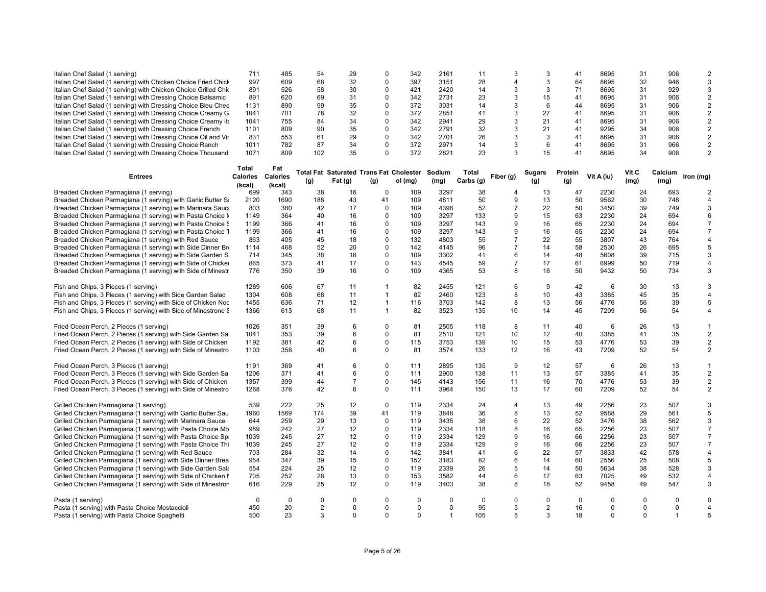| Italian Chef Salad (1 serving)                                  | 711                      | 485         | 54             | 29             | $\Omega$       | 342                                            | 2161                    | 11        | 3              | 3              | 41      | 8695        | 31          | 906            | $\mathcal{P}$    |
|-----------------------------------------------------------------|--------------------------|-------------|----------------|----------------|----------------|------------------------------------------------|-------------------------|-----------|----------------|----------------|---------|-------------|-------------|----------------|------------------|
| Italian Chef Salad (1 serving) with Chicken Choice Fried Chicl  | 997                      | 609         | 68             | 32             | $\Omega$       | 397                                            | 3151                    | 28        | 4              | 3              | 64      | 8695        | 32          | 946            | 3                |
| Italian Chef Salad (1 serving) with Chicken Choice Grilled Chio | 891                      | 526         | 58             | 30             | $\Omega$       | 421                                            | 2420                    | 14        | 3              | 3              | 71      | 8695        | 31          | 929            | 3                |
|                                                                 |                          |             |                |                |                |                                                |                         |           |                |                |         |             |             |                |                  |
| Italian Chef Salad (1 serving) with Dressing Choice Balsamic    | 891                      | 620         | 69             | 31             | 0              | 342                                            | 2731                    | 23        | 3              | 15             | 41      | 8695        | 31          | 906            | $\boldsymbol{2}$ |
| Italian Chef Salad (1 serving) with Dressing Choice Bleu Chee   | 1131                     | 890         | 99             | 35             | $\Omega$       | 372                                            | 3031                    | 14        | 3              | 6              | 44      | 8695        | 31          | 906            | 2                |
| Italian Chef Salad (1 serving) with Dressing Choice Creamy G    | 1041                     | 701         | 78             | 32             | 0              | 372                                            | 2851                    | 41        | 3              | 27             | 41      | 8695        | 31          | 906            | $\overline{2}$   |
|                                                                 |                          | 755         | 84             | 34             | $\Omega$       | 342                                            | 2941                    | 29        | 3              |                |         | 8695        |             | 906            | $\overline{2}$   |
| Italian Chef Salad (1 serving) with Dressing Choice Creamy Ital | 1041                     |             |                |                |                |                                                |                         |           |                | 21             | 41      |             | 31          |                |                  |
| Italian Chef Salad (1 serving) with Dressing Choice French      | 1101                     | 809         | 90             | 35             | $\Omega$       | 342                                            | 2791                    | 32        | 3              | 21             | 41      | 9295        | 34          | 906            | $\overline{2}$   |
| Italian Chef Salad (1 serving) with Dressing Choice Oil and Vir | 831                      | 553         | 61             | 29             | $\Omega$       | 342                                            | 2701                    | 26        | 3              | 3              | 41      | 8695        | 31          | 906            | $\overline{2}$   |
| Italian Chef Salad (1 serving) with Dressing Choice Ranch       | 1011                     | 782         | 87             | 34             | $\Omega$       | 372                                            | 2971                    | 14        | 3              | 6              | 41      | 8695        | 31          | 966            | $\overline{2}$   |
|                                                                 |                          |             |                |                |                |                                                |                         |           |                |                |         |             |             |                |                  |
| Italian Chef Salad (1 serving) with Dressing Choice Thousand    | 1071                     | 809         | 102            | 35             | $\mathbf 0$    | 372                                            | 2821                    | 23        | 3              | 15             | 41      | 8695        | 34          | 906            | $\overline{2}$   |
|                                                                 |                          |             |                |                |                |                                                |                         |           |                |                |         |             |             |                |                  |
|                                                                 | <b>Total</b>             | Fat         |                |                |                |                                                |                         |           |                |                |         |             |             |                |                  |
| <b>Entrees</b>                                                  | <b>Calories Calories</b> |             |                |                |                | <b>Total Fat Saturated Trans Fat Cholester</b> | Sodium                  | Total     | Fiber (g)      | Sugars         | Protein | Vit A (iu)  | Vit C       | Calcium        | Iron (mg)        |
|                                                                 |                          |             | (g)            | Fat (g)        | (g)            | ol (mg)                                        | (mg)                    | Carbs (g) |                | (g)            | (g)     |             | (mg)        | (mg)           |                  |
|                                                                 | (kcal)                   | (kcal)      |                |                |                |                                                |                         |           |                |                |         |             |             |                |                  |
| Breaded Chicken Parmagiana (1 serving)                          | 699                      | 343         | 38             | 16             | $\mathbf 0$    | 109                                            | 3297                    | 38        | 4              | 13             | 47      | 2230        | 24          | 693            | $\overline{2}$   |
| Breaded Chicken Parmagiana (1 serving) with Garlic Butter S     | 2120                     | 1690        | 188            | 43             | 41             | 109                                            | 4811                    | 50        | 9              | 13             | 50      | 9562        | 30          | 748            | 4                |
| Breaded Chicken Parmagiana (1 serving) with Marinara Sauc       | 803                      | 380         | 42             | 17             | $\mathbf 0$    | 109                                            | 4398                    | 52        | $\overline{7}$ | 22             | 50      | 3450        | 39          | 749            | 3                |
|                                                                 |                          |             |                |                |                |                                                |                         |           |                |                |         |             |             |                |                  |
| Breaded Chicken Parmagiana (1 serving) with Pasta Choice I      | 1149                     | 364         | 40             | 16             | $\mathbf 0$    | 109                                            | 3297                    | 133       | 9              | 15             | 63      | 2230        | 24          | 694            | 6                |
| Breaded Chicken Parmagiana (1 serving) with Pasta Choice §      | 1199                     | 366         | 41             | 16             | 0              | 109                                            | 3297                    | 143       | 9              | 16             | 65      | 2230        | 24          | 694            | $\overline{7}$   |
| Breaded Chicken Parmagiana (1 serving) with Pasta Choice 1      | 1199                     | 366         | 41             | 16             | 0              | 109                                            | 3297                    | 143       | 9              | 16             | 65      | 2230        | 24          | 694            | $\overline{7}$   |
|                                                                 |                          |             |                |                |                |                                                |                         |           |                |                |         |             |             |                |                  |
| Breaded Chicken Parmagiana (1 serving) with Red Sauce           | 863                      | 405         | 45             | 18             | $\mathbf 0$    | 132                                            | 4803                    | 55        | $\overline{7}$ | 22             | 55      | 3807        | 43          | 764            | 4                |
| Breaded Chicken Parmagiana (1 serving) with Side Dinner Br      | 1114                     | 468         | 52             | 20             | $\mathbf 0$    | 142                                            | 4145                    | 96        | $\overline{7}$ | 14             | 58      | 2530        | 26          | 695            | 5                |
| Breaded Chicken Parmagiana (1 serving) with Side Garden S       | 714                      | 345         | 38             | 16             | $\mathbf 0$    | 109                                            | 3302                    | 41        | 6              | 14             | 48      | 5608        | 39          | 715            | 3                |
| Breaded Chicken Parmagiana (1 serving) with Side of Chicker     | 865                      | 373         | 41             | 17             | $\mathbf 0$    | 143                                            | 4545                    | 59        | $\overline{7}$ | 17             | 61      | 6999        | 50          | 719            | 4                |
|                                                                 |                          |             |                |                |                |                                                |                         |           |                |                |         |             |             |                |                  |
| Breaded Chicken Parmagiana (1 serving) with Side of Minestr     | 776                      | 350         | 39             | 16             | 0              | 109                                            | 4365                    | 53        | 8              | 18             | 50      | 9432        | 50          | 734            | 3                |
| Fish and Chips, 3 Pieces (1 serving)                            | 1289                     | 606         | 67             | 11             | -1             | 82                                             | 2455                    | 121       | 6              | 9              | 42      | 6           | 30          | 13             | 3                |
|                                                                 |                          |             |                |                |                |                                                |                         |           |                |                |         |             |             |                |                  |
| Fish and Chips, 3 Pieces (1 serving) with Side Garden Salad     | 1304                     | 608         | 68             | 11             | $\overline{1}$ | 82                                             | 2460                    | 123       | 8              | 10             | 43      | 3385        | 45          | 35             | $\overline{4}$   |
| Fish and Chips, 3 Pieces (1 serving) with Side of Chicken Noc   | 1455                     | 636         | 71             | 12             | $\mathbf{1}$   | 116                                            | 3703                    | 142       | 8              | 13             | 56      | 4776        | 56          | 39             | 5                |
| Fish and Chips, 3 Pieces (1 serving) with Side of Minestrone \$ | 1366                     | 613         | 68             | 11             | $\mathbf{1}$   | 82                                             | 3523                    | 135       | 10             | 14             | 45      | 7209        | 56          | 54             | $\overline{4}$   |
|                                                                 |                          |             |                |                |                |                                                |                         |           |                |                |         |             |             |                |                  |
| Fried Ocean Perch, 2 Pieces (1 serving)                         | 1026                     | 351         | 39             | 6              | $\pmb{0}$      | 81                                             | 2505                    | 118       | 8              | 11             | 40      | 6           | 26          | 13             | $\mathbf{1}$     |
| Fried Ocean Perch, 2 Pieces (1 serving) with Side Garden Sa     | 1041                     | 353         | 39             | 6              | $\mathbf 0$    | 81                                             | 2510                    | 121       | 10             | 12             | 40      | 3385        | 41          | 35             | $\overline{2}$   |
| Fried Ocean Perch, 2 Pieces (1 serving) with Side of Chicken    | 1192                     | 381         | 42             | 6              | $\mathbf 0$    | 115                                            | 3753                    | 139       | 10             | 15             | 53      | 4776        | 53          | 39             | $\overline{2}$   |
|                                                                 |                          |             |                |                |                |                                                |                         |           |                |                |         |             |             |                |                  |
| Fried Ocean Perch, 2 Pieces (1 serving) with Side of Minestro   | 1103                     | 358         | 40             | 6              | $\mathbf 0$    | 81                                             | 3574                    | 133       | 12             | 16             | 43      | 7209        | 52          | 54             | $\overline{2}$   |
| Fried Ocean Perch, 3 Pieces (1 serving)                         | 1191                     | 369         | 41             | 6              | 0              | 111                                            | 2895                    | 135       | 9              | 12             | 57      | 6           | 26          | 13             | $\mathbf{1}$     |
|                                                                 |                          |             |                |                |                |                                                |                         |           |                |                |         |             |             |                |                  |
| Fried Ocean Perch, 3 Pieces (1 serving) with Side Garden Sa     | 1206                     | 371         | 41             | 6              | $\mathbf 0$    | 111                                            | 2900                    | 138       | 11             | 13             | 57      | 3385        | 41          | 35             | $\boldsymbol{2}$ |
| Fried Ocean Perch, 3 Pieces (1 serving) with Side of Chicken    | 1357                     | 399         | 44             | $\overline{7}$ | $\mathbf 0$    | 145                                            | 4143                    | 156       | 11             | 16             | 70      | 4776        | 53          | 39             | $\overline{2}$   |
| Fried Ocean Perch, 3 Pieces (1 serving) with Side of Minestro   | 1268                     | 376         | 42             | 6              | $\mathbf 0$    | 111                                            | 3964                    | 150       | 13             | 17             | 60      | 7209        | 52          | 54             | 2                |
|                                                                 |                          |             |                |                |                |                                                |                         |           |                |                |         |             |             |                |                  |
| Grilled Chicken Parmagiana (1 serving)                          | 539                      | 222         | 25             | 12             | $\pmb{0}$      | 119                                            | 2334                    | 24        | 4              | 13             | 49      | 2256        | 23          | 507            | 3                |
| Grilled Chicken Parmagiana (1 serving) with Garlic Butter Sau   | 1960                     | 1569        | 174            | 39             | 41             | 119                                            | 3848                    | 36        | 8              | 13             | 52      | 9588        | 29          | 561            | 5                |
| Grilled Chicken Parmagiana (1 serving) with Marinara Sauce      | 644                      | 259         | 29             | 13             | $\Omega$       | 119                                            | 3435                    | 38        | 6              | 22             | 52      | 3476        | 38          | 562            | 3                |
|                                                                 |                          |             |                |                |                |                                                |                         |           |                |                |         |             |             |                |                  |
| Grilled Chicken Parmagiana (1 serving) with Pasta Choice Mo     | 989                      | 242         | 27             | 12             | $\mathbf 0$    | 119                                            | 2334                    | 118       | 8              | 16             | 65      | 2256        | 23          | 507            | $\overline{7}$   |
| Grilled Chicken Parmagiana (1 serving) with Pasta Choice Sp.    | 1039                     | 245         | 27             | 12             | 0              | 119                                            | 2334                    | 129       | 9              | 16             | 66      | 2256        | 23          | 507            | $\overline{7}$   |
| Grilled Chicken Parmagiana (1 serving) with Pasta Choice Thi    | 1039                     | 245         | 27             | 12             | $\Omega$       | 119                                            | 2334                    | 129       | 9              | 16             | 66      | 2256        | 23          | 507            | $\overline{7}$   |
| Grilled Chicken Parmagiana (1 serving) with Red Sauce           | 703                      | 284         | 32             | 14             | $\Omega$       | 142                                            | 3841                    | 41        | 6              | 22             | 57      | 3833        | 42          | 578            | 4                |
|                                                                 |                          |             |                |                |                |                                                |                         |           |                |                |         |             |             |                |                  |
| Grilled Chicken Parmagiana (1 serving) with Side Dinner Brea    | 954                      | 347         | 39             | 15             | $\mathbf 0$    | 152                                            | 3183                    | 82        | 6              | 14             | 60      | 2556        | 25          | 508            | 5                |
| Grilled Chicken Parmagiana (1 serving) with Side Garden Sala    | 554                      | 224         | 25             | 12             | $\mathbf 0$    | 119                                            | 2339                    | 26        | 5              | 14             | 50      | 5634        | 38          | 528            | 3                |
| Grilled Chicken Parmagiana (1 serving) with Side of Chicken I   | 705                      | 252         | 28             | 13             | 0              | 153                                            | 3582                    | 44        | 6              | 17             | 63      | 7025        | 49          | 532            | 4                |
|                                                                 |                          |             |                |                | $\Omega$       |                                                |                         |           |                |                |         |             | 49          |                |                  |
| Grilled Chicken Parmagiana (1 serving) with Side of Minestror   | 616                      | 229         | 25             | 12             |                | 119                                            | 3403                    | 38        | 8              | 18             | 52      | 9458        |             | 547            | 3                |
| Pasta (1 serving)                                               | $\Omega$                 | $\mathbf 0$ | $\mathbf 0$    | $\mathbf 0$    | 0              | 0                                              | $\Omega$                | 0         | $\Omega$       | $\mathbf 0$    | 0       | $\Omega$    | $\mathbf 0$ | $\Omega$       | $\Omega$         |
| Pasta (1 serving) with Pasta Choice Mostaccioli                 | 450                      | 20          | $\overline{2}$ | $\mathbf 0$    | $\mathbf 0$    | $\Omega$                                       | $\mathbf 0$             | 95        | 5              | $\overline{2}$ | 16      | $\mathbf 0$ | $\Omega$    | $\mathbf 0$    | $\overline{4}$   |
|                                                                 |                          |             |                | $\Omega$       |                | $\Omega$                                       |                         |           |                |                |         |             | $\Omega$    |                |                  |
| Pasta (1 serving) with Pasta Choice Spaghetti                   | 500                      | 23          | $\mathcal{B}$  |                | $\Omega$       |                                                | $\overline{\mathbf{1}}$ | 105       | 5              | 3              | 18      | $\Omega$    |             | $\overline{1}$ | 5                |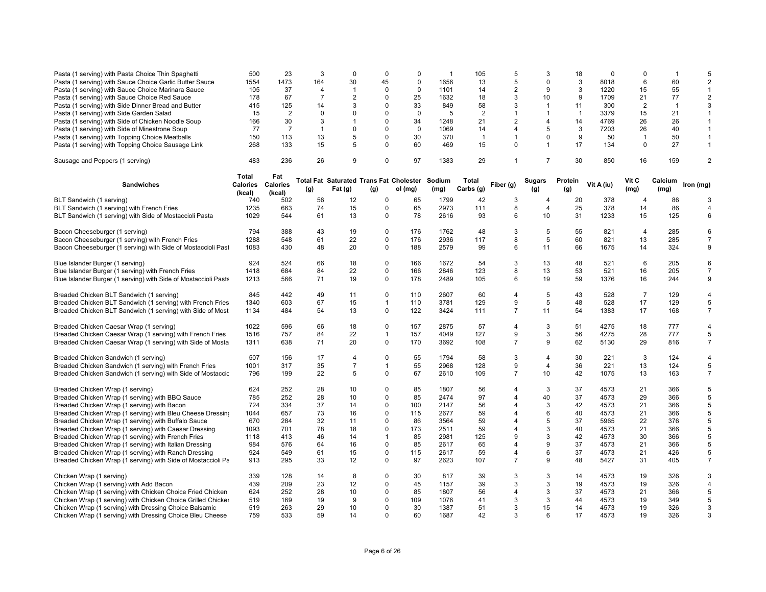| Pasta (1 serving) with Pasta Choice Thin Spaghetti              | 500      | 23             | 3              | $\mathbf 0$                                    | $\mathbf 0$          | $\mathbf 0$ | -1   | 105            | 5              | 3                        | 18             | $\Omega$   | $\mathbf 0$    | $\overline{\mathbf{1}}$ | 5                   |
|-----------------------------------------------------------------|----------|----------------|----------------|------------------------------------------------|----------------------|-------------|------|----------------|----------------|--------------------------|----------------|------------|----------------|-------------------------|---------------------|
| Pasta (1 serving) with Sauce Choice Garlic Butter Sauce         | 1554     | 1473           | 164            | 30                                             | 45                   | $\mathbf 0$ | 1656 | 13             | 5              | $\Omega$                 | 3              | 8018       | 6              | 60                      | 2                   |
| Pasta (1 serving) with Sauce Choice Marinara Sauce              | 105      | 37             | $\overline{4}$ | $\overline{1}$                                 | $\mathbf 0$          | $\mathbf 0$ | 1101 | 14             | $\overline{2}$ | 9                        | 3              | 1220       | 15             | 55                      | $\mathbf{1}$        |
| Pasta (1 serving) with Sauce Choice Red Sauce                   | 178      | 67             | $\overline{7}$ | $\overline{2}$                                 | $\mathbf 0$          | 25          | 1632 | 18             | 3              | 10                       | 9              | 1709       | 21             | 77                      | $\overline{2}$      |
| Pasta (1 serving) with Side Dinner Bread and Butter             | 415      | 125            | 14             | 3                                              | $\mathbf 0$          | 33          | 849  | 58             | 3              | $\mathbf{1}$             | 11             | 300        | 2              | $\overline{1}$          | 3                   |
| Pasta (1 serving) with Side Garden Salad                        | 15       | $\overline{2}$ | $\Omega$       | $\Omega$                                       | $\mathbf 0$          | $\mathbf 0$ | 5    | $\overline{2}$ | 1              | $\mathbf{1}$             | $\overline{1}$ | 3379       | 15             | 21                      | $\mathbf{1}$        |
| Pasta (1 serving) with Side of Chicken Noodle Soup              | 166      | 30             | 3              | $\mathbf{1}$                                   | $\Omega$             | 34          | 1248 | 21             | $\overline{2}$ | $\overline{\mathcal{A}}$ | 14             | 4769       | 26             | 26                      | 1                   |
| Pasta (1 serving) with Side of Minestrone Soup                  | 77       | $\overline{7}$ | $\mathbf{1}$   | $\Omega$                                       | $\Omega$             | $\mathbf 0$ | 1069 | 14             | 4              | 5                        | 3              | 7203       | 26             | 40                      | $\mathbf{1}$        |
| Pasta (1 serving) with Topping Choice Meatballs                 | 150      | 113            | 13             | 5                                              | $\Omega$             | 30          | 370  | $\overline{1}$ | 1              | $\Omega$                 | 9              | 50         | $\mathbf{1}$   | 50                      | $\mathbf{1}$        |
| Pasta (1 serving) with Topping Choice Sausage Link              | 268      | 133            | 15             | 5                                              | $\Omega$             | 60          | 469  | 15             | 0              | $\mathbf{1}$             | 17             | 134        | 0              | 27                      | $\mathbf{1}$        |
|                                                                 |          |                |                |                                                |                      |             |      |                |                |                          |                |            |                |                         |                     |
| Sausage and Peppers (1 serving)                                 | 483      | 236            | 26             | 9                                              | $\Omega$             | 97          | 1383 | 29             |                | $\overline{7}$           | 30             | 850        | 16             | 159                     | $\overline{2}$      |
|                                                                 |          |                |                |                                                |                      |             |      |                |                |                          |                |            |                |                         |                     |
|                                                                 | Total    | Fat            |                | Total Fat Saturated Trans Fat Cholester Sodium |                      |             |      | Total          |                | <b>Sugars</b>            | Protein        |            | Vit C          | Calcium                 |                     |
| <b>Sandwiches</b>                                               | Calories | Calories       | (g)            | Fat (g)                                        | (g)                  | ol (mg)     | (mg) | Carbs (g)      | Fiber (g)      | (g)                      | (g)            | Vit A (iu) | (mg)           | (mg)                    | Iron (mg)           |
|                                                                 | (kcal)   | (kcal)         |                |                                                |                      |             |      |                |                |                          |                |            |                |                         |                     |
| BLT Sandwich (1 serving)                                        | 740      | 502            | 56             | 12                                             | $\mathbf 0$          | 65          | 1799 | 42             | 3              | 4                        | 20             | 378        | $\overline{4}$ | 86                      | 3                   |
| BLT Sandwich (1 serving) with French Fries                      | 1235     | 663            | 74             | 15                                             | $\mathbf 0$          | 65          | 2973 | 111            | 8              | $\overline{4}$           | 25             | 378        | 14             | 86                      | 4                   |
| BLT Sandwich (1 serving) with Side of Mostaccioli Pasta         | 1029     | 544            | 61             | 13                                             | $\mathbf 0$          | 78          | 2616 | 93             | 6              | 10                       | 31             | 1233       | 15             | 125                     | 6                   |
| Bacon Cheeseburger (1 serving)                                  | 794      | 388            | 43             | 19                                             | $\mathbf 0$          | 176         | 1762 | 48             | 3              | 5                        | 55             | 821        | 4              | 285                     | 6                   |
| Bacon Cheeseburger (1 serving) with French Fries                | 1288     | 548            | 61             | 22                                             | $\mathbf 0$          | 176         | 2936 | 117            | 8              | 5                        | 60             | 821        | 13             | 285                     | $\overline{7}$      |
| Bacon Cheeseburger (1 serving) with Side of Mostaccioli Past    | 1083     | 430            | 48             | 20                                             | $\mathbf 0$          | 188         | 2579 | 99             | 6              | 11                       | 66             | 1675       | 14             | 324                     | 9                   |
|                                                                 |          |                |                |                                                |                      |             |      |                |                |                          |                |            |                |                         |                     |
| Blue Islander Burger (1 serving)                                | 924      | 524            | 66             | 18                                             | $\mathbf 0$          | 166         | 1672 | 54             | 3              | 13                       | 48             | 521        | 6              | 205                     | 6                   |
| Blue Islander Burger (1 serving) with French Fries              | 1418     | 684            | 84             | 22                                             | $\mathbf 0$          | 166         | 2846 | 123            | 8              | 13                       | 53             | 521        | 16             | 205                     | $\overline{7}$      |
| Blue Islander Burger (1 serving) with Side of Mostaccioli Pasta | 1213     | 566            | 71             | 19                                             | $\mathbf 0$          | 178         | 2489 | 105            | 6              | 19                       | 59             | 1376       | 16             | 244                     | 9                   |
|                                                                 |          |                |                |                                                |                      |             |      |                |                |                          |                |            |                |                         |                     |
| Breaded Chicken BLT Sandwich (1 serving)                        | 845      | 442            | 49             | 11                                             | $\mathbf 0$          | 110         | 2607 | 60             | $\overline{4}$ | 5                        | 43             | 528        | $\overline{7}$ | 129                     | $\overline{4}$      |
| Breaded Chicken BLT Sandwich (1 serving) with French Fries      | 1340     | 603            | 67             | 15                                             | $\mathbf{1}$         | 110         | 3781 | 129            | 9              | 5                        | 48             | 528        | 17             | 129                     | 5                   |
| Breaded Chicken BLT Sandwich (1 serving) with Side of Most      | 1134     | 484            | 54             | 13                                             | $\mathbf 0$          | 122         | 3424 | 111            | $\overline{7}$ | 11                       | 54             | 1383       | 17             | 168                     | $\overline{7}$      |
|                                                                 |          |                |                |                                                |                      |             |      |                |                |                          |                |            |                |                         |                     |
| Breaded Chicken Caesar Wrap (1 serving)                         | 1022     | 596            | 66             | 18                                             | $\mathbf 0$          | 157         | 2875 | 57             | $\overline{4}$ | 3                        | 51             | 4275       | 18             | 777                     | $\overline{4}$      |
| Breaded Chicken Caesar Wrap (1 serving) with French Fries       | 1516     | 757            | 84             | 22                                             | 1                    | 157         | 4049 | 127            | 9              | 3                        | 56             | 4275       | 28             | 777                     | 5                   |
| Breaded Chicken Caesar Wrap (1 serving) with Side of Mosta      | 1311     | 638            | 71             | 20                                             | $\Omega$             | 170         | 3692 | 108            | $\overline{7}$ | 9                        | 62             | 5130       | 29             | 816                     | $\overline{7}$      |
|                                                                 |          |                |                |                                                |                      |             |      |                |                |                          |                |            |                |                         |                     |
| Breaded Chicken Sandwich (1 serving)                            | 507      | 156            | 17             | $\overline{4}$                                 | $\mathbf 0$          | 55          | 1794 | 58             | 3              | $\overline{4}$           | 30             | 221        | 3              | 124                     | 4                   |
| Breaded Chicken Sandwich (1 serving) with French Fries          | 1001     | 317            | 35             | $\overline{7}$                                 | $\mathbf{1}$         | 55          | 2968 | 128            | 9              | $\overline{4}$           | 36             | 221        | 13             | 124                     | $\sqrt{5}$          |
| Breaded Chicken Sandwich (1 serving) with Side of Mostaccic     | 796      | 199            | 22             | 5                                              | $\Omega$             | 67          | 2610 | 109            | $\overline{7}$ | 10                       | 42             | 1075       | 13             | 163                     | $\overline{7}$      |
|                                                                 |          |                |                |                                                |                      |             |      |                |                |                          |                |            |                |                         |                     |
| Breaded Chicken Wrap (1 serving)                                | 624      | 252            | 28             | 10                                             | $\Omega$             | 85          | 1807 | 56             | 4              | 3                        | 37             | 4573       | 21             | 366                     | 5                   |
| Breaded Chicken Wrap (1 serving) with BBQ Sauce                 | 785      | 252            | 28             | 10                                             | $\Omega$             | 85          | 2474 | 97             | 4              | 40                       | 37             | 4573       | 29             | 366                     | 5                   |
| Breaded Chicken Wrap (1 serving) with Bacon                     | 724      | 334            | 37             | 14                                             | $\Omega$             | 100         | 2147 | 56             | 4              | 3                        | 42             | 4573       | 21             | 366                     | 5                   |
| Breaded Chicken Wrap (1 serving) with Bleu Cheese Dressing      | 1044     | 657            | 73             | 16                                             | $\mathbf 0$          | 115         | 2677 | 59             | 4              | 6                        | 40             | 4573       | 21             | 366                     | 5                   |
| Breaded Chicken Wrap (1 serving) with Buffalo Sauce             | 670      | 284            | 32             | 11                                             | $\mathbf 0$          | 86          | 3564 | 59             | 4              | 5                        | 37             | 5965       | 22             | 376                     | 5                   |
| Breaded Chicken Wrap (1 serving) with Caesar Dressing           | 1093     | 701            | 78             | 18                                             | $\Omega$             | 173         | 2511 | 59             | 4              | 3                        | 40             | 4573       | 21             | 366                     | 5                   |
| Breaded Chicken Wrap (1 serving) with French Fries              | 1118     | 413            | 46             | 14                                             | $\mathbf{1}$         | 85          | 2981 | 125            | 9              | 3                        | 42             | 4573       | 30             | 366                     | 5                   |
| Breaded Chicken Wrap (1 serving) with Italian Dressing          | 984      | 576            | 64             | 16                                             | $\mathbf 0$          | 85          | 2617 | 65             | 4              | 9                        | 37             | 4573       | 21             | 366                     | 5                   |
| Breaded Chicken Wrap (1 serving) with Ranch Dressing            | 924      | 549            | 61             | 15                                             | $\mathbf 0$          | 115         | 2617 | 59             | 4              | 6                        | 37             | 4573       | 21             | 426                     | 5                   |
| Breaded Chicken Wrap (1 serving) with Side of Mostaccioli Pa    | 913      | 295            | 33             | 12                                             | $\Omega$             | 97          | 2623 | 107            | $\overline{7}$ | 9                        | 48             | 5427       | 31             | 405                     | $\overline{7}$      |
|                                                                 |          |                |                |                                                |                      |             |      |                |                |                          |                |            |                |                         |                     |
| Chicken Wrap (1 serving)                                        | 339      | 128            | 14             | 8                                              | $\mathbf 0$          | 30          | 817  | 39             | 3<br>3         | 3<br>3                   | 14             | 4573       | 19             | 326                     | 3<br>$\overline{4}$ |
| Chicken Wrap (1 serving) with Add Bacon                         | 439      | 209            | 23             | 12                                             | $\Omega$             | 45          | 1157 | 39             |                |                          | 19             | 4573       | 19             | 326                     |                     |
| Chicken Wrap (1 serving) with Chicken Choice Fried Chicken      | 624      | 252            | 28             | 10                                             | $\Omega$             | 85          | 1807 | 56             | 4              | 3                        | 37             | 4573       | 21             | 366                     | 5                   |
| Chicken Wrap (1 serving) with Chicken Choice Grilled Chicker    | 519      | 169            | 19             | 9                                              | $\Omega$<br>$\Omega$ | 109         | 1076 | 41             | 3              | 3                        | 44             | 4573       | 19             | 349                     | 5                   |
| Chicken Wrap (1 serving) with Dressing Choice Balsamic          | 519      | 263            | 29             | 10                                             |                      | 30          | 1387 | 51             | 3              | 15                       | 14             | 4573       | 19             | 326                     | 3                   |
| Chicken Wrap (1 serving) with Dressing Choice Bleu Cheese       | 759      | 533            | 59             | 14                                             | $\Omega$             | 60          | 1687 | 42             | 3              | 6                        | 17             | 4573       | 19             | 326                     | 3                   |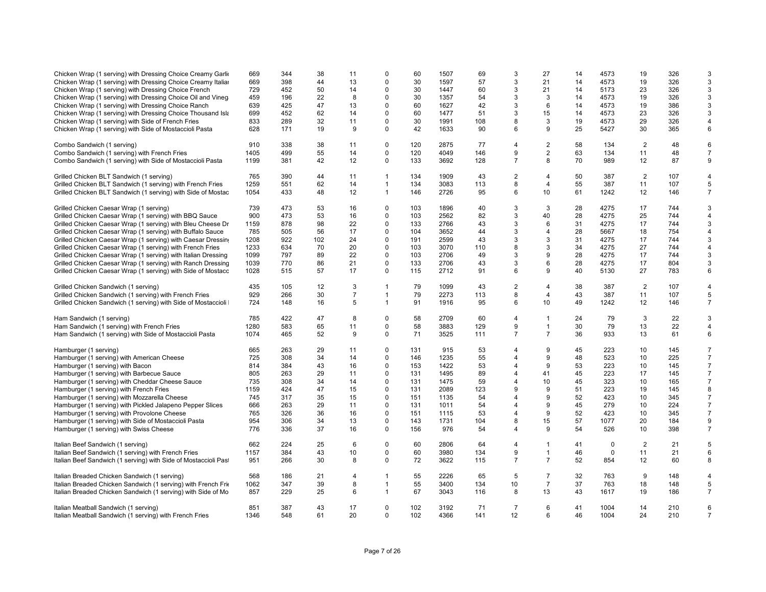| Chicken Wrap (1 serving) with Dressing Choice Creamy Garlio<br>Chicken Wrap (1 serving) with Dressing Choice Creamy Italian<br>Chicken Wrap (1 serving) with Dressing Choice French<br>Chicken Wrap (1 serving) with Dressing Choice Oil and Vineg<br>Chicken Wrap (1 serving) with Dressing Choice Ranch<br>Chicken Wrap (1 serving) with Dressing Choice Thousand Isla<br>Chicken Wrap (1 serving) with Side of French Fries<br>Chicken Wrap (1 serving) with Side of Mostaccioli Pasta | 669<br>669<br>729<br>459<br>639<br>699<br>833<br>628 | 344<br>398<br>452<br>196<br>425<br>452<br>289<br>171 | 38<br>44<br>50<br>22<br>47<br>62<br>32<br>19 | 11<br>13<br>14<br>8<br>13<br>14<br>11<br>9 | $\mathbf 0$<br>$\mathbf 0$<br>$\mathbf 0$<br>$\mathbf 0$<br>$\mathbf 0$<br>$\mathbf 0$<br>$\mathbf 0$<br>$\mathbf 0$ | 60<br>30<br>30<br>30<br>60<br>60<br>30<br>42 | 1507<br>1597<br>1447<br>1357<br>1627<br>1477<br>1991<br>1633 | 69<br>57<br>60<br>54<br>42<br>51<br>108<br>90 | 3<br>3<br>3<br>3<br>3<br>3<br>8<br>6 | 27<br>21<br>21<br>3<br>6<br>15<br>3<br>9 | 14<br>14<br>14<br>14<br>14<br>14<br>19<br>25 | 4573<br>4573<br>5173<br>4573<br>4573<br>4573<br>4573<br>5427 | 19<br>19<br>23<br>19<br>19<br>23<br>29<br>30 | 326<br>326<br>326<br>326<br>386<br>326<br>326<br>365 | 3<br>3<br>3<br>3<br>3<br>3<br>4<br>6 |
|-------------------------------------------------------------------------------------------------------------------------------------------------------------------------------------------------------------------------------------------------------------------------------------------------------------------------------------------------------------------------------------------------------------------------------------------------------------------------------------------|------------------------------------------------------|------------------------------------------------------|----------------------------------------------|--------------------------------------------|----------------------------------------------------------------------------------------------------------------------|----------------------------------------------|--------------------------------------------------------------|-----------------------------------------------|--------------------------------------|------------------------------------------|----------------------------------------------|--------------------------------------------------------------|----------------------------------------------|------------------------------------------------------|--------------------------------------|
| Combo Sandwich (1 serving)                                                                                                                                                                                                                                                                                                                                                                                                                                                                | 910                                                  | 338                                                  | 38                                           | 11                                         | $\mathbf 0$                                                                                                          | 120                                          | 2875                                                         | 77                                            | $\overline{4}$                       | $\overline{2}$                           | 58                                           | 134                                                          | 2                                            | 48                                                   | 6                                    |
| Combo Sandwich (1 serving) with French Fries                                                                                                                                                                                                                                                                                                                                                                                                                                              | 1405                                                 | 499                                                  | 55                                           | 14                                         | $\mathbf 0$                                                                                                          | 120                                          | 4049                                                         | 146                                           | 9                                    | $\overline{2}$                           | 63                                           | 134                                                          | 11                                           | 48                                                   | $\overline{7}$                       |
| Combo Sandwich (1 serving) with Side of Mostaccioli Pasta                                                                                                                                                                                                                                                                                                                                                                                                                                 | 1199                                                 | 381                                                  | 42                                           | 12                                         | $\mathbf 0$                                                                                                          | 133                                          | 3692                                                         | 128                                           | $\overline{7}$                       | 8                                        | 70                                           | 989                                                          | 12                                           | 87                                                   | 9                                    |
| Grilled Chicken BLT Sandwich (1 serving)                                                                                                                                                                                                                                                                                                                                                                                                                                                  | 765                                                  | 390                                                  | 44                                           | 11                                         | $\mathbf{1}$                                                                                                         | 134                                          | 1909                                                         | 43                                            | $\overline{c}$                       | 4                                        | 50                                           | 387                                                          | $\overline{2}$                               | 107                                                  | 4                                    |
| Grilled Chicken BLT Sandwich (1 serving) with French Fries                                                                                                                                                                                                                                                                                                                                                                                                                                | 1259                                                 | 551                                                  | 62                                           | 14                                         | $\mathbf{1}$                                                                                                         | 134                                          | 3083                                                         | 113                                           | 8                                    | 4                                        | 55                                           | 387                                                          | 11                                           | 107                                                  | 5                                    |
| Grilled Chicken BLT Sandwich (1 serving) with Side of Mostac                                                                                                                                                                                                                                                                                                                                                                                                                              | 1054                                                 | 433                                                  | 48                                           | 12                                         | $\mathbf{1}$                                                                                                         | 146                                          | 2726                                                         | 95                                            | 6                                    | 10                                       | 61                                           | 1242                                                         | 12                                           | 146                                                  | $\overline{7}$                       |
| Grilled Chicken Caesar Wrap (1 serving)                                                                                                                                                                                                                                                                                                                                                                                                                                                   | 739                                                  | 473                                                  | 53                                           | 16                                         | $\mathbf 0$                                                                                                          | 103                                          | 1896                                                         | 40                                            | 3                                    | 3                                        | 28                                           | 4275                                                         | 17                                           | 744                                                  | 3                                    |
| Grilled Chicken Caesar Wrap (1 serving) with BBQ Sauce                                                                                                                                                                                                                                                                                                                                                                                                                                    | 900                                                  | 473                                                  | 53                                           | 16                                         | $\mathbf 0$                                                                                                          | 103                                          | 2562                                                         | 82                                            | 3                                    | 40                                       | 28                                           | 4275                                                         | 25                                           | 744                                                  | 4                                    |
| Grilled Chicken Caesar Wrap (1 serving) with Bleu Cheese Dr                                                                                                                                                                                                                                                                                                                                                                                                                               | 1159                                                 | 878                                                  | 98                                           | 22                                         | $\mathbf 0$                                                                                                          | 133                                          | 2766                                                         | 43                                            | 3                                    | 6                                        | 31                                           | 4275                                                         | 17                                           | 744                                                  | 3                                    |
| Grilled Chicken Caesar Wrap (1 serving) with Buffalo Sauce                                                                                                                                                                                                                                                                                                                                                                                                                                | 785                                                  | 505                                                  | 56                                           | 17                                         | $\mathbf 0$                                                                                                          | 104                                          | 3652                                                         | 44                                            | 3                                    | $\overline{4}$                           | 28                                           | 5667                                                         | 18                                           | 754                                                  | $\overline{4}$                       |
| Grilled Chicken Caesar Wrap (1 serving) with Caesar Dressing                                                                                                                                                                                                                                                                                                                                                                                                                              | 1208                                                 | 922                                                  | 102                                          | 24                                         | $\mathbf 0$                                                                                                          | 191                                          | 2599                                                         | 43                                            | 3                                    | 3                                        | 31                                           | 4275                                                         | 17                                           | 744                                                  | 3                                    |
| Grilled Chicken Caesar Wrap (1 serving) with French Fries                                                                                                                                                                                                                                                                                                                                                                                                                                 | 1233                                                 | 634                                                  | 70                                           | 20                                         | $\Omega$                                                                                                             | 103                                          | 3070                                                         | 110                                           | 8                                    | 3                                        | 34                                           | 4275                                                         | 27                                           | 744                                                  | 4                                    |
| Grilled Chicken Caesar Wrap (1 serving) with Italian Dressing                                                                                                                                                                                                                                                                                                                                                                                                                             | 1099                                                 | 797                                                  | 89                                           | 22                                         | $\mathbf 0$                                                                                                          | 103                                          | 2706                                                         | 49                                            | 3                                    | 9                                        | 28                                           | 4275                                                         | 17                                           | 744                                                  | 3                                    |
| Grilled Chicken Caesar Wrap (1 serving) with Ranch Dressing                                                                                                                                                                                                                                                                                                                                                                                                                               | 1039                                                 | 770                                                  | 86                                           | 21                                         | $\mathbf 0$                                                                                                          | 133                                          | 2706                                                         | 43                                            | 3                                    | 6                                        | 28                                           | 4275                                                         | 17                                           | 804                                                  | 3                                    |
| Grilled Chicken Caesar Wrap (1 serving) with Side of Mostacc                                                                                                                                                                                                                                                                                                                                                                                                                              | 1028                                                 | 515                                                  | 57                                           | 17                                         | $\mathbf 0$                                                                                                          | 115                                          | 2712                                                         | 91                                            | 6                                    | 9                                        | 40                                           | 5130                                                         | 27                                           | 783                                                  | 6                                    |
| Grilled Chicken Sandwich (1 serving)                                                                                                                                                                                                                                                                                                                                                                                                                                                      | 435                                                  | 105                                                  | 12                                           | 3                                          | $\overline{1}$                                                                                                       | 79                                           | 1099                                                         | 43                                            | $\overline{2}$                       | $\overline{4}$                           | 38                                           | 387                                                          | 2                                            | 107                                                  | $\overline{4}$                       |
| Grilled Chicken Sandwich (1 serving) with French Fries                                                                                                                                                                                                                                                                                                                                                                                                                                    | 929                                                  | 266                                                  | 30                                           | $\overline{7}$                             | $\mathbf{1}$                                                                                                         | 79                                           | 2273                                                         | 113                                           | 8                                    | $\overline{4}$                           | 43                                           | 387                                                          | 11                                           | 107                                                  | 5                                    |
| Grilled Chicken Sandwich (1 serving) with Side of Mostaccioli                                                                                                                                                                                                                                                                                                                                                                                                                             | 724                                                  | 148                                                  | 16                                           | 5                                          | $\mathbf{1}$                                                                                                         | 91                                           | 1916                                                         | 95                                            | 6                                    | 10                                       | 49                                           | 1242                                                         | 12                                           | 146                                                  | $\overline{7}$                       |
| Ham Sandwich (1 serving)                                                                                                                                                                                                                                                                                                                                                                                                                                                                  | 785                                                  | 422                                                  | 47                                           | 8                                          | $\mathbf 0$                                                                                                          | 58                                           | 2709                                                         | 60                                            | 4                                    | $\mathbf{1}$                             | 24                                           | 79                                                           | 3                                            | 22                                                   | 3                                    |
| Ham Sandwich (1 serving) with French Fries                                                                                                                                                                                                                                                                                                                                                                                                                                                | 1280                                                 | 583                                                  | 65                                           | 11                                         | $\mathbf 0$                                                                                                          | 58                                           | 3883                                                         | 129                                           | 9                                    | $\mathbf{1}$                             | 30                                           | 79                                                           | 13                                           | 22                                                   | 4                                    |
| Ham Sandwich (1 serving) with Side of Mostaccioli Pasta                                                                                                                                                                                                                                                                                                                                                                                                                                   | 1074                                                 | 465                                                  | 52                                           | 9                                          | $\mathbf 0$                                                                                                          | 71                                           | 3525                                                         | 111                                           | $\overline{7}$                       | $\overline{7}$                           | 36                                           | 933                                                          | 13                                           | 61                                                   | 6                                    |
| Hamburger (1 serving)                                                                                                                                                                                                                                                                                                                                                                                                                                                                     | 665                                                  | 263                                                  | 29                                           | 11                                         | $\mathbf 0$                                                                                                          | 131                                          | 915                                                          | 53                                            | $\overline{4}$                       | 9                                        | 45                                           | 223                                                          | 10                                           | 145                                                  | $\overline{7}$                       |
| Hamburger (1 serving) with American Cheese                                                                                                                                                                                                                                                                                                                                                                                                                                                | 725                                                  | 308                                                  | 34                                           | 14                                         | $\mathbf 0$                                                                                                          | 146                                          | 1235                                                         | 55                                            | $\overline{4}$                       | 9                                        | 48                                           | 523                                                          | 10                                           | 225                                                  | $\overline{7}$                       |
| Hamburger (1 serving) with Bacon                                                                                                                                                                                                                                                                                                                                                                                                                                                          | 814                                                  | 384                                                  | 43                                           | 16                                         | $\mathbf 0$                                                                                                          | 153                                          | 1422                                                         | 53                                            | 4                                    | 9                                        | 53                                           | 223                                                          | 10                                           | 145                                                  | $\overline{7}$                       |
| Hamburger (1 serving) with Barbecue Sauce                                                                                                                                                                                                                                                                                                                                                                                                                                                 | 805                                                  | 263                                                  | 29                                           | 11                                         | $\mathbf 0$                                                                                                          | 131                                          | 1495                                                         | 89                                            | 4                                    | 41                                       | 45                                           | 223                                                          | 17                                           | 145                                                  | $\overline{7}$                       |
| Hamburger (1 serving) with Cheddar Cheese Sauce                                                                                                                                                                                                                                                                                                                                                                                                                                           | 735                                                  | 308                                                  | 34                                           | 14                                         | $\mathbf 0$                                                                                                          | 131                                          | 1475                                                         | 59                                            | 4                                    | 10                                       | 45                                           | 323                                                          | 10                                           | 165                                                  | $\overline{7}$                       |
| Hamburger (1 serving) with French Fries                                                                                                                                                                                                                                                                                                                                                                                                                                                   | 1159                                                 | 424                                                  | 47                                           | 15                                         | $\mathbf 0$                                                                                                          | 131                                          | 2089                                                         | 123                                           | 9                                    | 9                                        | 51                                           | 223                                                          | 19                                           | 145                                                  | 8                                    |
| Hamburger (1 serving) with Mozzarella Cheese                                                                                                                                                                                                                                                                                                                                                                                                                                              | 745                                                  | 317                                                  | 35                                           | 15                                         | $\mathbf 0$                                                                                                          | 151                                          | 1135                                                         | 54                                            | 4                                    | 9                                        | 52                                           | 423                                                          | 10                                           | 345                                                  | $\overline{7}$                       |
| Hamburger (1 serving) with Pickled Jalapeno Pepper Slices                                                                                                                                                                                                                                                                                                                                                                                                                                 | 666                                                  | 263                                                  | 29                                           | 11                                         | $\mathbf 0$                                                                                                          | 131                                          | 1011                                                         | 54                                            | $\overline{4}$                       | 9                                        | 45                                           | 279                                                          | 10                                           | 224                                                  | $\overline{7}$                       |
| Hamburger (1 serving) with Provolone Cheese                                                                                                                                                                                                                                                                                                                                                                                                                                               | 765                                                  | 326                                                  | 36                                           | 16                                         | $\mathsf 0$                                                                                                          | 151                                          | 1115                                                         | 53                                            | 4                                    | 9                                        | 52                                           | 423                                                          | 10                                           | 345                                                  | $\overline{7}$                       |
| Hamburger (1 serving) with Side of Mostaccioli Pasta                                                                                                                                                                                                                                                                                                                                                                                                                                      | 954                                                  | 306                                                  | 34                                           | 13                                         | $\mathbf 0$                                                                                                          | 143                                          | 1731                                                         | 104                                           | 8                                    | 15                                       | 57                                           | 1077                                                         | 20                                           | 184                                                  | 9                                    |
| Hamburger (1 serving) with Swiss Cheese                                                                                                                                                                                                                                                                                                                                                                                                                                                   | 776                                                  | 336                                                  | 37                                           | 16                                         | $\mathbf 0$                                                                                                          | 156                                          | 976                                                          | 54                                            | $\overline{4}$                       | 9                                        | 54                                           | 526                                                          | 10                                           | 398                                                  | $\overline{7}$                       |
| Italian Beef Sandwich (1 serving)                                                                                                                                                                                                                                                                                                                                                                                                                                                         | 662                                                  | 224                                                  | 25                                           | 6                                          | $\mathbf 0$                                                                                                          | 60                                           | 2806                                                         | 64                                            | 4                                    | $\mathbf{1}$                             | 41                                           | 0                                                            | $\overline{2}$                               | 21                                                   | 5                                    |
| Italian Beef Sandwich (1 serving) with French Fries                                                                                                                                                                                                                                                                                                                                                                                                                                       | 1157                                                 | 384                                                  | 43                                           | 10                                         | $\mathbf 0$                                                                                                          | 60                                           | 3980                                                         | 134                                           | 9                                    | $\mathbf{1}$                             | 46                                           | $\mathbf 0$                                                  | 11                                           | 21                                                   | 6                                    |
| Italian Beef Sandwich (1 serving) with Side of Mostaccioli Past                                                                                                                                                                                                                                                                                                                                                                                                                           | 951                                                  | 266                                                  | 30                                           | 8                                          | $\Omega$                                                                                                             | 72                                           | 3622                                                         | 115                                           | $\overline{7}$                       | $\overline{7}$                           | 52                                           | 854                                                          | 12                                           | 60                                                   | 8                                    |
| Italian Breaded Chicken Sandwich (1 serving)                                                                                                                                                                                                                                                                                                                                                                                                                                              | 568                                                  | 186                                                  | 21                                           | 4                                          | $\mathbf{1}$                                                                                                         | 55                                           | 2226                                                         | 65                                            | 5                                    | $\overline{7}$                           | 32                                           | 763                                                          | 9                                            | 148                                                  | $\overline{4}$                       |
| Italian Breaded Chicken Sandwich (1 serving) with French Frie                                                                                                                                                                                                                                                                                                                                                                                                                             | 1062                                                 | 347                                                  | 39                                           | 8                                          | $\mathbf{1}$                                                                                                         | 55                                           | 3400                                                         | 134                                           | 10                                   | $\overline{7}$                           | 37                                           | 763                                                          | 18                                           | 148                                                  | 5                                    |
| Italian Breaded Chicken Sandwich (1 serving) with Side of Mo                                                                                                                                                                                                                                                                                                                                                                                                                              | 857                                                  | 229                                                  | 25                                           | 6                                          | $\mathbf{1}$                                                                                                         | 67                                           | 3043                                                         | 116                                           | 8                                    | 13                                       | 43                                           | 1617                                                         | 19                                           | 186                                                  | $\overline{7}$                       |
| Italian Meatball Sandwich (1 serving)                                                                                                                                                                                                                                                                                                                                                                                                                                                     | 851                                                  | 387                                                  | 43                                           | 17                                         | $\mathbf 0$                                                                                                          | 102                                          | 3192                                                         | 71                                            | $\overline{7}$                       | 6                                        | 41                                           | 1004                                                         | 14                                           | 210                                                  | 6                                    |
| Italian Meatball Sandwich (1 serving) with French Fries                                                                                                                                                                                                                                                                                                                                                                                                                                   | 1346                                                 | 548                                                  | 61                                           | 20                                         | 0                                                                                                                    | 102                                          | 4366                                                         | 141                                           | 12                                   | 6                                        | 46                                           | 1004                                                         | 24                                           | 210                                                  | $\overline{7}$                       |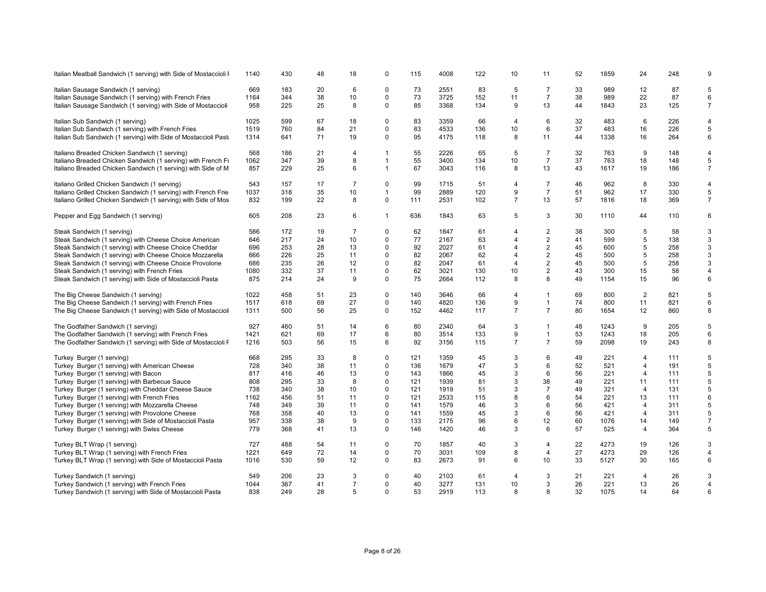| Italian Meatball Sandwich (1 serving) with Side of Mostaccioli I | 1140 | 430 | 48 | 18             | $\Omega$       | 115 | 4008 | 122 | 10             | 11             | 52 | 1859 | 24             | 248 | 9              |
|------------------------------------------------------------------|------|-----|----|----------------|----------------|-----|------|-----|----------------|----------------|----|------|----------------|-----|----------------|
| Italian Sausage Sandwich (1 serving)                             | 669  | 183 | 20 | 6              | 0              | 73  | 2551 | 83  | 5              | $\overline{7}$ | 33 | 989  | 12             | 87  | 5              |
| Italian Sausage Sandwich (1 serving) with French Fries           | 1164 | 344 | 38 | 10             | $\Omega$       | 73  | 3725 | 152 | 11             | $\overline{7}$ | 38 | 989  | 22             | 87  | 6              |
| Italian Sausage Sandwich (1 serving) with Side of Mostaccioli    | 958  | 225 | 25 | 8              | $\Omega$       | 85  | 3368 | 134 | 9              | 13             | 44 | 1843 | 23             | 125 | $\overline{7}$ |
| Italian Sub Sandwich (1 serving)                                 | 1025 | 599 | 67 | 18             | $\Omega$       | 83  | 3359 | 66  | $\overline{4}$ | 6              | 32 | 483  | 6              | 226 | $\overline{4}$ |
| Italian Sub Sandwich (1 serving) with French Fries               | 1519 | 760 | 84 | 21             | $\Omega$       | 83  | 4533 | 136 | 10             | 6              | 37 | 483  | 16             | 226 | $\overline{5}$ |
| Italian Sub Sandwich (1 serving) with Side of Mostaccioli Past   | 1314 | 641 | 71 | 19             | $\Omega$       | 95  | 4175 | 118 | 8              | 11             | 44 | 1338 | 16             | 264 | 6              |
| Italiano Breaded Chicken Sandwich (1 serving)                    | 568  | 186 | 21 | $\overline{4}$ | -1             | 55  | 2226 | 65  | 5              | $\overline{7}$ | 32 | 763  | 9              | 148 | $\overline{4}$ |
| Italiano Breaded Chicken Sandwich (1 serving) with French Fi     | 1062 | 347 | 39 | 8              | $\mathbf{1}$   | 55  | 3400 | 134 | 10             | $\overline{7}$ | 37 | 763  | 18             | 148 | 5              |
| Italiano Breaded Chicken Sandwich (1 serving) with Side of M     | 857  | 229 | 25 | 6              | $\overline{1}$ | 67  | 3043 | 116 | 8              | 13             | 43 | 1617 | 19             | 186 | $\overline{7}$ |
| Italiano Grilled Chicken Sandwich (1 serving)                    | 543  | 157 | 17 | $\overline{7}$ | $\Omega$       | 99  | 1715 | 51  | $\overline{4}$ | $\overline{7}$ | 46 | 962  | 8              | 330 | $\overline{4}$ |
| Italiano Grilled Chicken Sandwich (1 serving) with French Frie   | 1037 | 318 | 35 | 10             | $\overline{1}$ | 99  | 2889 | 120 | 9              | $\overline{7}$ | 51 | 962  | 17             | 330 | $\sqrt{5}$     |
| Italiano Grilled Chicken Sandwich (1 serving) with Side of Mos   | 832  | 199 | 22 | 8              | 0              | 111 | 2531 | 102 | $\overline{7}$ | 13             | 57 | 1816 | 18             | 369 | $\overline{7}$ |
| Pepper and Egg Sandwich (1 serving)                              | 605  | 208 | 23 | 6              | $\mathbf{1}$   | 636 | 1843 | 63  | 5              | 3              | 30 | 1110 | 44             | 110 | 6              |
| Steak Sandwich (1 serving)                                       | 586  | 172 | 19 | $\overline{7}$ | $\mathbf 0$    | 62  | 1847 | 61  | $\overline{4}$ | $\overline{c}$ | 38 | 300  | 5              | 58  | 3              |
| Steak Sandwich (1 serving) with Cheese Choice American           | 646  | 217 | 24 | 10             | $\mathbf 0$    | 77  | 2167 | 63  | $\overline{4}$ | $\overline{2}$ | 41 | 599  | 5              | 138 | 3              |
| Steak Sandwich (1 serving) with Cheese Choice Cheddar            | 696  | 253 | 28 | 13             | $\Omega$       | 92  | 2027 | 61  | 4              | $\overline{2}$ | 45 | 600  | 5              | 258 | $\mathbf{3}$   |
| Steak Sandwich (1 serving) with Cheese Choice Mozzarella         | 666  | 226 | 25 | 11             | $\mathbf 0$    | 82  | 2067 | 62  | $\overline{4}$ | $\overline{2}$ | 45 | 500  | 5              | 258 | $\mathbf{3}$   |
| Steak Sandwich (1 serving) with Cheese Choice Provolone          | 686  | 235 | 26 | 12             | 0              | 82  | 2047 | 61  | $\overline{4}$ | $\overline{c}$ | 45 | 500  | 5              | 258 | 3              |
| Steak Sandwich (1 serving) with French Fries                     | 1080 | 332 | 37 | 11             | $\Omega$       | 62  | 3021 | 130 | 10             | $\overline{c}$ | 43 | 300  | 15             | 58  | $\overline{4}$ |
| Steak Sandwich (1 serving) with Side of Mostaccioli Pasta        | 875  | 214 | 24 | 9              | $\Omega$       | 75  | 2664 | 112 | 8              | 8              | 49 | 1154 | 15             | 96  | 6              |
| The Big Cheese Sandwich (1 serving)                              | 1022 | 458 | 51 | 23             | $\mathbf 0$    | 140 | 3646 | 66  | 4              | $\mathbf{1}$   | 69 | 800  | 2              | 821 | 5              |
| The Big Cheese Sandwich (1 serving) with French Fries            | 1517 | 618 | 69 | 27             | $\mathbf 0$    | 140 | 4820 | 136 | 9              | $\mathbf{1}$   | 74 | 800  | 11             | 821 | 6              |
| The Big Cheese Sandwich (1 serving) with Side of Mostaccioli     | 1311 | 500 | 56 | 25             | 0              | 152 | 4462 | 117 | $\overline{7}$ | $\overline{7}$ | 80 | 1654 | 12             | 860 | 8              |
| The Godfather Sandwich (1 serving)                               | 927  | 460 | 51 | 14             | 6              | 80  | 2340 | 64  | 3              | $\mathbf{1}$   | 48 | 1243 | 9              | 205 | $\sqrt{5}$     |
| The Godfather Sandwich (1 serving) with French Fries             | 1421 | 621 | 69 | 17             | 6              | 80  | 3514 | 133 | 9              | $\mathbf{1}$   | 53 | 1243 | 18             | 205 | 6              |
| The Godfather Sandwich (1 serving) with Side of Mostaccioli F    | 1216 | 503 | 56 | 15             | 6              | 92  | 3156 | 115 | $\overline{7}$ | $\overline{7}$ | 59 | 2098 | 19             | 243 | 8              |
| Turkey Burger (1 serving)                                        | 668  | 295 | 33 | 8              | $\mathbf 0$    | 121 | 1359 | 45  | 3              | 6              | 49 | 221  | 4              | 111 | 5              |
| Turkey Burger (1 serving) with American Cheese                   | 728  | 340 | 38 | 11             | $\mathbf 0$    | 136 | 1679 | 47  | 3              | 6              | 52 | 521  | $\overline{4}$ | 191 | 5              |
| Turkey Burger (1 serving) with Bacon                             | 817  | 416 | 46 | 13             | 0              | 143 | 1866 | 45  | 3              | 6              | 56 | 221  | $\overline{4}$ | 111 | 5              |
| Turkey Burger (1 serving) with Barbecue Sauce                    | 808  | 295 | 33 | 8              | 0              | 121 | 1939 | 81  | 3              | 38             | 49 | 221  | 11             | 111 | 5              |
| Turkey Burger (1 serving) with Cheddar Cheese Sauce              | 738  | 340 | 38 | 10             | $\Omega$       | 121 | 1919 | 51  | 3              | $\overline{7}$ | 49 | 321  | $\overline{4}$ | 131 | 5              |
| Turkey Burger (1 serving) with French Fries                      | 1162 | 456 | 51 | 11             | $\Omega$       | 121 | 2533 | 115 | 8              | 6              | 54 | 221  | 13             | 111 | 6              |
| Turkey Burger (1 serving) with Mozzarella Cheese                 | 748  | 349 | 39 | 11             | $\Omega$       | 141 | 1579 | 46  | 3              | 6              | 56 | 421  | 4              | 311 | 5              |
| Turkey Burger (1 serving) with Provolone Cheese                  | 768  | 358 | 40 | 13             | 0              | 141 | 1559 | 45  | 3              | 6              | 56 | 421  | $\overline{4}$ | 311 | 5              |
| Turkey Burger (1 serving) with Side of Mostaccioli Pasta         | 957  | 338 | 38 | 9              | $\Omega$       | 133 | 2175 | 96  | 6              | 12             | 60 | 1076 | 14             | 149 | $\overline{7}$ |
| Turkey Burger (1 serving) with Swiss Cheese                      | 779  | 368 | 41 | 13             | $\mathbf 0$    | 146 | 1420 | 46  | 3              | 6              | 57 | 525  | $\overline{4}$ | 364 | 5              |
| Turkey BLT Wrap (1 serving)                                      | 727  | 488 | 54 | 11             | 0              | 70  | 1857 | 40  | 3              | 4              | 22 | 4273 | 19             | 126 | 3              |
| Turkey BLT Wrap (1 serving) with French Fries                    | 1221 | 649 | 72 | 14             | $\Omega$       | 70  | 3031 | 109 | 8              | 4              | 27 | 4273 | 29             | 126 | $\overline{4}$ |
| Turkey BLT Wrap (1 serving) with Side of Mostaccioli Pasta       | 1016 | 530 | 59 | 12             | $\Omega$       | 83  | 2673 | 91  | 6              | 10             | 33 | 5127 | 30             | 165 | $\,6\,$        |
| Turkey Sandwich (1 serving)                                      | 549  | 206 | 23 | 3              | $\Omega$       | 40  | 2103 | 61  | 4              | 3              | 21 | 221  | 4              | 26  | 3              |
| Turkey Sandwich (1 serving) with French Fries                    | 1044 | 367 | 41 | $\overline{7}$ | $\Omega$       | 40  | 3277 | 131 | 10             | 3              | 26 | 221  | 13             | 26  | $\overline{4}$ |
| Turkey Sandwich (1 serving) with Side of Mostaccioli Pasta       | 838  | 249 | 28 | 5              | $\Omega$       | 53  | 2919 | 113 | 8              | 8              | 32 | 1075 | 14             | 64  | 6              |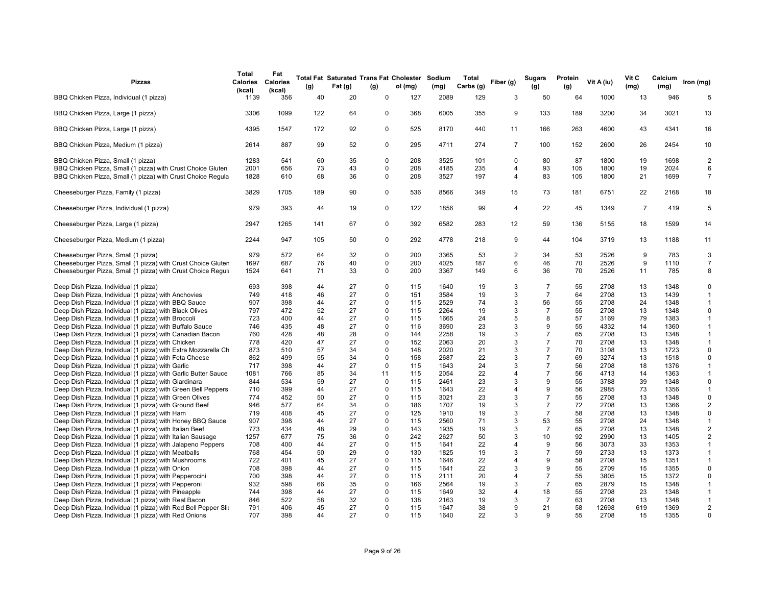| <b>Pizzas</b>                                                                                                                | Total<br>Calories<br>(kcal) | Fat<br><b>Calories</b><br>(kcal) | (g)      | Fat (g)  | (g)                        | Total Fat Saturated Trans Fat Cholester Sodium<br>ol (mg) | (mg)         | Total<br>Carbs (g) | Fiber (g)           | <b>Sugars</b><br>(g) | Protein<br>(g) | Vit A (iu)   | Vit C<br>(mg)  | Calcium<br>(mg) | Iron (mg)                |
|------------------------------------------------------------------------------------------------------------------------------|-----------------------------|----------------------------------|----------|----------|----------------------------|-----------------------------------------------------------|--------------|--------------------|---------------------|----------------------|----------------|--------------|----------------|-----------------|--------------------------|
| BBQ Chicken Pizza, Individual (1 pizza)                                                                                      | 1139                        | 356                              | 40       | 20       | $\mathbf 0$                | 127                                                       | 2089         | 129                | 3                   | 50                   | 64             | 1000         | 13             | 946             | 5                        |
| BBQ Chicken Pizza, Large (1 pizza)                                                                                           | 3306                        | 1099                             | 122      | 64       | $\mathbf 0$                | 368                                                       | 6005         | 355                | 9                   | 133                  | 189            | 3200         | 34             | 3021            | 13                       |
| BBQ Chicken Pizza, Large (1 pizza)                                                                                           | 4395                        | 1547                             | 172      | 92       | 0                          | 525                                                       | 8170         | 440                | 11                  | 166                  | 263            | 4600         | 43             | 4341            | 16                       |
| BBQ Chicken Pizza, Medium (1 pizza)                                                                                          | 2614                        | 887                              | 99       | 52       | 0                          | 295                                                       | 4711         | 274                | $\overline{7}$      | 100                  | 152            | 2600         | 26             | 2454            | 10                       |
| BBQ Chicken Pizza, Small (1 pizza)                                                                                           | 1283                        | 541                              | 60       | 35       | $\mathbf 0$                | 208                                                       | 3525         | 101                | $\Omega$            | 80                   | 87             | 1800         | 19             | 1698            | $\sqrt{2}$               |
| BBQ Chicken Pizza, Small (1 pizza) with Crust Choice Gluten<br>BBQ Chicken Pizza, Small (1 pizza) with Crust Choice Regula   | 2001<br>1828                | 656<br>610                       | 73<br>68 | 43<br>36 | 0<br>$\mathbf 0$           | 208<br>208                                                | 4185<br>3527 | 235<br>197         | 4<br>$\overline{4}$ | 93<br>83             | 105<br>105     | 1800<br>1800 | 19<br>21       | 2024<br>1699    | 6<br>$\overline{7}$      |
| Cheeseburger Pizza, Family (1 pizza)                                                                                         | 3829                        | 1705                             | 189      | 90       | 0                          | 536                                                       | 8566         | 349                | 15                  | 73                   | 181            | 6751         | 22             | 2168            | 18                       |
| Cheeseburger Pizza, Individual (1 pizza)                                                                                     | 979                         | 393                              | 44       | 19       | $\mathbf 0$                | 122                                                       | 1856         | 99                 | $\overline{4}$      | 22                   | 45             | 1349         | $\overline{7}$ | 419             | 5                        |
| Cheeseburger Pizza, Large (1 pizza)                                                                                          | 2947                        | 1265                             | 141      | 67       | 0                          | 392                                                       | 6582         | 283                | 12                  | 59                   | 136            | 5155         | 18             | 1599            | 14                       |
| Cheeseburger Pizza, Medium (1 pizza)                                                                                         | 2244                        | 947                              | 105      | 50       | 0                          | 292                                                       | 4778         | 218                | 9                   | 44                   | 104            | 3719         | 13             | 1188            | 11                       |
| Cheeseburger Pizza, Small (1 pizza)                                                                                          | 979                         | 572                              | 64       | 32       | $\mathbf 0$                | 200                                                       | 3365         | 53                 | 2                   | 34                   | 53             | 2526         | 9              | 783             | 3                        |
| Cheeseburger Pizza, Small (1 pizza) with Crust Choice Gluter<br>Cheeseburger Pizza, Small (1 pizza) with Crust Choice Regula | 1697<br>1524                | 687<br>641                       | 76<br>71 | 40<br>33 | $\mathbf 0$<br>$\mathbf 0$ | 200<br>200                                                | 4025<br>3367 | 187<br>149         | 6<br>6              | 46<br>36             | 70<br>70       | 2526<br>2526 | 9<br>11        | 1110<br>785     | $\overline{7}$<br>8      |
|                                                                                                                              |                             |                                  |          |          |                            |                                                           |              |                    |                     |                      |                |              |                |                 |                          |
| Deep Dish Pizza, Individual (1 pizza)                                                                                        | 693                         | 398                              | 44       | 27       | $\mathbf 0$                | 115                                                       | 1640         | 19                 | 3                   | $\overline{7}$       | 55             | 2708         | 13             | 1348            | $\Omega$                 |
| Deep Dish Pizza, Individual (1 pizza) with Anchovies                                                                         | 749                         | 418                              | 46       | 27       | $\mathbf 0$                | 151                                                       | 3584         | 19                 | 3<br>3              | $\overline{7}$       | 64             | 2708         | 13             | 1439            | $\mathbf{1}$             |
| Deep Dish Pizza, Individual (1 pizza) with BBQ Sauce                                                                         | 907<br>797                  | 398<br>472                       | 44       | 27<br>27 | $\Omega$<br>$\Omega$       | 115<br>115                                                | 2529<br>2264 | 74<br>19           | 3                   | 56<br>$\overline{7}$ | 55<br>55       | 2708<br>2708 | 24             | 1348<br>1348    | $\mathbf{1}$<br>$\Omega$ |
| Deep Dish Pizza, Individual (1 pizza) with Black Olives<br>Deep Dish Pizza, Individual (1 pizza) with Broccoli               | 723                         | 400                              | 52<br>44 | 27       | $\mathbf 0$                | 115                                                       | 1665         | 24                 | 5                   | 8                    | 57             | 3169         | 13<br>79       | 1383            | $\mathbf{1}$             |
|                                                                                                                              | 746                         | 435                              | 48       | 27       | $\mathbf 0$                | 116                                                       | 3690         | 23                 | 3                   | 9                    | 55             | 4332         | 14             | 1360            | $\mathbf{1}$             |
| Deep Dish Pizza, Individual (1 pizza) with Buffalo Sauce                                                                     |                             |                                  |          |          | $\Omega$                   |                                                           |              |                    | 3                   | $\overline{7}$       | 65             |              |                |                 | $\mathbf{1}$             |
| Deep Dish Pizza, Individual (1 pizza) with Canadian Bacon                                                                    | 760<br>778                  | 428<br>420                       | 48<br>47 | 28<br>27 | $\mathbf 0$                | 144<br>152                                                | 2258<br>2063 | 19<br>20           | 3                   | $\overline{7}$       | 70             | 2708<br>2708 | 13<br>13       | 1348<br>1348    | $\mathbf{1}$             |
| Deep Dish Pizza, Individual (1 pizza) with Chicken                                                                           | 873                         | 510                              | 57       | 34       | $\mathbf 0$                | 148                                                       | 2020         | 21                 | 3                   | $\overline{7}$       | 70             | 3108         | 13             | 1723            | $\Omega$                 |
| Deep Dish Pizza, Individual (1 pizza) with Extra Mozzarella Ch                                                               | 862                         | 499                              | 55       | 34       | $\mathbf 0$                | 158                                                       | 2687         | 22                 | 3                   | $\overline{7}$       | 69             | 3274         | 13             | 1518            | $\Omega$                 |
| Deep Dish Pizza, Individual (1 pizza) with Feta Cheese                                                                       | 717                         | 398                              | 44       | 27       | $\mathbf 0$                | 115                                                       | 1643         | 24                 | 3                   | $\overline{7}$       | 56             | 2708         | 18             | 1376            | $\mathbf{1}$             |
| Deep Dish Pizza, Individual (1 pizza) with Garlic                                                                            | 1081                        | 766                              | 85       | 34       | 11                         | 115                                                       | 2054         | 22                 | 4                   | $\overline{7}$       | 56             | 4713         | 14             | 1363            | $\mathbf{1}$             |
| Deep Dish Pizza, Individual (1 pizza) with Garlic Butter Sauce                                                               | 844                         | 534                              | 59       | 27       | $\mathbf 0$                | 115                                                       | 2461         | 23                 | 3                   | 9                    | 55             | 3788         | 39             | 1348            | $\Omega$                 |
| Deep Dish Pizza, Individual (1 pizza) with Giardinara<br>Deep Dish Pizza, Individual (1 pizza) with Green Bell Peppers       | 710                         | 399                              | 44       | 27       | $\mathbf 0$                | 115                                                       | 1643         | 22                 | 4                   | 9                    | 56             | 2985         | 73             | 1356            | $\mathbf{1}$             |
| Deep Dish Pizza, Individual (1 pizza) with Green Olives                                                                      | 774                         | 452                              | 50       | 27       | $\Omega$                   | 115                                                       | 3021         | 23                 | 3                   | $\overline{7}$       | 55             | 2708         | 13             | 1348            | $\Omega$                 |
| Deep Dish Pizza, Individual (1 pizza) with Ground Beef                                                                       | 946                         | 577                              | 64       | 34       | $\mathbf 0$                | 186                                                       | 1707         | 19                 | 3                   | $\overline{7}$       | 72             | 2708         | 13             | 1366            | 2                        |
| Deep Dish Pizza, Individual (1 pizza) with Ham                                                                               | 719                         | 408                              | 45       | 27       | $\mathbf 0$                | 125                                                       | 1910         | 19                 | 3                   | $\overline{7}$       | 58             | 2708         | 13             | 1348            | $\mathbf 0$              |
| Deep Dish Pizza, Individual (1 pizza) with Honey BBQ Sauce                                                                   | 907                         | 398                              | 44       | 27       | $\Omega$                   | 115                                                       | 2560         | 71                 | 3                   | 53                   | 55             | 2708         | 24             | 1348            | $\mathbf{1}$             |
| Deep Dish Pizza, Individual (1 pizza) with Italian Beef                                                                      | 773                         | 434                              | 48       | 29       | $\Omega$                   | 143                                                       | 1935         | 19                 | 3                   | $\overline{7}$       | 65             | 2708         | 13             | 1348            | 2                        |
| Deep Dish Pizza, Individual (1 pizza) with Italian Sausage                                                                   | 1257                        | 677                              | 75       | 36       | $\mathbf 0$                | 242                                                       | 2627         | 50                 | 3                   | 10                   | 92             | 2990         | 13             | 1405            | $\overline{2}$           |
| Deep Dish Pizza, Individual (1 pizza) with Jalapeno Peppers                                                                  | 708                         | 400                              | 44       | 27       | $\Omega$                   | 115                                                       | 1641         | 22                 | 4                   | 9                    | 56             | 3073         | 33             | 1353            | $\mathbf{1}$             |
| Deep Dish Pizza, Individual (1 pizza) with Meatballs                                                                         | 768                         | 454                              | 50       | 29       | $\Omega$                   | 130                                                       | 1825         | 19                 | 3                   | $\overline{7}$       | 59             | 2733         | 13             | 1373            | $\mathbf{1}$             |
| Deep Dish Pizza, Individual (1 pizza) with Mushrooms                                                                         | 722                         | 401                              | 45       | 27       | $\mathbf 0$                | 115                                                       | 1646         | 22                 | 4                   | 9                    | 58             | 2708         | 15             | 1351            | $\overline{1}$           |
| Deep Dish Pizza, Individual (1 pizza) with Onion                                                                             | 708                         | 398                              | 44       | 27       | $\Omega$                   | 115                                                       | 1641         | 22                 | 3                   | 9                    | 55             | 2709         | 15             | 1355            | $\mathbf 0$              |
| Deep Dish Pizza, Individual (1 pizza) with Pepperocini                                                                       | 700                         | 398                              | 44       | 27       | $\mathbf 0$                | 115                                                       | 2111         | 20                 | 4                   | $\overline{7}$       | 55             | 3805         | 15             | 1372            | $\mathbf 0$              |
| Deep Dish Pizza, Individual (1 pizza) with Pepperoni                                                                         | 932                         | 598                              | 66       | 35       | $\Omega$                   | 166                                                       | 2564         | 19                 | 3                   | $\overline{7}$       | 65             | 2879         | 15             | 1348            | $\mathbf{1}$             |
| Deep Dish Pizza, Individual (1 pizza) with Pineapple                                                                         | 744                         | 398                              | 44       | 27       | $\mathbf 0$                | 115                                                       | 1649         | 32                 | 4                   | 18                   | 55             | 2708         | 23             | 1348            | $\mathbf{1}$             |
| Deep Dish Pizza, Individual (1 pizza) with Real Bacon                                                                        | 846                         | 522                              | 58       | 32       | $\Omega$                   | 138                                                       | 2163         | 19                 | 3                   | $\overline{7}$       | 63             | 2708         | 13             | 1348            | $\mathbf{1}$             |
| Deep Dish Pizza, Individual (1 pizza) with Red Bell Pepper Slio                                                              | 791                         | 406                              | 45       | 27       | $\Omega$                   | 115                                                       | 1647         | 38                 | 9                   | 21                   | 58             | 12698        | 619            | 1369            | $\overline{2}$           |
| Deep Dish Pizza, Individual (1 pizza) with Red Onions                                                                        | 707                         | 398                              | 44       | 27       | $\Omega$                   | 115                                                       | 1640         | 22                 | 3                   | q                    | 55             | 2708         | 15             | 1355            | $\Omega$                 |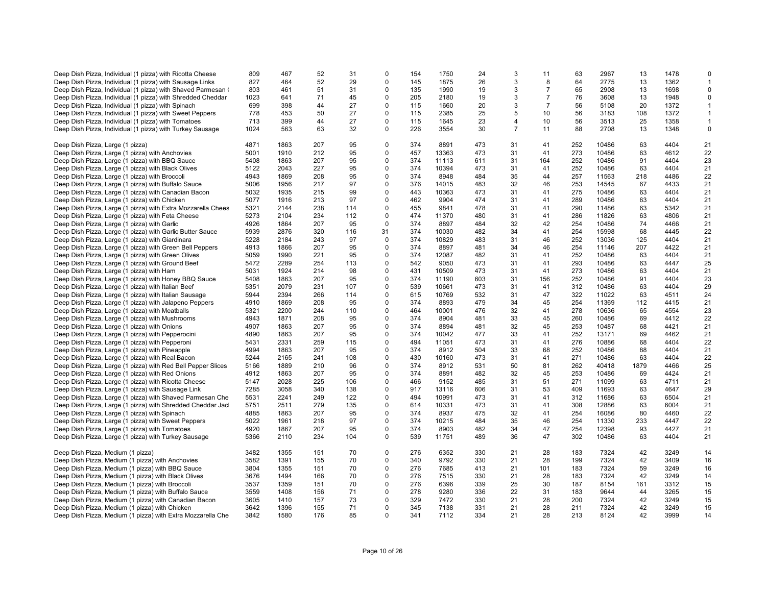| Deep Dish Pizza, Individual (1 pizza) with Ricotta Cheese    | 809  | 467  | 52  | 31  | $\Omega$    | 154 | 1750  | 24  | 3              | 11             | 63  | 2967  | 13   | 1478 | $\Omega$     |
|--------------------------------------------------------------|------|------|-----|-----|-------------|-----|-------|-----|----------------|----------------|-----|-------|------|------|--------------|
| Deep Dish Pizza, Individual (1 pizza) with Sausage Links     | 827  | 464  | 52  | 29  | $\Omega$    | 145 | 1875  | 26  | 3              | 8              | 64  | 2775  | 13   | 1362 | -1           |
| Deep Dish Pizza, Individual (1 pizza) with Shaved Parmesan ( | 803  | 461  | 51  | 31  | 0           | 135 | 1990  | 19  | 3              | $\overline{7}$ | 65  | 2908  | 13   | 1698 | $\mathsf 0$  |
| Deep Dish Pizza, Individual (1 pizza) with Shredded Cheddar  | 1023 | 641  | 71  | 45  | 0           | 205 | 2180  | 19  | 3              | $\overline{7}$ | 76  | 3608  | 13   | 1948 | 0            |
| Deep Dish Pizza, Individual (1 pizza) with Spinach           | 699  | 398  | 44  | 27  | 0           | 115 | 1660  | 20  | 3              | $\overline{7}$ | 56  | 5108  | 20   | 1372 | $\mathbf{1}$ |
|                                                              | 778  |      |     |     | 0           | 115 | 2385  |     | 5              |                |     |       |      |      |              |
| Deep Dish Pizza, Individual (1 pizza) with Sweet Peppers     |      | 453  | 50  | 27  |             |     |       | 25  |                | 10             | 56  | 3183  | 108  | 1372 | $\mathbf{1}$ |
| Deep Dish Pizza, Individual (1 pizza) with Tomatoes          | 713  | 399  | 44  | 27  | $\Omega$    | 115 | 1645  | 23  | 4              | 10             | 56  | 3513  | 25   | 1358 | $\mathbf{1}$ |
| Deep Dish Pizza, Individual (1 pizza) with Turkey Sausage    | 1024 | 563  | 63  | 32  | 0           | 226 | 3554  | 30  | $\overline{7}$ | 11             | 88  | 2708  | 13   | 1348 | $\mathbf 0$  |
| Deep Dish Pizza, Large (1 pizza)                             | 4871 | 1863 | 207 | 95  | 0           | 374 | 8891  | 473 | 31             | 41             | 252 | 10486 | 63   | 4404 | 21           |
| Deep Dish Pizza, Large (1 pizza) with Anchovies              | 5001 | 1910 | 212 | 95  | 0           | 457 | 13363 | 473 | 31             | 41             | 273 | 10486 | 63   | 4612 | 22           |
| Deep Dish Pizza, Large (1 pizza) with BBQ Sauce              | 5408 | 1863 | 207 | 95  | $\Omega$    | 374 | 11113 | 611 | 31             | 164            | 252 | 10486 | 91   | 4404 | 23           |
| Deep Dish Pizza, Large (1 pizza) with Black Olives           | 5122 | 2043 | 227 | 95  | $\Omega$    | 374 | 10394 | 473 | 31             | 41             | 252 | 10486 | 63   | 4404 | 21           |
| Deep Dish Pizza, Large (1 pizza) with Broccoli               | 4943 | 1869 | 208 | 95  | 0           | 374 | 8948  | 484 | 35             | 44             | 257 | 11563 | 218  | 4486 | 22           |
| Deep Dish Pizza, Large (1 pizza) with Buffalo Sauce          | 5006 | 1956 | 217 | 97  | $\Omega$    | 376 | 14015 | 483 | 32             | 46             | 253 | 14545 | 67   | 4433 | 21           |
| Deep Dish Pizza, Large (1 pizza) with Canadian Bacon         | 5032 | 1935 | 215 | 99  | 0           | 443 | 10363 | 473 | 31             | 41             | 275 | 10486 | 63   | 4404 | 21           |
| Deep Dish Pizza, Large (1 pizza) with Chicken                | 5077 | 1916 | 213 | 97  | $\Omega$    | 462 | 9904  | 474 | 31             | 41             | 289 | 10486 | 63   | 4404 | 21           |
| Deep Dish Pizza, Large (1 pizza) with Extra Mozzarella Chees | 5321 | 2144 | 238 | 114 | 0           | 455 | 9841  | 478 | 31             | 41             | 290 | 11486 | 63   | 5342 | 21           |
| Deep Dish Pizza, Large (1 pizza) with Feta Cheese            | 5273 | 2104 | 234 | 112 | 0           | 474 | 11370 | 480 | 31             | 41             | 286 | 11826 | 63   | 4806 | 21           |
|                                                              | 4926 | 1864 | 207 | 95  | $\Omega$    | 374 | 8897  | 484 | 32             | 42             | 254 | 10486 | 74   | 4466 | 21           |
| Deep Dish Pizza, Large (1 pizza) with Garlic                 |      |      |     |     |             |     |       |     |                |                |     |       |      |      |              |
| Deep Dish Pizza, Large (1 pizza) with Garlic Butter Sauce    | 5939 | 2876 | 320 | 116 | 31          | 374 | 10030 | 482 | 34             | 41             | 254 | 15998 | 68   | 4445 | 22           |
| Deep Dish Pizza, Large (1 pizza) with Giardinara             | 5228 | 2184 | 243 | 97  | 0           | 374 | 10829 | 483 | 31             | 46             | 252 | 13036 | 125  | 4404 | 21           |
| Deep Dish Pizza, Large (1 pizza) with Green Bell Peppers     | 4913 | 1866 | 207 | 95  | $\Omega$    | 374 | 8897  | 481 | 34             | 46             | 254 | 11146 | 207  | 4422 | 21           |
| Deep Dish Pizza, Large (1 pizza) with Green Olives           | 5059 | 1990 | 221 | 95  | 0           | 374 | 12087 | 482 | 31             | 41             | 252 | 10486 | 63   | 4404 | 21           |
| Deep Dish Pizza, Large (1 pizza) with Ground Beef            | 5472 | 2289 | 254 | 113 | 0           | 542 | 9050  | 473 | 31             | 41             | 293 | 10486 | 63   | 4447 | 25           |
| Deep Dish Pizza, Large (1 pizza) with Ham                    | 5031 | 1924 | 214 | 98  | $\Omega$    | 431 | 10509 | 473 | 31             | 41             | 273 | 10486 | 63   | 4404 | 21           |
| Deep Dish Pizza, Large (1 pizza) with Honey BBQ Sauce        | 5408 | 1863 | 207 | 95  | 0           | 374 | 11190 | 603 | 31             | 156            | 252 | 10486 | 91   | 4404 | 23           |
| Deep Dish Pizza, Large (1 pizza) with Italian Beef           | 5351 | 2079 | 231 | 107 | $\Omega$    | 539 | 10661 | 473 | 31             | 41             | 312 | 10486 | 63   | 4404 | 29           |
| Deep Dish Pizza, Large (1 pizza) with Italian Sausage        | 5944 | 2394 | 266 | 114 | 0           | 615 | 10769 | 532 | 31             | 47             | 322 | 11022 | 63   | 4511 | 24           |
| Deep Dish Pizza, Large (1 pizza) with Jalapeno Peppers       | 4910 | 1869 | 208 | 95  | $\Omega$    | 374 | 8893  | 479 | 34             | 45             | 254 | 11369 | 112  | 4415 | 21           |
| Deep Dish Pizza, Large (1 pizza) with Meatballs              | 5321 | 2200 | 244 | 110 | 0           | 464 | 10001 | 476 | 32             | 41             | 278 | 10636 | 65   | 4554 | 23           |
| Deep Dish Pizza, Large (1 pizza) with Mushrooms              | 4943 | 1871 | 208 | 95  | 0           | 374 | 8904  | 481 | 33             | 45             | 260 | 10486 | 69   | 4412 | 22           |
| Deep Dish Pizza, Large (1 pizza) with Onions                 | 4907 | 1863 | 207 | 95  | $\mathbf 0$ | 374 | 8894  | 481 | 32             | 45             | 253 | 10487 | 68   | 4421 | 21           |
| Deep Dish Pizza, Large (1 pizza) with Pepperocini            | 4890 | 1863 | 207 | 95  | $\Omega$    | 374 | 10042 | 477 | 33             | 41             | 252 | 13171 | 69   | 4462 | 21           |
| Deep Dish Pizza, Large (1 pizza) with Pepperoni              | 5431 | 2331 | 259 | 115 | 0           | 494 | 11051 | 473 | 31             | 41             | 276 | 10886 | 68   | 4404 | 22           |
| Deep Dish Pizza, Large (1 pizza) with Pineapple              | 4994 | 1863 | 207 | 95  | 0           | 374 | 8912  | 504 | 33             | 68             | 252 | 10486 | 88   | 4404 | 21           |
| Deep Dish Pizza, Large (1 pizza) with Real Bacon             | 5244 | 2165 | 241 | 108 | $\mathbf 0$ | 430 | 10160 | 473 | 31             | 41             | 271 | 10486 | 63   | 4404 | 22           |
| Deep Dish Pizza, Large (1 pizza) with Red Bell Pepper Slices | 5166 | 1889 | 210 | 96  | $\mathbf 0$ | 374 | 8912  | 531 | 50             | 81             | 262 | 40418 | 1879 | 4466 | 25           |
| Deep Dish Pizza, Large (1 pizza) with Red Onions             | 4912 | 1863 | 207 | 95  | $\Omega$    | 374 | 8891  | 482 | 32             | 45             | 253 | 10486 | 69   | 4424 | 21           |
| Deep Dish Pizza, Large (1 pizza) with Ricotta Cheese         | 5147 | 2028 | 225 | 106 | 0           | 466 | 9152  | 485 | 31             | 51             | 271 | 11099 | 63   | 4711 | 21           |
| Deep Dish Pizza, Large (1 pizza) with Sausage Link           | 7285 | 3058 | 340 | 138 | $\Omega$    | 917 | 13116 | 606 | 31             | 53             | 409 | 11693 | 63   | 4647 | 29           |
| Deep Dish Pizza, Large (1 pizza) with Shaved Parmesan Che    | 5531 | 2241 | 249 | 122 | 0           | 494 | 10991 | 473 | 31             | 41             | 312 | 11686 | 63   | 6504 | 21           |
| Deep Dish Pizza, Large (1 pizza) with Shredded Cheddar Jac   | 5751 | 2511 | 279 | 135 | $\mathbf 0$ | 614 | 10331 | 473 | 31             | 41             | 308 | 12886 | 63   | 6004 | 21           |
| Deep Dish Pizza, Large (1 pizza) with Spinach                | 4885 | 1863 | 207 | 95  | 0           | 374 | 8937  | 475 | 32             | 41             | 254 | 16086 | 80   | 4460 | 22           |
| Deep Dish Pizza, Large (1 pizza) with Sweet Peppers          | 5022 | 1961 | 218 | 97  | 0           | 374 | 10215 | 484 | 35             | 46             | 254 | 11330 | 233  | 4447 | 22           |
| Deep Dish Pizza, Large (1 pizza) with Tomatoes               | 4920 | 1867 | 207 | 95  | $\Omega$    | 374 | 8903  | 482 | 34             | 47             | 254 | 12398 | 93   | 4427 | 21           |
| Deep Dish Pizza, Large (1 pizza) with Turkey Sausage         | 5366 | 2110 | 234 | 104 | $\mathbf 0$ | 539 | 11751 | 489 | 36             | 47             | 302 | 10486 | 63   | 4404 | 21           |
|                                                              |      |      |     |     |             |     |       |     |                |                |     |       |      |      |              |
| Deep Dish Pizza, Medium (1 pizza)                            | 3482 | 1355 | 151 | 70  | 0           | 276 | 6352  | 330 | 21             | 28             | 183 | 7324  | 42   | 3249 | 14           |
| Deep Dish Pizza, Medium (1 pizza) with Anchovies             | 3582 | 1391 | 155 | 70  | $\Omega$    | 340 | 9792  | 330 | 21             | 28             | 199 | 7324  | 42   | 3409 | 16           |
| Deep Dish Pizza, Medium (1 pizza) with BBQ Sauce             | 3804 | 1355 | 151 | 70  | 0           | 276 | 7685  | 413 | 21             | 101            | 183 | 7324  | 59   | 3249 | 16           |
| Deep Dish Pizza, Medium (1 pizza) with Black Olives          | 3676 | 1494 | 166 | 70  | $\Omega$    | 276 | 7515  | 330 | 21             | 28             | 183 | 7324  | 42   | 3249 | 14           |
| Deep Dish Pizza, Medium (1 pizza) with Broccoli              | 3537 | 1359 | 151 | 70  | 0           | 276 | 6396  | 339 | 25             | 30             | 187 | 8154  | 161  | 3312 | 15           |
| Deep Dish Pizza, Medium (1 pizza) with Buffalo Sauce         | 3559 | 1408 | 156 | 71  | 0           | 278 | 9280  | 336 | 22             | 31             | 183 | 9644  | 44   | 3265 | 15           |
| Deep Dish Pizza, Medium (1 pizza) with Canadian Bacon        | 3605 | 1410 | 157 | 73  | $\Omega$    | 329 | 7472  | 330 | 21             | 28             | 200 | 7324  | 42   | 3249 | 15           |
| Deep Dish Pizza, Medium (1 pizza) with Chicken               | 3642 | 1396 | 155 | 71  | $\Omega$    | 345 | 7138  | 331 | 21             | 28             | 211 | 7324  | 42   | 3249 | 15           |
| Deep Dish Pizza, Medium (1 pizza) with Extra Mozzarella Che  | 3842 | 1580 | 176 | 85  | 0           | 341 | 7112  | 334 | 21             | 28             | 213 | 8124  | 42   | 3999 | 14           |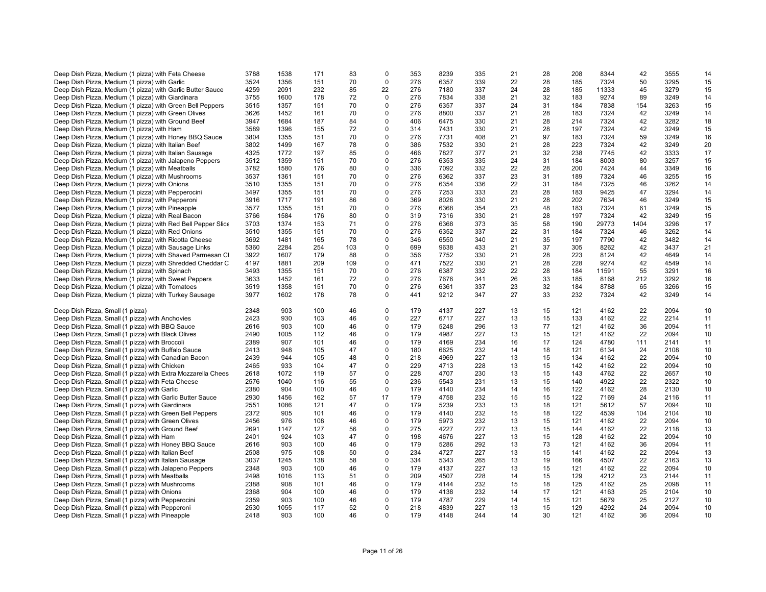| Deep Dish Pizza, Medium (1 pizza) with Feta Cheese           | 3788 | 1538 | 171 | 83  | $\Omega$    | 353 | 8239 | 335 | 21 | 28 | 208 | 8344  | 42   | 3555 | 14 |
|--------------------------------------------------------------|------|------|-----|-----|-------------|-----|------|-----|----|----|-----|-------|------|------|----|
|                                                              |      |      |     |     | $\mathbf 0$ |     |      |     |    |    |     |       |      |      |    |
| Deep Dish Pizza, Medium (1 pizza) with Garlic                | 3524 | 1356 | 151 | 70  |             | 276 | 6357 | 339 | 22 | 28 | 185 | 7324  | 50   | 3295 | 15 |
| Deep Dish Pizza, Medium (1 pizza) with Garlic Butter Sauce   | 4259 | 2091 | 232 | 85  | 22          | 276 | 7180 | 337 | 24 | 28 | 185 | 11333 | 45   | 3279 | 15 |
| Deep Dish Pizza, Medium (1 pizza) with Giardinara            | 3755 | 1600 | 178 | 72  | $\mathbf 0$ | 276 | 7834 | 338 | 21 | 32 | 183 | 9274  | 89   | 3249 | 14 |
| Deep Dish Pizza, Medium (1 pizza) with Green Bell Peppers    | 3515 | 1357 | 151 | 70  | $\Omega$    | 276 | 6357 | 337 | 24 | 31 | 184 | 7838  | 154  | 3263 | 15 |
| Deep Dish Pizza, Medium (1 pizza) with Green Olives          | 3626 | 1452 | 161 | 70  | $\Omega$    | 276 | 8800 | 337 | 21 | 28 | 183 | 7324  | 42   | 3249 | 14 |
| Deep Dish Pizza, Medium (1 pizza) with Ground Beef           | 3947 | 1684 | 187 | 84  | $\Omega$    | 406 | 6475 | 330 | 21 | 28 | 214 | 7324  | 42   | 3282 | 18 |
|                                                              |      |      |     |     |             |     |      |     |    |    |     |       |      |      |    |
| Deep Dish Pizza, Medium (1 pizza) with Ham                   | 3589 | 1396 | 155 | 72  | $\mathbf 0$ | 314 | 7431 | 330 | 21 | 28 | 197 | 7324  | 42   | 3249 | 15 |
| Deep Dish Pizza, Medium (1 pizza) with Honey BBQ Sauce       | 3804 | 1355 | 151 | 70  | $\Omega$    | 276 | 7731 | 408 | 21 | 97 | 183 | 7324  | 59   | 3249 | 16 |
| Deep Dish Pizza, Medium (1 pizza) with Italian Beef          | 3802 | 1499 | 167 | 78  | $\Omega$    | 386 | 7532 | 330 | 21 | 28 | 223 | 7324  | 42   | 3249 | 20 |
| Deep Dish Pizza, Medium (1 pizza) with Italian Sausage       | 4325 | 1772 | 197 | 85  | $\mathbf 0$ | 466 | 7827 | 377 | 21 | 32 | 238 | 7745  | 42   | 3333 | 17 |
| Deep Dish Pizza, Medium (1 pizza) with Jalapeno Peppers      | 3512 | 1359 | 151 | 70  | $\mathbf 0$ | 276 | 6353 | 335 | 24 | 31 | 184 | 8003  | 80   | 3257 | 15 |
| Deep Dish Pizza, Medium (1 pizza) with Meatballs             | 3782 | 1580 | 176 | 80  | $\Omega$    | 336 | 7092 | 332 | 22 | 28 | 200 | 7424  | 44   | 3349 | 16 |
| Deep Dish Pizza, Medium (1 pizza) with Mushrooms             | 3537 | 1361 | 151 | 70  | $\Omega$    | 276 | 6362 | 337 | 23 | 31 | 189 | 7324  | 46   | 3255 | 15 |
|                                                              |      |      |     |     |             |     |      |     |    |    |     |       |      |      |    |
| Deep Dish Pizza, Medium (1 pizza) with Onions                | 3510 | 1355 | 151 | 70  | $\Omega$    | 276 | 6354 | 336 | 22 | 31 | 184 | 7325  | 46   | 3262 | 14 |
| Deep Dish Pizza, Medium (1 pizza) with Pepperocini           | 3497 | 1355 | 151 | 70  | $\mathbf 0$ | 276 | 7253 | 333 | 23 | 28 | 183 | 9425  | 47   | 3294 | 14 |
| Deep Dish Pizza, Medium (1 pizza) with Pepperoni             | 3916 | 1717 | 191 | 86  | $\Omega$    | 369 | 8026 | 330 | 21 | 28 | 202 | 7634  | 46   | 3249 | 15 |
| Deep Dish Pizza, Medium (1 pizza) with Pineapple             | 3577 | 1355 | 151 | 70  | $\mathbf 0$ | 276 | 6368 | 354 | 23 | 48 | 183 | 7324  | 61   | 3249 | 15 |
| Deep Dish Pizza, Medium (1 pizza) with Real Bacon            | 3766 | 1584 | 176 | 80  | $\Omega$    | 319 | 7316 | 330 | 21 | 28 | 197 | 7324  | 42   | 3249 | 15 |
| Deep Dish Pizza, Medium (1 pizza) with Red Bell Pepper Slice | 3703 | 1374 | 153 | 71  | $\Omega$    | 276 | 6368 | 373 | 35 | 58 | 190 | 29773 | 1404 | 3296 | 17 |
|                                                              |      |      |     |     |             |     |      |     |    |    |     |       |      |      |    |
| Deep Dish Pizza, Medium (1 pizza) with Red Onions            | 3510 | 1355 | 151 | 70  | $\mathbf 0$ | 276 | 6352 | 337 | 22 | 31 | 184 | 7324  | 46   | 3262 | 14 |
| Deep Dish Pizza, Medium (1 pizza) with Ricotta Cheese        | 3692 | 1481 | 165 | 78  | $\Omega$    | 346 | 6550 | 340 | 21 | 35 | 197 | 7790  | 42   | 3482 | 14 |
| Deep Dish Pizza, Medium (1 pizza) with Sausage Links         | 5360 | 2284 | 254 | 103 | $\Omega$    | 699 | 9638 | 433 | 21 | 37 | 305 | 8262  | 42   | 3437 | 21 |
| Deep Dish Pizza, Medium (1 pizza) with Shaved Parmesan Cl    | 3922 | 1607 | 179 | 88  | $\mathbf 0$ | 356 | 7752 | 330 | 21 | 28 | 223 | 8124  | 42   | 4649 | 14 |
| Deep Dish Pizza, Medium (1 pizza) with Shredded Cheddar C    | 4197 | 1881 | 209 | 109 | $\mathbf 0$ | 471 | 7522 | 330 | 21 | 28 | 228 | 9274  | 42   | 4549 | 14 |
| Deep Dish Pizza, Medium (1 pizza) with Spinach               | 3493 | 1355 | 151 | 70  | $\Omega$    | 276 | 6387 | 332 | 22 | 28 | 184 | 11591 | 55   | 3291 | 16 |
| Deep Dish Pizza, Medium (1 pizza) with Sweet Peppers         | 3633 | 1452 | 161 | 72  | $\Omega$    | 276 | 7676 | 341 | 26 | 33 | 185 | 8168  | 212  | 3292 | 16 |
|                                                              |      |      |     |     |             |     |      |     |    |    |     |       |      |      |    |
| Deep Dish Pizza, Medium (1 pizza) with Tomatoes              | 3519 | 1358 | 151 | 70  | $\pmb{0}$   | 276 | 6361 | 337 | 23 | 32 | 184 | 8788  | 65   | 3266 | 15 |
| Deep Dish Pizza, Medium (1 pizza) with Turkey Sausage        | 3977 | 1602 | 178 | 78  | $\mathbf 0$ | 441 | 9212 | 347 | 27 | 33 | 232 | 7324  | 42   | 3249 | 14 |
|                                                              |      |      |     |     |             |     |      |     |    |    |     |       |      |      |    |
| Deep Dish Pizza, Small (1 pizza)                             | 2348 | 903  | 100 | 46  | $\Omega$    | 179 | 4137 | 227 | 13 | 15 | 121 | 4162  | 22   | 2094 | 10 |
| Deep Dish Pizza, Small (1 pizza) with Anchovies              | 2423 | 930  | 103 | 46  | $\Omega$    | 227 | 6717 | 227 | 13 | 15 | 133 | 4162  | 22   | 2214 | 11 |
| Deep Dish Pizza, Small (1 pizza) with BBQ Sauce              | 2616 | 903  | 100 | 46  | $\Omega$    | 179 | 5248 | 296 | 13 | 77 | 121 | 4162  | 36   | 2094 | 11 |
| Deep Dish Pizza, Small (1 pizza) with Black Olives           | 2490 | 1005 | 112 | 46  | $\mathbf 0$ | 179 | 4987 | 227 | 13 | 15 | 121 | 4162  | 22   | 2094 | 10 |
|                                                              |      | 907  | 101 | 46  | $\Omega$    | 179 |      | 234 | 16 | 17 | 124 | 4780  |      | 2141 | 11 |
| Deep Dish Pizza, Small (1 pizza) with Broccoli               | 2389 |      |     |     |             |     | 4169 |     |    |    |     |       | 111  |      |    |
| Deep Dish Pizza, Small (1 pizza) with Buffalo Sauce          | 2413 | 948  | 105 | 47  | $\Omega$    | 180 | 6625 | 232 | 14 | 18 | 121 | 6134  | 24   | 2108 | 10 |
| Deep Dish Pizza, Small (1 pizza) with Canadian Bacon         | 2439 | 944  | 105 | 48  | $\mathbf 0$ | 218 | 4969 | 227 | 13 | 15 | 134 | 4162  | 22   | 2094 | 10 |
| Deep Dish Pizza, Small (1 pizza) with Chicken                | 2465 | 933  | 104 | 47  | $\mathbf 0$ | 229 | 4713 | 228 | 13 | 15 | 142 | 4162  | 22   | 2094 | 10 |
| Deep Dish Pizza, Small (1 pizza) with Extra Mozzarella Chees | 2618 | 1072 | 119 | 57  | $\Omega$    | 228 | 4707 | 230 | 13 | 15 | 143 | 4762  | 22   | 2657 | 10 |
| Deep Dish Pizza, Small (1 pizza) with Feta Cheese            | 2576 | 1040 | 116 | 55  | $\mathbf 0$ | 236 | 5543 | 231 | 13 | 15 | 140 | 4922  | 22   | 2322 | 10 |
| Deep Dish Pizza, Small (1 pizza) with Garlic                 | 2380 | 904  | 100 | 46  | $\mathbf 0$ | 179 | 4140 | 234 | 14 | 16 | 122 | 4162  | 28   | 2130 | 10 |
|                                                              |      |      |     |     |             | 179 |      |     |    |    |     |       |      |      |    |
| Deep Dish Pizza, Small (1 pizza) with Garlic Butter Sauce    | 2930 | 1456 | 162 | 57  | 17          |     | 4758 | 232 | 15 | 15 | 122 | 7169  | 24   | 2116 | 11 |
| Deep Dish Pizza, Small (1 pizza) with Giardinara             | 2551 | 1086 | 121 | 47  | 0           | 179 | 5239 | 233 | 13 | 18 | 121 | 5612  | 57   | 2094 | 10 |
| Deep Dish Pizza, Small (1 pizza) with Green Bell Peppers     | 2372 | 905  | 101 | 46  | $\Omega$    | 179 | 4140 | 232 | 15 | 18 | 122 | 4539  | 104  | 2104 | 10 |
| Deep Dish Pizza, Small (1 pizza) with Green Olives           | 2456 | 976  | 108 | 46  | $\Omega$    | 179 | 5973 | 232 | 13 | 15 | 121 | 4162  | 22   | 2094 | 10 |
| Deep Dish Pizza, Small (1 pizza) with Ground Beef            | 2691 | 1147 | 127 | 56  | $\Omega$    | 275 | 4227 | 227 | 13 | 15 | 144 | 4162  | 22   | 2118 | 13 |
| Deep Dish Pizza, Small (1 pizza) with Ham                    | 2401 | 924  | 103 | 47  | $\Omega$    | 198 | 4676 | 227 | 13 | 15 | 128 | 4162  | 22   | 2094 | 10 |
| Deep Dish Pizza, Small (1 pizza) with Honey BBQ Sauce        | 2616 | 903  | 100 | 46  | $\Omega$    | 179 | 5286 | 292 | 13 | 73 | 121 | 4162  | 36   | 2094 | 11 |
|                                                              |      |      |     |     |             |     |      |     |    |    |     |       |      |      |    |
| Deep Dish Pizza, Small (1 pizza) with Italian Beef           | 2508 | 975  | 108 | 50  | $\Omega$    | 234 | 4727 | 227 | 13 | 15 | 141 | 4162  | 22   | 2094 | 13 |
| Deep Dish Pizza, Small (1 pizza) with Italian Sausage        | 3037 | 1245 | 138 | 58  | $\mathbf 0$ | 334 | 5343 | 265 | 13 | 19 | 166 | 4507  | 22   | 2163 | 13 |
| Deep Dish Pizza, Small (1 pizza) with Jalapeno Peppers       | 2348 | 903  | 100 | 46  | $\mathbf 0$ | 179 | 4137 | 227 | 13 | 15 | 121 | 4162  | 22   | 2094 | 10 |
| Deep Dish Pizza, Small (1 pizza) with Meatballs              | 2498 | 1016 | 113 | 51  | $\Omega$    | 209 | 4507 | 228 | 14 | 15 | 129 | 4212  | 23   | 2144 | 11 |
| Deep Dish Pizza, Small (1 pizza) with Mushrooms              | 2388 | 908  | 101 | 46  | $\mathbf 0$ | 179 | 4144 | 232 | 15 | 18 | 125 | 4162  | 25   | 2098 | 11 |
| Deep Dish Pizza, Small (1 pizza) with Onions                 | 2368 | 904  | 100 | 46  | $\mathbf 0$ | 179 | 4138 | 232 | 14 | 17 | 121 | 4163  | 25   | 2104 | 10 |
|                                                              | 2359 | 903  | 100 | 46  | $\Omega$    | 179 | 4787 | 229 | 14 | 15 | 121 | 5679  | 25   | 2127 | 10 |
| Deep Dish Pizza, Small (1 pizza) with Pepperocini            |      |      |     |     |             |     |      |     |    |    |     |       |      |      |    |
| Deep Dish Pizza, Small (1 pizza) with Pepperoni              | 2530 | 1055 | 117 | 52  | $\Omega$    | 218 | 4839 | 227 | 13 | 15 | 129 | 4292  | 24   | 2094 | 10 |
| Deep Dish Pizza, Small (1 pizza) with Pineapple              | 2418 | 903  | 100 | 46  | $\Omega$    | 179 | 4148 | 244 | 14 | 30 | 121 | 4162  | 36   | 2094 | 10 |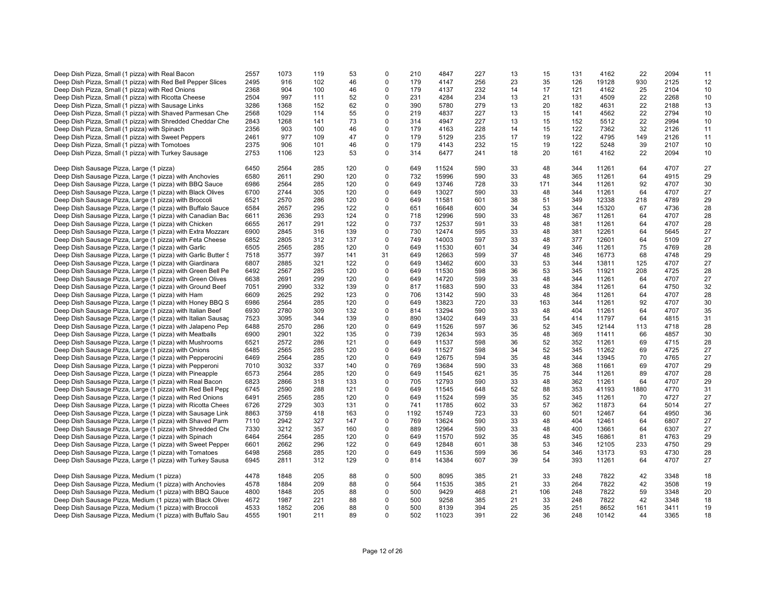|                                                               |      |      |     |     | $\Omega$    |      |       |     |    |     |     |       |      | 2094 |    |
|---------------------------------------------------------------|------|------|-----|-----|-------------|------|-------|-----|----|-----|-----|-------|------|------|----|
| Deep Dish Pizza, Small (1 pizza) with Real Bacon              | 2557 | 1073 | 119 | 53  |             | 210  | 4847  | 227 | 13 | 15  | 131 | 4162  | 22   |      | 11 |
| Deep Dish Pizza, Small (1 pizza) with Red Bell Pepper Slices  | 2495 | 916  | 102 | 46  | $\Omega$    | 179  | 4147  | 256 | 23 | 35  | 126 | 19128 | 930  | 2125 | 12 |
| Deep Dish Pizza, Small (1 pizza) with Red Onions              | 2368 | 904  | 100 | 46  | $\Omega$    | 179  | 4137  | 232 | 14 | 17  | 121 | 4162  | 25   | 2104 | 10 |
| Deep Dish Pizza, Small (1 pizza) with Ricotta Cheese          | 2504 | 997  | 111 | 52  | 0           | 231  | 4284  | 234 | 13 | 21  | 131 | 4509  | 22   | 2268 | 10 |
|                                                               |      |      | 152 | 62  | $\Omega$    | 390  |       | 279 |    |     | 182 |       | 22   | 2188 |    |
| Deep Dish Pizza, Small (1 pizza) with Sausage Links           | 3286 | 1368 |     |     |             |      | 5780  |     | 13 | 20  |     | 4631  |      |      | 13 |
| Deep Dish Pizza, Small (1 pizza) with Shaved Parmesan Che     | 2568 | 1029 | 114 | 55  | $\Omega$    | 219  | 4837  | 227 | 13 | 15  | 141 | 4562  | 22   | 2794 | 10 |
| Deep Dish Pizza, Small (1 pizza) with Shredded Cheddar Che    | 2843 | 1268 | 141 | 73  | $\Omega$    | 314  | 4947  | 227 | 13 | 15  | 152 | 5512  | 22   | 2994 | 10 |
| Deep Dish Pizza, Small (1 pizza) with Spinach                 | 2356 | 903  | 100 | 46  | $\mathbf 0$ | 179  | 4163  | 228 | 14 | 15  | 122 | 7362  | 32   | 2126 | 11 |
| Deep Dish Pizza, Small (1 pizza) with Sweet Peppers           | 2461 | 977  | 109 | 47  | 0           | 179  | 5129  | 235 | 17 | 19  | 122 | 4795  | 149  | 2126 | 11 |
|                                                               |      |      |     |     |             |      |       |     |    |     |     |       |      |      |    |
| Deep Dish Pizza, Small (1 pizza) with Tomotoes                | 2375 | 906  | 101 | 46  | $\Omega$    | 179  | 4143  | 232 | 15 | 19  | 122 | 5248  | 39   | 2107 | 10 |
| Deep Dish Pizza, Small (1 pizza) with Turkey Sausage          | 2753 | 1106 | 123 | 53  | 0           | 314  | 6477  | 241 | 18 | 20  | 161 | 4162  | 22   | 2094 | 10 |
|                                                               |      |      |     |     |             |      |       |     |    |     |     |       |      |      |    |
| Deep Dish Sausage Pizza, Large (1 pizza)                      | 6450 | 2564 | 285 | 120 | $\Omega$    | 649  | 11524 | 590 | 33 | 48  | 344 | 11261 | 64   | 4707 | 27 |
| Deep Dish Sausage Pizza, Large (1 pizza) with Anchovies       | 6580 | 2611 | 290 | 120 | 0           | 732  | 15996 | 590 | 33 | 48  | 365 | 11261 | 64   | 4915 | 29 |
| Deep Dish Sausage Pizza, Large (1 pizza) with BBQ Sauce       | 6986 | 2564 | 285 | 120 | 0           | 649  | 13746 | 728 | 33 | 171 | 344 | 11261 | 92   | 4707 | 30 |
|                                                               |      |      |     |     |             |      |       |     |    |     |     |       |      |      |    |
| Deep Dish Sausage Pizza, Large (1 pizza) with Black Olives    | 6700 | 2744 | 305 | 120 | $\mathbf 0$ | 649  | 13027 | 590 | 33 | 48  | 344 | 11261 | 64   | 4707 | 27 |
| Deep Dish Sausage Pizza, Large (1 pizza) with Broccoli        | 6521 | 2570 | 286 | 120 | $\Omega$    | 649  | 11581 | 601 | 38 | 51  | 349 | 12338 | 218  | 4789 | 29 |
| Deep Dish Sausage Pizza, Large (1 pizza) with Buffalo Sauce   | 6584 | 2657 | 295 | 122 | $\mathbf 0$ | 651  | 16648 | 600 | 34 | 53  | 344 | 15320 | 67   | 4736 | 28 |
| Deep Dish Sausage Pizza, Large (1 pizza) with Canadian Bac    | 6611 | 2636 | 293 | 124 | 0           | 718  | 12996 | 590 | 33 | 48  | 367 | 11261 | 64   | 4707 | 28 |
| Deep Dish Sausage Pizza, Large (1 pizza) with Chicken         | 6655 | 2617 | 291 | 122 | $\mathbf 0$ | 737  | 12537 | 591 | 33 | 48  | 381 | 11261 | 64   | 4707 | 28 |
|                                                               |      |      |     |     |             |      |       |     |    |     |     |       |      |      |    |
| Deep Dish Sausage Pizza, Large (1 pizza) with Extra Mozzare   | 6900 | 2845 | 316 | 139 | 0           | 730  | 12474 | 595 | 33 | 48  | 381 | 12261 | 64   | 5645 | 27 |
| Deep Dish Sausage Pizza, Large (1 pizza) with Feta Cheese     | 6852 | 2805 | 312 | 137 | $\mathbf 0$ | 749  | 14003 | 597 | 33 | 48  | 377 | 12601 | 64   | 5109 | 27 |
| Deep Dish Sausage Pizza, Large (1 pizza) with Garlic          | 6505 | 2565 | 285 | 120 | $\mathbf 0$ | 649  | 11530 | 601 | 34 | 49  | 346 | 11261 | 75   | 4769 | 28 |
| Deep Dish Sausage Pizza, Large (1 pizza) with Garlic Butter & | 7518 | 3577 | 397 | 141 | 31          | 649  | 12663 | 599 | 37 | 48  | 346 | 16773 | 68   | 4748 | 29 |
|                                                               | 6807 |      | 321 | 122 | $\mathbf 0$ | 649  |       |     |    | 53  | 344 | 13811 | 125  | 4707 | 27 |
| Deep Dish Sausage Pizza, Large (1 pizza) with Giardinara      |      | 2885 |     |     |             |      | 13462 | 600 | 33 |     |     |       |      |      |    |
| Deep Dish Sausage Pizza, Large (1 pizza) with Green Bell Pe   | 6492 | 2567 | 285 | 120 | $\Omega$    | 649  | 11530 | 598 | 36 | 53  | 345 | 11921 | 208  | 4725 | 28 |
| Deep Dish Sausage Pizza, Large (1 pizza) with Green Olives    | 6638 | 2691 | 299 | 120 | 0           | 649  | 14720 | 599 | 33 | 48  | 344 | 11261 | 64   | 4707 | 27 |
| Deep Dish Sausage Pizza, Large (1 pizza) with Ground Beef     | 7051 | 2990 | 332 | 139 | $\mathbf 0$ | 817  | 11683 | 590 | 33 | 48  | 384 | 11261 | 64   | 4750 | 32 |
| Deep Dish Sausage Pizza, Large (1 pizza) with Ham             | 6609 | 2625 | 292 | 123 | $\mathbf 0$ | 706  | 13142 | 590 | 33 | 48  | 364 | 11261 | 64   | 4707 | 28 |
|                                                               |      |      |     |     |             |      |       |     |    |     |     |       |      |      |    |
| Deep Dish Sausage Pizza, Large (1 pizza) with Honey BBQ S     | 6986 | 2564 | 285 | 120 | 0           | 649  | 13823 | 720 | 33 | 163 | 344 | 11261 | 92   | 4707 | 30 |
| Deep Dish Sausage Pizza, Large (1 pizza) with Italian Beef    | 6930 | 2780 | 309 | 132 | $\mathbf 0$ | 814  | 13294 | 590 | 33 | 48  | 404 | 11261 | 64   | 4707 | 35 |
| Deep Dish Sausage Pizza, Large (1 pizza) with Italian Sausag  | 7523 | 3095 | 344 | 139 | 0           | 890  | 13402 | 649 | 33 | 54  | 414 | 11797 | 64   | 4815 | 31 |
| Deep Dish Sausage Pizza, Large (1 pizza) with Jalapeno Pep    | 6488 | 2570 | 286 | 120 | 0           | 649  | 11526 | 597 | 36 | 52  | 345 | 12144 | 113  | 4718 | 28 |
| Deep Dish Sausage Pizza, Large (1 pizza) with Meatballs       | 6900 | 2901 | 322 | 135 | $\mathbf 0$ | 739  | 12634 | 593 | 35 | 48  | 369 | 11411 | 66   | 4857 | 30 |
|                                                               |      |      |     |     |             | 649  |       |     |    |     |     |       |      |      |    |
| Deep Dish Sausage Pizza, Large (1 pizza) with Mushrooms       | 6521 | 2572 | 286 | 121 | 0           |      | 11537 | 598 | 36 | 52  | 352 | 11261 | 69   | 4715 | 28 |
| Deep Dish Sausage Pizza, Large (1 pizza) with Onions          | 6485 | 2565 | 285 | 120 | $\Omega$    | 649  | 11527 | 598 | 34 | 52  | 345 | 11262 | 69   | 4725 | 27 |
| Deep Dish Sausage Pizza, Large (1 pizza) with Pepperocini     | 6469 | 2564 | 285 | 120 | $\mathbf 0$ | 649  | 12675 | 594 | 35 | 48  | 344 | 13945 | 70   | 4765 | 27 |
| Deep Dish Sausage Pizza, Large (1 pizza) with Pepperoni       | 7010 | 3032 | 337 | 140 | 0           | 769  | 13684 | 590 | 33 | 48  | 368 | 11661 | 69   | 4707 | 29 |
| Deep Dish Sausage Pizza, Large (1 pizza) with Pineapple       | 6573 | 2564 | 285 | 120 | $\Omega$    | 649  | 11545 | 621 | 35 | 75  | 344 | 11261 | 89   | 4707 | 28 |
|                                                               |      | 2866 |     |     |             | 705  |       | 590 |    |     | 362 |       | 64   | 4707 |    |
| Deep Dish Sausage Pizza, Large (1 pizza) with Real Bacon      | 6823 |      | 318 | 133 | 0           |      | 12793 |     | 33 | 48  |     | 11261 |      |      | 29 |
| Deep Dish Sausage Pizza, Large (1 pizza) with Red Bell Pepr   | 6745 | 2590 | 288 | 121 | 0           | 649  | 11545 | 648 | 52 | 88  | 353 | 41193 | 1880 | 4770 | 31 |
| Deep Dish Sausage Pizza, Large (1 pizza) with Red Onions      | 6491 | 2565 | 285 | 120 | $\mathbf 0$ | 649  | 11524 | 599 | 35 | 52  | 345 | 11261 | 70   | 4727 | 27 |
| Deep Dish Sausage Pizza, Large (1 pizza) with Ricotta Chees   | 6726 | 2729 | 303 | 131 | 0           | 741  | 11785 | 602 | 33 | 57  | 362 | 11873 | 64   | 5014 | 27 |
| Deep Dish Sausage Pizza, Large (1 pizza) with Sausage Link    | 8863 | 3759 | 418 | 163 | 0           | 1192 | 15749 | 723 | 33 | 60  | 501 | 12467 | 64   | 4950 | 36 |
|                                                               | 7110 | 2942 | 327 | 147 | $\mathbf 0$ | 769  | 13624 | 590 | 33 | 48  | 404 | 12461 | 64   | 6807 | 27 |
| Deep Dish Sausage Pizza, Large (1 pizza) with Shaved Parm     |      |      |     |     |             |      |       |     |    |     |     |       |      |      |    |
| Deep Dish Sausage Pizza, Large (1 pizza) with Shredded Che    | 7330 | 3212 | 357 | 160 | $\Omega$    | 889  | 12964 | 590 | 33 | 48  | 400 | 13661 | 64   | 6307 | 27 |
| Deep Dish Sausage Pizza, Large (1 pizza) with Spinach         | 6464 | 2564 | 285 | 120 | $\mathbf 0$ | 649  | 11570 | 592 | 35 | 48  | 345 | 16861 | 81   | 4763 | 29 |
| Deep Dish Sausage Pizza, Large (1 pizza) with Sweet Pepper    | 6601 | 2662 | 296 | 122 | 0           | 649  | 12848 | 601 | 38 | 53  | 346 | 12105 | 233  | 4750 | 29 |
| Deep Dish Sausage Pizza, Large (1 pizza) with Tomatoes        | 6498 | 2568 | 285 | 120 | 0           | 649  | 11536 | 599 | 36 | 54  | 346 | 13173 | 93   | 4730 | 28 |
|                                                               | 6945 | 2811 | 312 | 129 | $\Omega$    | 814  | 14384 | 607 | 39 | 54  | 393 | 11261 | 64   | 4707 | 27 |
| Deep Dish Sausage Pizza, Large (1 pizza) with Turkey Sausa    |      |      |     |     |             |      |       |     |    |     |     |       |      |      |    |
|                                                               |      |      |     |     |             |      |       |     |    |     |     |       |      |      |    |
| Deep Dish Sausage Pizza, Medium (1 pizza)                     | 4478 | 1848 | 205 | 88  | $\Omega$    | 500  | 8095  | 385 | 21 | 33  | 248 | 7822  | 42   | 3348 | 18 |
| Deep Dish Sausage Pizza, Medium (1 pizza) with Anchovies      | 4578 | 1884 | 209 | 88  | 0           | 564  | 11535 | 385 | 21 | 33  | 264 | 7822  | 42   | 3508 | 19 |
| Deep Dish Sausage Pizza, Medium (1 pizza) with BBQ Sauce      | 4800 | 1848 | 205 | 88  | 0           | 500  | 9429  | 468 | 21 | 106 | 248 | 7822  | 59   | 3348 | 20 |
| Deep Dish Sausage Pizza, Medium (1 pizza) with Black Olives   | 4672 | 1987 | 221 | 88  | 0           | 500  | 9258  | 385 | 21 | 33  | 248 | 7822  | 42   | 3348 | 18 |
| Deep Dish Sausage Pizza, Medium (1 pizza) with Broccoli       | 4533 | 1852 | 206 | 88  | $\Omega$    | 500  | 8139  | 394 | 25 | 35  | 251 | 8652  | 161  | 3411 | 19 |
|                                                               |      |      |     |     |             |      |       |     |    |     |     |       |      |      |    |
| Deep Dish Sausage Pizza, Medium (1 pizza) with Buffalo Sau    | 4555 | 1901 | 211 | 89  | $\Omega$    | 502  | 11023 | 391 | 22 | 36  | 248 | 10142 | 44   | 3365 | 18 |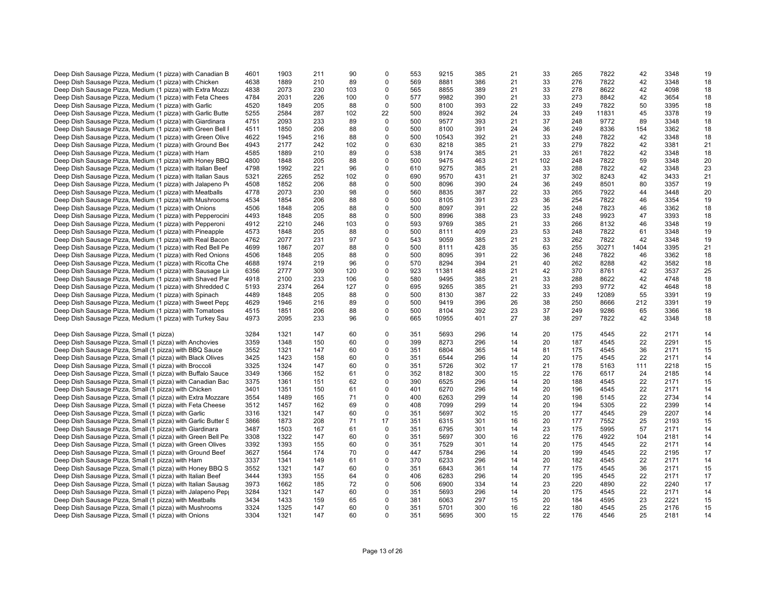| Deep Dish Sausage Pizza, Medium (1 pizza) with Canadian B     | 4601 | 1903 | 211 | 90  | $\Omega$    | 553 | 9215  | 385 | 21 | 33  | 265 | 7822  | 42   | 3348 | 19 |
|---------------------------------------------------------------|------|------|-----|-----|-------------|-----|-------|-----|----|-----|-----|-------|------|------|----|
| Deep Dish Sausage Pizza, Medium (1 pizza) with Chicken        | 4638 | 1889 | 210 | 89  | $\Omega$    | 569 | 8881  | 386 | 21 | 33  | 276 | 7822  | 42   | 3348 | 18 |
|                                                               |      |      |     |     |             |     |       |     |    |     |     |       |      |      |    |
| Deep Dish Sausage Pizza, Medium (1 pizza) with Extra Mozza    | 4838 | 2073 | 230 | 103 | 0           | 565 | 8855  | 389 | 21 | 33  | 278 | 8622  | 42   | 4098 | 18 |
| Deep Dish Sausage Pizza, Medium (1 pizza) with Feta Chees     | 4784 | 2031 | 226 | 100 | $\Omega$    | 577 | 9982  | 390 | 21 | 33  | 273 | 8842  | 42   | 3654 | 18 |
| Deep Dish Sausage Pizza, Medium (1 pizza) with Garlic         | 4520 | 1849 | 205 | 88  | $\mathbf 0$ | 500 | 8100  | 393 | 22 | 33  | 249 | 7822  | 50   | 3395 | 18 |
| Deep Dish Sausage Pizza, Medium (1 pizza) with Garlic Butte   | 5255 | 2584 | 287 | 102 | 22          | 500 | 8924  | 392 | 24 | 33  | 249 | 11831 | 45   | 3378 | 19 |
| Deep Dish Sausage Pizza, Medium (1 pizza) with Giardinara     | 4751 | 2093 | 233 | 89  | $\mathbf 0$ | 500 | 9577  | 393 | 21 | 37  | 248 | 9772  | 89   | 3348 | 18 |
| Deep Dish Sausage Pizza, Medium (1 pizza) with Green Bell I   | 4511 | 1850 | 206 | 88  | 0           | 500 | 8100  | 391 | 24 | 36  | 249 | 8336  | 154  | 3362 | 18 |
|                                                               |      |      |     |     |             |     |       |     |    |     |     |       |      |      |    |
| Deep Dish Sausage Pizza, Medium (1 pizza) with Green Olive    | 4622 | 1945 | 216 | 88  | $\mathbf 0$ | 500 | 10543 | 392 | 21 | 33  | 248 | 7822  | 42   | 3348 | 18 |
| Deep Dish Sausage Pizza, Medium (1 pizza) with Ground Bee     | 4943 | 2177 | 242 | 102 | 0           | 630 | 8218  | 385 | 21 | 33  | 279 | 7822  | 42   | 3381 | 21 |
| Deep Dish Sausage Pizza, Medium (1 pizza) with Ham            | 4585 | 1889 | 210 | 89  | 0           | 538 | 9174  | 385 | 21 | 33  | 261 | 7822  | 42   | 3348 | 18 |
| Deep Dish Sausage Pizza, Medium (1 pizza) with Honey BBQ      | 4800 | 1848 | 205 | 88  | 0           | 500 | 9475  | 463 | 21 | 102 | 248 | 7822  | 59   | 3348 | 20 |
| Deep Dish Sausage Pizza, Medium (1 pizza) with Italian Beef   | 4798 | 1992 | 221 | 96  | $\mathbf 0$ | 610 | 9275  | 385 | 21 | 33  | 288 | 7822  | 42   | 3348 | 23 |
| Deep Dish Sausage Pizza, Medium (1 pizza) with Italian Saus   | 5321 | 2265 | 252 | 102 | $\Omega$    | 690 | 9570  | 431 | 21 | 37  | 302 | 8243  | 42   | 3433 | 21 |
|                                                               |      |      |     |     | $\mathbf 0$ |     |       |     |    |     |     |       |      |      |    |
| Deep Dish Sausage Pizza, Medium (1 pizza) with Jalapeno Po    | 4508 | 1852 | 206 | 88  |             | 500 | 8096  | 390 | 24 | 36  | 249 | 8501  | 80   | 3357 | 19 |
| Deep Dish Sausage Pizza, Medium (1 pizza) with Meatballs      | 4778 | 2073 | 230 | 98  | 0           | 560 | 8835  | 387 | 22 | 33  | 265 | 7922  | 44   | 3448 | 20 |
| Deep Dish Sausage Pizza, Medium (1 pizza) with Mushrooms      | 4534 | 1854 | 206 | 88  | $\Omega$    | 500 | 8105  | 391 | 23 | 36  | 254 | 7822  | 46   | 3354 | 19 |
| Deep Dish Sausage Pizza, Medium (1 pizza) with Onions         | 4506 | 1848 | 205 | 88  | 0           | 500 | 8097  | 391 | 22 | 35  | 248 | 7823  | 46   | 3362 | 18 |
| Deep Dish Sausage Pizza, Medium (1 pizza) with Pepperocini    | 4493 | 1848 | 205 | 88  | 0           | 500 | 8996  | 388 | 23 | 33  | 248 | 9923  | 47   | 3393 | 18 |
| Deep Dish Sausage Pizza, Medium (1 pizza) with Pepperoni      | 4912 | 2210 | 246 | 103 | $\Omega$    | 593 | 9769  | 385 | 21 | 33  | 266 | 8132  | 46   | 3348 | 19 |
|                                                               | 4573 | 1848 | 205 | 88  | 0           | 500 | 8111  | 409 | 23 | 53  | 248 | 7822  | 61   | 3348 | 19 |
| Deep Dish Sausage Pizza, Medium (1 pizza) with Pineapple      |      |      |     |     |             |     |       |     |    |     |     |       |      |      |    |
| Deep Dish Sausage Pizza, Medium (1 pizza) with Real Bacon     | 4762 | 2077 | 231 | 97  | $\Omega$    | 543 | 9059  | 385 | 21 | 33  | 262 | 7822  | 42   | 3348 | 19 |
| Deep Dish Sausage Pizza, Medium (1 pizza) with Red Bell Pe    | 4699 | 1867 | 207 | 88  | $\Omega$    | 500 | 8111  | 428 | 35 | 63  | 255 | 30271 | 1404 | 3395 | 21 |
| Deep Dish Sausage Pizza, Medium (1 pizza) with Red Onions     | 4506 | 1848 | 205 | 88  | 0           | 500 | 8095  | 391 | 22 | 36  | 248 | 7822  | 46   | 3362 | 18 |
| Deep Dish Sausage Pizza, Medium (1 pizza) with Ricotta Che    | 4688 | 1974 | 219 | 96  | 0           | 570 | 8294  | 394 | 21 | 40  | 262 | 8288  | 42   | 3582 | 18 |
| Deep Dish Sausage Pizza, Medium (1 pizza) with Sausage Lin    | 6356 | 2777 | 309 | 120 | $\Omega$    | 923 | 11381 | 488 | 21 | 42  | 370 | 8761  | 42   | 3537 | 25 |
| Deep Dish Sausage Pizza, Medium (1 pizza) with Shaved Par     | 4918 | 2100 | 233 | 106 | $\Omega$    | 580 | 9495  | 385 | 21 | 33  | 288 | 8622  | 42   | 4748 | 18 |
|                                                               | 5193 | 2374 | 264 | 127 | $\mathbf 0$ | 695 | 9265  | 385 | 21 | 33  | 293 | 9772  | 42   | 4648 | 18 |
| Deep Dish Sausage Pizza, Medium (1 pizza) with Shredded C     |      |      |     |     |             |     |       |     |    |     |     |       |      |      |    |
| Deep Dish Sausage Pizza, Medium (1 pizza) with Spinach        | 4489 | 1848 | 205 | 88  | 0           | 500 | 8130  | 387 | 22 | 33  | 249 | 12089 | 55   | 3391 | 19 |
| Deep Dish Sausage Pizza, Medium (1 pizza) with Sweet Pepp     | 4629 | 1946 | 216 | 89  | $\Omega$    | 500 | 9419  | 396 | 26 | 38  | 250 | 8666  | 212  | 3391 | 19 |
| Deep Dish Sausage Pizza, Medium (1 pizza) with Tomatoes       | 4515 | 1851 | 206 | 88  | $\mathbf 0$ | 500 | 8104  | 392 | 23 | 37  | 249 | 9286  | 65   | 3366 | 18 |
| Deep Dish Sausage Pizza, Medium (1 pizza) with Turkey Sau     | 4973 | 2095 | 233 | 96  | $\mathbf 0$ | 665 | 10955 | 401 | 27 | 38  | 297 | 7822  | 42   | 3348 | 18 |
|                                                               |      |      |     |     |             |     |       |     |    |     |     |       |      |      |    |
| Deep Dish Sausage Pizza, Small (1 pizza)                      | 3284 | 1321 | 147 | 60  | $\mathbf 0$ | 351 | 5693  | 296 | 14 | 20  | 175 | 4545  | 22   | 2171 | 14 |
| Deep Dish Sausage Pizza, Small (1 pizza) with Anchovies       | 3359 | 1348 | 150 | 60  | $\Omega$    | 399 | 8273  | 296 | 14 | 20  | 187 | 4545  | 22   | 2291 | 15 |
|                                                               |      |      |     |     |             |     |       |     |    |     |     |       |      |      |    |
| Deep Dish Sausage Pizza, Small (1 pizza) with BBQ Sauce       | 3552 | 1321 | 147 | 60  | $\Omega$    | 351 | 6804  | 365 | 14 | 81  | 175 | 4545  | 36   | 2171 | 15 |
| Deep Dish Sausage Pizza, Small (1 pizza) with Black Olives    | 3425 | 1423 | 158 | 60  | 0           | 351 | 6544  | 296 | 14 | 20  | 175 | 4545  | 22   | 2171 | 14 |
| Deep Dish Sausage Pizza, Small (1 pizza) with Broccoli        | 3325 | 1324 | 147 | 60  | 0           | 351 | 5726  | 302 | 17 | 21  | 178 | 5163  | 111  | 2218 | 15 |
| Deep Dish Sausage Pizza, Small (1 pizza) with Buffalo Sauce   | 3349 | 1366 | 152 | 61  | $\Omega$    | 352 | 8182  | 300 | 15 | 22  | 176 | 6517  | 24   | 2185 | 14 |
| Deep Dish Sausage Pizza, Small (1 pizza) with Canadian Bac    | 3375 | 1361 | 151 | 62  | $\Omega$    | 390 | 6525  | 296 | 14 | 20  | 188 | 4545  | 22   | 2171 | 15 |
| Deep Dish Sausage Pizza, Small (1 pizza) with Chicken         | 3401 | 1351 | 150 | 61  | $\mathbf 0$ | 401 | 6270  | 296 | 14 | 20  | 196 | 4545  | 22   | 2171 | 14 |
|                                                               | 3554 |      |     | 71  | $\mathbf 0$ | 400 |       | 299 | 14 | 20  |     | 5145  | 22   | 2734 |    |
| Deep Dish Sausage Pizza, Small (1 pizza) with Extra Mozzare   |      | 1489 | 165 |     |             |     | 6263  |     |    |     | 198 |       |      |      | 14 |
| Deep Dish Sausage Pizza, Small (1 pizza) with Feta Cheese     | 3512 | 1457 | 162 | 69  | $\Omega$    | 408 | 7099  | 299 | 14 | 20  | 194 | 5305  | 22   | 2399 | 14 |
| Deep Dish Sausage Pizza, Small (1 pizza) with Garlic          | 3316 | 1321 | 147 | 60  | $\mathbf 0$ | 351 | 5697  | 302 | 15 | 20  | 177 | 4545  | 29   | 2207 | 14 |
| Deep Dish Sausage Pizza, Small (1 pizza) with Garlic Butter S | 3866 | 1873 | 208 | 71  | 17          | 351 | 6315  | 301 | 16 | 20  | 177 | 7552  | 25   | 2193 | 15 |
| Deep Dish Sausage Pizza, Small (1 pizza) with Giardinara      | 3487 | 1503 | 167 | 61  | $\mathbf 0$ | 351 | 6795  | 301 | 14 | 23  | 175 | 5995  | 57   | 2171 | 14 |
| Deep Dish Sausage Pizza, Small (1 pizza) with Green Bell Pe   | 3308 | 1322 | 147 | 60  | $\Omega$    | 351 | 5697  | 300 | 16 | 22  | 176 | 4922  | 104  | 2181 | 14 |
| Deep Dish Sausage Pizza, Small (1 pizza) with Green Olives    | 3392 | 1393 | 155 | 60  | $\Omega$    | 351 | 7529  | 301 | 14 | 20  | 175 | 4545  | 22   | 2171 | 14 |
|                                                               |      |      |     |     |             |     |       |     |    |     |     |       |      |      |    |
| Deep Dish Sausage Pizza, Small (1 pizza) with Ground Beef     | 3627 | 1564 | 174 | 70  | $\Omega$    | 447 | 5784  | 296 | 14 | 20  | 199 | 4545  | 22   | 2195 | 17 |
| Deep Dish Sausage Pizza, Small (1 pizza) with Ham             | 3337 | 1341 | 149 | 61  | $\mathbf 0$ | 370 | 6233  | 296 | 14 | 20  | 182 | 4545  | 22   | 2171 | 14 |
| Deep Dish Sausage Pizza, Small (1 pizza) with Honey BBQ S     | 3552 | 1321 | 147 | 60  | 0           | 351 | 6843  | 361 | 14 | 77  | 175 | 4545  | 36   | 2171 | 15 |
| Deep Dish Sausage Pizza, Small (1 pizza) with Italian Beef    | 3444 | 1393 | 155 | 64  | $\Omega$    | 406 | 6283  | 296 | 14 | 20  | 195 | 4545  | 22   | 2171 | 17 |
| Deep Dish Sausage Pizza, Small (1 pizza) with Italian Sausag  | 3973 | 1662 | 185 | 72  | $\mathbf 0$ | 506 | 6900  | 334 | 14 | 23  | 220 | 4890  | 22   | 2240 | 17 |
| Deep Dish Sausage Pizza, Small (1 pizza) with Jalapeno Pep    | 3284 | 1321 | 147 | 60  | $\mathbf 0$ | 351 | 5693  | 296 | 14 | 20  | 175 | 4545  | 22   | 2171 | 14 |
|                                                               |      |      |     |     | $\Omega$    |     |       |     |    |     |     |       |      |      |    |
| Deep Dish Sausage Pizza, Small (1 pizza) with Meatballs       | 3434 | 1433 | 159 | 65  |             | 381 | 6063  | 297 | 15 | 20  | 184 | 4595  | 23   | 2221 | 15 |
| Deep Dish Sausage Pizza, Small (1 pizza) with Mushrooms       | 3324 | 1325 | 147 | 60  | $\Omega$    | 351 | 5701  | 300 | 16 | 22  | 180 | 4545  | 25   | 2176 | 15 |
| Deep Dish Sausage Pizza, Small (1 pizza) with Onions          | 3304 | 1321 | 147 | 60  | $\Omega$    | 351 | 5695  | 300 | 15 | 22  | 176 | 4546  | 25   | 2181 | 14 |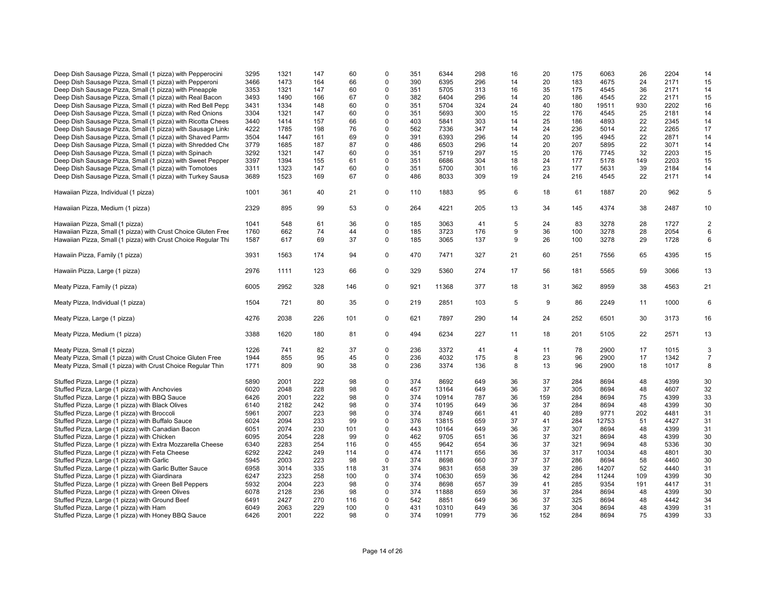| Deep Dish Sausage Pizza, Small (1 pizza) with Pepperocini<br>Deep Dish Sausage Pizza, Small (1 pizza) with Pepperoni | 3295<br>3466 | 1321<br>1473 | 147<br>164 | 60<br>66 | $\Omega$<br>0 | 351<br>390 | 6344<br>6395 | 298<br>296 | 16<br>14 | 20<br>20 | 175<br>183 | 6063<br>4675 | 26<br>24 | 2204<br>2171 | 14<br>15       |
|----------------------------------------------------------------------------------------------------------------------|--------------|--------------|------------|----------|---------------|------------|--------------|------------|----------|----------|------------|--------------|----------|--------------|----------------|
| Deep Dish Sausage Pizza, Small (1 pizza) with Pineapple                                                              | 3353         | 1321         | 147        | 60       | $\mathbf 0$   | 351        | 5705         | 313        | 16       | 35       | 175        | 4545         | 36       | 2171         | 14             |
| Deep Dish Sausage Pizza, Small (1 pizza) with Real Bacon                                                             | 3493         | 1490         | 166        | 67       | 0             | 382        | 6404         | 296        | 14       | 20       | 186        | 4545         | 22       | 2171         | 15             |
| Deep Dish Sausage Pizza, Small (1 pizza) with Red Bell Pepp                                                          | 3431         | 1334         | 148        | 60       | 0             | 351        | 5704         | 324        | 24       | 40       | 180        | 19511        | 930      | 2202         | 16             |
| Deep Dish Sausage Pizza, Small (1 pizza) with Red Onions                                                             | 3304         | 1321         | 147        | 60       | $\Omega$      | 351        | 5693         | 300        | 15       | 22       | 176        | 4545         | 25       | 2181         | 14             |
| Deep Dish Sausage Pizza, Small (1 pizza) with Ricotta Chees                                                          | 3440         | 1414         | 157        | 66       | $\Omega$      | 403        | 5841         | 303        | 14       | 25       | 186        | 4893         | 22       | 2345         | 14             |
| Deep Dish Sausage Pizza, Small (1 pizza) with Sausage Links                                                          | 4222         | 1785         | 198        | 76       | $\mathbf 0$   | 562        | 7336         | 347        | 14       | 24       | 236        | 5014         | 22       | 2265         | 17             |
| Deep Dish Sausage Pizza, Small (1 pizza) with Shaved Parm                                                            | 3504         | 1447         | 161        | 69       | $\mathbf 0$   | 391        | 6393         | 296        | 14       | 20       | 195        | 4945         | 22       | 2871         | 14             |
| Deep Dish Sausage Pizza, Small (1 pizza) with Shredded Che                                                           | 3779         | 1685         | 187        | 87       | $\Omega$      | 486        | 6503         | 296        | 14       | 20       | 207        | 5895         | 22       | 3071         | 14             |
| Deep Dish Sausage Pizza, Small (1 pizza) with Spinach                                                                | 3292         | 1321         | 147        | 60       | 0             | 351        | 5719         | 297        | 15       | 20       | 176        | 7745         | 32       | 2203         | 15             |
| Deep Dish Sausage Pizza, Small (1 pizza) with Sweet Pepper                                                           | 3397         | 1394         | 155        | 61       | 0             | 351        | 6686         | 304        | 18       | 24       | 177        | 5178         | 149      | 2203         | 15             |
| Deep Dish Sausage Pizza, Small (1 pizza) with Tomotoes                                                               | 3311         | 1323         | 147        | 60       | $\mathbf 0$   | 351        | 5700         | 301        | 16       | 23       | 177        | 5631         | 39       | 2184         | 14             |
| Deep Dish Sausage Pizza, Small (1 pizza) with Turkey Sausa                                                           | 3689         | 1523         | 169        | 67       | $\mathbf 0$   | 486        | 8033         | 309        | 19       | 24       | 216        | 4545         | 22       | 2171         | 14             |
| Hawaiian Pizza, Individual (1 pizza)                                                                                 | 1001         | 361          | 40         | 21       | 0             | 110        | 1883         | 95         | 6        | 18       | 61         | 1887         | 20       | 962          | $\sqrt{5}$     |
| Hawaiian Pizza, Medium (1 pizza)                                                                                     | 2329         | 895          | 99         | 53       | 0             | 264        | 4221         | 205        | 13       | 34       | 145        | 4374         | 38       | 2487         | 10             |
| Hawaiian Pizza, Small (1 pizza)                                                                                      | 1041         | 548          | 61         | 36       | $\mathbf 0$   | 185        | 3063         | 41         | 5        | 24       | 83         | 3278         | 28       | 1727         | $\overline{2}$ |
| Hawaiian Pizza, Small (1 pizza) with Crust Choice Gluten Free                                                        | 1760         | 662          | 74         | 44       | 0             | 185        | 3723         | 176        | 9        | 36       | 100        | 3278         | 28       | 2054         | 6              |
| Hawaiian Pizza, Small (1 pizza) with Crust Choice Regular Thi                                                        | 1587         | 617          | 69         | 37       | 0             | 185        | 3065         | 137        | 9        | 26       | 100        | 3278         | 29       | 1728         | 6              |
| Hawaiin Pizza, Family (1 pizza)                                                                                      | 3931         | 1563         | 174        | 94       | 0             | 470        | 7471         | 327        | 21       | 60       | 251        | 7556         | 65       | 4395         | 15             |
| Hawaiin Pizza, Large (1 pizza)                                                                                       | 2976         | 1111         | 123        | 66       | $\mathbf 0$   | 329        | 5360         | 274        | 17       | 56       | 181        | 5565         | 59       | 3066         | 13             |
| Meaty Pizza, Family (1 pizza)                                                                                        | 6005         | 2952         | 328        | 146      | 0             | 921        | 11368        | 377        | 18       | 31       | 362        | 8959         | 38       | 4563         | 21             |
| Meaty Pizza, Individual (1 pizza)                                                                                    | 1504         | 721          | 80         | 35       | 0             | 219        | 2851         | 103        | 5        | 9        | 86         | 2249         | 11       | 1000         | $\,6\,$        |
| Meaty Pizza, Large (1 pizza)                                                                                         | 4276         | 2038         | 226        | 101      | 0             | 621        | 7897         | 290        | 14       | 24       | 252        | 6501         | 30       | 3173         | 16             |
| Meaty Pizza, Medium (1 pizza)                                                                                        | 3388         | 1620         | 180        | 81       | $\mathbf 0$   | 494        | 6234         | 227        | 11       | 18       | 201        | 5105         | 22       | 2571         | 13             |
| Meaty Pizza, Small (1 pizza)                                                                                         | 1226         | 741          | 82         | 37       | 0             | 236        | 3372         | 41         | 4        | 11       | 78         | 2900         | 17       | 1015         | 3              |
| Meaty Pizza, Small (1 pizza) with Crust Choice Gluten Free                                                           | 1944         | 855          | 95         | 45       | $\mathbf 0$   | 236        | 4032         | 175        | 8        | 23       | 96         | 2900         | 17       | 1342         | $\overline{7}$ |
| Meaty Pizza, Small (1 pizza) with Crust Choice Regular Thin                                                          | 1771         | 809          | 90         | 38       | $\mathbf 0$   | 236        | 3374         | 136        | 8        | 13       | 96         | 2900         | 18       | 1017         | 8              |
| Stuffed Pizza, Large (1 pizza)                                                                                       | 5890         | 2001         | 222        | 98       | $\mathbf 0$   | 374        | 8692         | 649        | 36       | 37       | 284        | 8694         | 48       | 4399         | 30             |
| Stuffed Pizza, Large (1 pizza) with Anchovies                                                                        | 6020         | 2048         | 228        | 98       | 0             | 457        | 13164        | 649        | 36       | 37       | 305        | 8694         | 48       | 4607         | 32             |
| Stuffed Pizza, Large (1 pizza) with BBQ Sauce                                                                        | 6426         | 2001         | 222        | 98       | $\mathbf 0$   | 374        | 10914        | 787        | 36       | 159      | 284        | 8694         | 75       | 4399         | 33             |
| Stuffed Pizza, Large (1 pizza) with Black Olives                                                                     | 6140         | 2182         | 242        | 98       | $\Omega$      | 374        | 10195        | 649        | 36       | 37       | 284        | 8694         | 48       | 4399         | 30             |
| Stuffed Pizza, Large (1 pizza) with Broccoli                                                                         | 5961         | 2007         | 223        | 98       | $\mathbf 0$   | 374        | 8749         | 661        | 41       | 40       | 289        | 9771         | 202      | 4481         | 31             |
| Stuffed Pizza, Large (1 pizza) with Buffalo Sauce                                                                    | 6024         | 2094         | 233        | 99       | 0             | 376        | 13815        | 659        | 37       | 41       | 284        | 12753        | 51       | 4427         | 31             |
| Stuffed Pizza, Large (1 pizza) with Canadian Bacon                                                                   | 6051         | 2074         | 230        | 101      | $\Omega$      | 443        | 10164        | 649        | 36       | 37       | 307        | 8694         | 48       | 4399         | 31             |
| Stuffed Pizza, Large (1 pizza) with Chicken                                                                          | 6095         | 2054         | 228        | 99       | $\mathbf 0$   | 462        | 9705         | 651        | 36       | 37       | 321        | 8694         | 48       | 4399         | 30             |
| Stuffed Pizza, Large (1 pizza) with Extra Mozzarella Cheese                                                          | 6340         | 2283         | 254        | 116      | 0             | 455        | 9642         | 654        | 36       | 37       | 321        | 9694         | 48       | 5336         | 30             |
| Stuffed Pizza, Large (1 pizza) with Feta Cheese                                                                      | 6292         | 2242         | 249        | 114      | $\Omega$      | 474        | 11171        | 656        | 36       | 37       | 317        | 10034        | 48       | 4801         | 30             |
| Stuffed Pizza, Large (1 pizza) with Garlic                                                                           | 5945         | 2003         | 223        | 98       | $\mathbf 0$   | 374        | 8698         | 660        | 37       | 37       | 286        | 8694         | 58       | 4460         | 30             |
| Stuffed Pizza, Large (1 pizza) with Garlic Butter Sauce                                                              | 6958         | 3014         | 335        | 118      | 31            | 374        | 9831         | 658        | 39       | 37       | 286        | 14207        | 52       | 4440         | 31             |
| Stuffed Pizza, Large (1 pizza) with Giardinara                                                                       | 6247         | 2323         | 258        | 100      | $\mathbf 0$   | 374        | 10630        | 659        | 36       | 42       | 284        | 11244        | 109      | 4399         | 30             |
| Stuffed Pizza, Large (1 pizza) with Green Bell Peppers                                                               | 5932         | 2004         | 223        | 98       | 0             | 374        | 8698         | 657        | 39       | 41       | 285        | 9354         | 191      | 4417         | 31             |
| Stuffed Pizza, Large (1 pizza) with Green Olives                                                                     | 6078         | 2128         | 236        | 98       | 0             | 374        | 11888        | 659        | 36       | 37       | 284        | 8694         | 48       | 4399         | 30             |
| Stuffed Pizza, Large (1 pizza) with Ground Beef                                                                      | 6491         | 2427         | 270        | 116      | 0             | 542        | 8851         | 649        | 36       | 37       | 325        | 8694         | 48       | 4442         | 34             |
| Stuffed Pizza, Large (1 pizza) with Ham                                                                              | 6049         | 2063         | 229        | 100      | 0             | 431        | 10310        | 649        | 36       | 37       | 304        | 8694         | 48       | 4399         | 31             |
| Stuffed Pizza, Large (1 pizza) with Honey BBQ Sauce                                                                  | 6426         | 2001         | 222        | 98       | $\Omega$      | 374        | 10991        | 779        | 36       | 152      | 284        | 8694         | 75       | 4399         | 33             |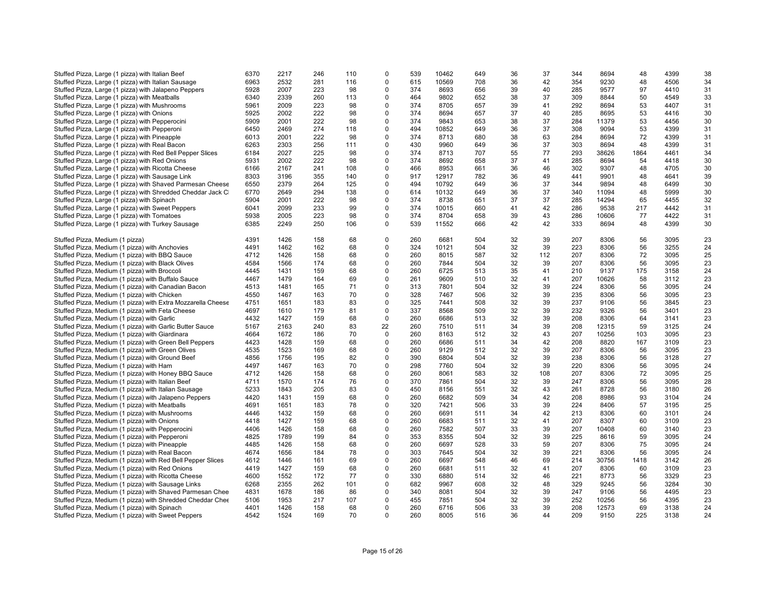| Stuffed Pizza, Large (1 pizza) with Italian Beef             | 6370 | 2217 | 246 | 110 | $\mathbf 0$ | 539 | 10462 | 649 | 36       | 37  | 344 | 8694  | 48   | 4399 | 38 |
|--------------------------------------------------------------|------|------|-----|-----|-------------|-----|-------|-----|----------|-----|-----|-------|------|------|----|
| Stuffed Pizza, Large (1 pizza) with Italian Sausage          | 6963 | 2532 | 281 | 116 | $\mathbf 0$ | 615 | 10569 | 708 | 36       | 42  | 354 | 9230  | 48   | 4506 | 34 |
|                                                              |      |      |     |     |             |     |       |     |          |     |     |       |      |      |    |
| Stuffed Pizza, Large (1 pizza) with Jalapeno Peppers         | 5928 | 2007 | 223 | 98  | $\mathbf 0$ | 374 | 8693  | 656 | 39       | 40  | 285 | 9577  | 97   | 4410 | 31 |
| Stuffed Pizza, Large (1 pizza) with Meatballs                | 6340 | 2339 | 260 | 113 | $\mathbf 0$ | 464 | 9802  | 652 | 38       | 37  | 309 | 8844  | 50   | 4549 | 33 |
| Stuffed Pizza, Large (1 pizza) with Mushrooms                | 5961 | 2009 | 223 | 98  | $\mathbf 0$ | 374 | 8705  | 657 | 39       | 41  | 292 | 8694  | 53   | 4407 | 31 |
| Stuffed Pizza, Large (1 pizza) with Onions                   | 5925 | 2002 | 222 | 98  | $\mathbf 0$ | 374 | 8694  | 657 | 37       | 40  | 285 | 8695  | 53   | 4416 | 30 |
| Stuffed Pizza, Large (1 pizza) with Pepperocini              | 5909 | 2001 | 222 | 98  | $\mathbf 0$ | 374 | 9843  | 653 | 38       | 37  | 284 | 11379 | 53   | 4456 | 30 |
| Stuffed Pizza, Large (1 pizza) with Pepperoni                | 6450 | 2469 | 274 | 118 | $\mathbf 0$ | 494 | 10852 | 649 | 36       | 37  | 308 | 9094  | 53   | 4399 | 31 |
| Stuffed Pizza, Large (1 pizza) with Pineapple                | 6013 | 2001 | 222 | 98  | $\mathbf 0$ | 374 | 8713  | 680 | 38       | 63  | 284 | 8694  | 72   | 4399 | 31 |
| Stuffed Pizza, Large (1 pizza) with Real Bacon               | 6263 | 2303 | 256 | 111 | $\mathbf 0$ | 430 | 9960  | 649 | 36       | 37  | 303 | 8694  | 48   | 4399 | 31 |
| Stuffed Pizza, Large (1 pizza) with Red Bell Pepper Slices   | 6184 | 2027 | 225 | 98  | $\mathbf 0$ | 374 | 8713  | 707 | 55       | 77  | 293 | 38626 | 1864 | 4461 | 34 |
| Stuffed Pizza, Large (1 pizza) with Red Onions               | 5931 | 2002 | 222 | 98  | $\mathbf 0$ | 374 | 8692  | 658 | 37       | 41  | 285 | 8694  | 54   | 4418 | 30 |
| Stuffed Pizza, Large (1 pizza) with Ricotta Cheese           | 6166 | 2167 | 241 | 108 | $\mathbf 0$ | 466 | 8953  | 661 | 36       | 46  | 302 | 9307  | 48   | 4705 | 30 |
| Stuffed Pizza, Large (1 pizza) with Sausage Link             | 8303 | 3196 | 355 | 140 | $\Omega$    | 917 | 12917 | 782 | 36       | 49  | 441 | 9901  | 48   | 4641 | 39 |
|                                                              | 6550 | 2379 | 264 | 125 | $\mathbf 0$ | 494 | 10792 | 649 | 36       | 37  | 344 | 9894  | 48   | 6499 | 30 |
| Stuffed Pizza, Large (1 pizza) with Shaved Parmesan Cheese   |      |      |     |     |             |     |       |     |          |     |     |       |      |      |    |
| Stuffed Pizza, Large (1 pizza) with Shredded Cheddar Jack C  | 6770 | 2649 | 294 | 138 | $\mathbf 0$ | 614 | 10132 | 649 | 36       | 37  | 340 | 11094 | 48   | 5999 | 30 |
| Stuffed Pizza, Large (1 pizza) with Spinach                  | 5904 | 2001 | 222 | 98  | $\mathbf 0$ | 374 | 8738  | 651 | 37       | 37  | 285 | 14294 | 65   | 4455 | 32 |
| Stuffed Pizza, Large (1 pizza) with Sweet Peppers            | 6041 | 2099 | 233 | 99  | 0           | 374 | 10015 | 660 | 41       | 42  | 286 | 9538  | 217  | 4442 | 31 |
| Stuffed Pizza, Large (1 pizza) with Tomatoes                 | 5938 | 2005 | 223 | 98  | $\mathbf 0$ | 374 | 8704  | 658 | 39       | 43  | 286 | 10606 | 77   | 4422 | 31 |
| Stuffed Pizza, Large (1 pizza) with Turkey Sausage           | 6385 | 2249 | 250 | 106 | $\mathbf 0$ | 539 | 11552 | 666 | 42       | 42  | 333 | 8694  | 48   | 4399 | 30 |
|                                                              |      |      |     |     |             |     |       |     |          |     |     |       |      |      |    |
| Stuffed Pizza, Medium (1 pizza)                              | 4391 | 1426 | 158 | 68  | $\mathbf 0$ | 260 | 6681  | 504 | 32       | 39  | 207 | 8306  | 56   | 3095 | 23 |
| Stuffed Pizza, Medium (1 pizza) with Anchovies               | 4491 | 1462 | 162 | 68  | $\mathbf 0$ | 324 | 10121 | 504 | 32       | 39  | 223 | 8306  | 56   | 3255 | 24 |
| Stuffed Pizza, Medium (1 pizza) with BBQ Sauce               | 4712 | 1426 | 158 | 68  | $\mathbf 0$ | 260 | 8015  | 587 | 32       | 112 | 207 | 8306  | 72   | 3095 | 25 |
| Stuffed Pizza, Medium (1 pizza) with Black Olives            | 4584 | 1566 | 174 | 68  | $\mathbf 0$ | 260 | 7844  | 504 | 32       | 39  | 207 | 8306  | 56   | 3095 | 23 |
| Stuffed Pizza, Medium (1 pizza) with Broccoli                | 4445 | 1431 | 159 | 68  | $\mathbf 0$ | 260 | 6725  | 513 | 35       | 41  | 210 | 9137  | 175  | 3158 | 24 |
| Stuffed Pizza, Medium (1 pizza) with Buffalo Sauce           | 4467 | 1479 | 164 | 69  | $\mathbf 0$ | 261 | 9609  | 510 | 32       | 41  | 207 | 10626 | 58   | 3112 | 23 |
| Stuffed Pizza, Medium (1 pizza) with Canadian Bacon          | 4513 | 1481 | 165 | 71  | $\mathbf 0$ | 313 | 7801  | 504 | 32       | 39  | 224 | 8306  | 56   | 3095 | 24 |
| Stuffed Pizza, Medium (1 pizza) with Chicken                 | 4550 | 1467 | 163 | 70  | $\mathbf 0$ | 328 | 7467  | 506 | 32       | 39  | 235 | 8306  | 56   | 3095 | 23 |
|                                                              | 4751 |      |     | 83  |             | 325 | 7441  |     |          | 39  | 237 | 9106  | 56   |      |    |
| Stuffed Pizza, Medium (1 pizza) with Extra Mozzarella Cheese |      | 1651 | 183 |     | $\mathbf 0$ |     |       | 508 | 32       |     |     |       |      | 3845 | 23 |
| Stuffed Pizza, Medium (1 pizza) with Feta Cheese             | 4697 | 1610 | 179 | 81  | $\mathbf 0$ | 337 | 8568  | 509 | 32       | 39  | 232 | 9326  | 56   | 3401 | 23 |
| Stuffed Pizza, Medium (1 pizza) with Garlic                  | 4432 | 1427 | 159 | 68  | $\mathbf 0$ | 260 | 6686  | 513 | 32       | 39  | 208 | 8306  | 64   | 3141 | 23 |
| Stuffed Pizza, Medium (1 pizza) with Garlic Butter Sauce     | 5167 | 2163 | 240 | 83  | 22          | 260 | 7510  | 511 | 34       | 39  | 208 | 12315 | 59   | 3125 | 24 |
| Stuffed Pizza, Medium (1 pizza) with Giardinara              | 4664 | 1672 | 186 | 70  | $\mathbf 0$ | 260 | 8163  | 512 | 32       | 43  | 207 | 10256 | 103  | 3095 | 23 |
| Stuffed Pizza, Medium (1 pizza) with Green Bell Peppers      | 4423 | 1428 | 159 | 68  | $\mathbf 0$ | 260 | 6686  | 511 | 34       | 42  | 208 | 8820  | 167  | 3109 | 23 |
| Stuffed Pizza, Medium (1 pizza) with Green Olives            | 4535 | 1523 | 169 | 68  | $\mathbf 0$ | 260 | 9129  | 512 | 32       | 39  | 207 | 8306  | 56   | 3095 | 23 |
| Stuffed Pizza, Medium (1 pizza) with Ground Beef             | 4856 | 1756 | 195 | 82  | $\mathbf 0$ | 390 | 6804  | 504 | 32       | 39  | 238 | 8306  | 56   | 3128 | 27 |
| Stuffed Pizza, Medium (1 pizza) with Ham                     | 4497 | 1467 | 163 | 70  | $\mathbf 0$ | 298 | 7760  | 504 | 32       | 39  | 220 | 8306  | 56   | 3095 | 24 |
| Stuffed Pizza, Medium (1 pizza) with Honey BBQ Sauce         | 4712 | 1426 | 158 | 68  | $\mathbf 0$ | 260 | 8061  | 583 | 32       | 108 | 207 | 8306  | 72   | 3095 | 25 |
| Stuffed Pizza, Medium (1 pizza) with Italian Beef            | 4711 | 1570 | 174 | 76  | $\Omega$    | 370 | 7861  | 504 | 32       | 39  | 247 | 8306  | 56   | 3095 | 28 |
| Stuffed Pizza, Medium (1 pizza) with Italian Sausage         | 5233 | 1843 | 205 | 83  | $\mathbf 0$ | 450 | 8156  | 551 | 32       | 43  | 261 | 8728  | 56   | 3180 | 26 |
| Stuffed Pizza, Medium (1 pizza) with Jalapeno Peppers        | 4420 | 1431 | 159 | 68  | $\mathbf 0$ | 260 | 6682  | 509 | 34       | 42  | 208 | 8986  | 93   | 3104 | 24 |
|                                                              | 4691 | 1651 | 183 | 78  | $\mathbf 0$ | 320 |       | 506 | 33       | 39  | 224 | 8406  | 57   | 3195 | 25 |
| Stuffed Pizza, Medium (1 pizza) with Meatballs               |      |      |     |     |             |     | 7421  |     |          |     |     |       |      |      |    |
| Stuffed Pizza, Medium (1 pizza) with Mushrooms               | 4446 | 1432 | 159 | 68  | $\mathbf 0$ | 260 | 6691  | 511 | 34       | 42  | 213 | 8306  | 60   | 3101 | 24 |
| Stuffed Pizza, Medium (1 pizza) with Onions                  | 4418 | 1427 | 159 | 68  | $\mathbf 0$ | 260 | 6683  | 511 | 32       | 41  | 207 | 8307  | 60   | 3109 | 23 |
| Stuffed Pizza, Medium (1 pizza) with Pepperocini             | 4406 | 1426 | 158 | 68  | $\mathbf 0$ | 260 | 7582  | 507 | 33       | 39  | 207 | 10408 | 60   | 3140 | 23 |
| Stuffed Pizza, Medium (1 pizza) with Pepperoni               | 4825 | 1789 | 199 | 84  | $\mathbf 0$ | 353 | 8355  | 504 | 32       | 39  | 225 | 8616  | 59   | 3095 | 24 |
| Stuffed Pizza, Medium (1 pizza) with Pineapple               | 4485 | 1426 | 158 | 68  | $\mathbf 0$ | 260 | 6697  | 528 | 33       | 59  | 207 | 8306  | 75   | 3095 | 24 |
| Stuffed Pizza, Medium (1 pizza) with Real Bacon              | 4674 | 1656 | 184 | 78  | $\Omega$    | 303 | 7645  | 504 | 32       | 39  | 221 | 8306  | 56   | 3095 | 24 |
| Stuffed Pizza, Medium (1 pizza) with Red Bell Pepper Slices  | 4612 | 1446 | 161 | 69  | $\mathbf 0$ | 260 | 6697  | 548 | 46       | 69  | 214 | 30756 | 1418 | 3142 | 26 |
| Stuffed Pizza, Medium (1 pizza) with Red Onions              | 4419 | 1427 | 159 | 68  | $\mathbf 0$ | 260 | 6681  | 511 | 32       | 41  | 207 | 8306  | 60   | 3109 | 23 |
| Stuffed Pizza, Medium (1 pizza) with Ricotta Cheese          | 4600 | 1552 | 172 | 77  | $\mathbf 0$ | 330 | 6880  | 514 | 32       | 46  | 221 | 8773  | 56   | 3329 | 23 |
| Stuffed Pizza, Medium (1 pizza) with Sausage Links           | 6268 | 2355 | 262 | 101 | $\mathbf 0$ | 682 | 9967  | 608 | 32       | 48  | 329 | 9245  | 56   | 3284 | 30 |
| Stuffed Pizza, Medium (1 pizza) with Shaved Parmesan Chee    | 4831 | 1678 | 186 | 86  | $\mathbf 0$ | 340 | 8081  | 504 | 32       | 39  | 247 | 9106  | 56   | 4495 | 23 |
|                                                              |      | 1953 | 217 | 107 | $\mathbf 0$ |     |       |     |          | 39  | 252 |       | 56   | 4395 |    |
| Stuffed Pizza, Medium (1 pizza) with Shredded Cheddar Chee   | 5106 |      |     | 68  | $\Omega$    | 455 | 7851  | 504 | 32<br>33 | 39  |     | 10256 |      |      | 23 |
| Stuffed Pizza, Medium (1 pizza) with Spinach                 | 4401 | 1426 | 158 |     |             | 260 | 6716  | 506 |          |     | 208 | 12573 | 69   | 3138 | 24 |
| Stuffed Pizza, Medium (1 pizza) with Sweet Peppers           | 4542 | 1524 | 169 | 70  | $\Omega$    | 260 | 8005  | 516 | 36       | 44  | 209 | 9150  | 225  | 3138 | 24 |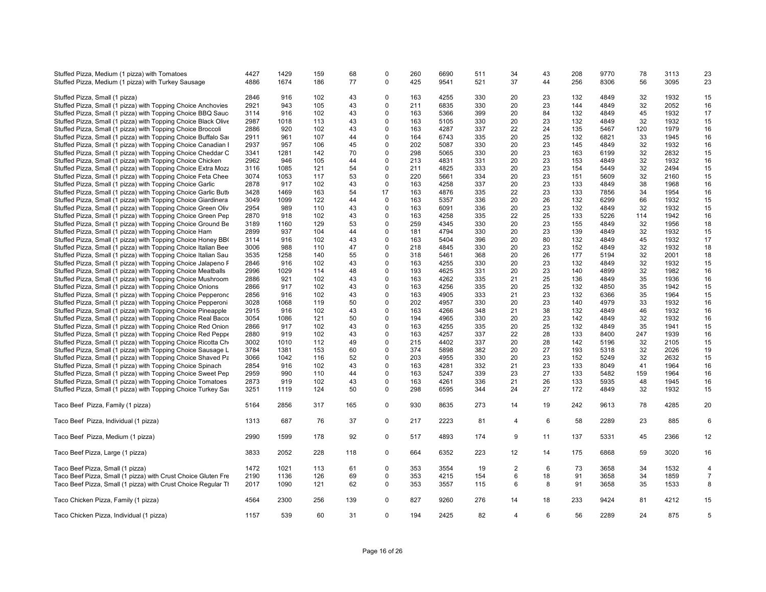| Stuffed Pizza, Medium (1 pizza) with Tomatoes<br>Stuffed Pizza, Medium (1 pizza) with Turkey Sausage | 4427<br>4886 | 1429<br>1674 | 159<br>186 | 68<br>77 | $\Omega$<br>$\mathbf 0$ | 260<br>425 | 6690<br>9541 | 511<br>521 | 34<br>37 | 43<br>44 | 208<br>256 | 9770<br>8306 | 78<br>56 | 3113<br>3095 | 23<br>23       |
|------------------------------------------------------------------------------------------------------|--------------|--------------|------------|----------|-------------------------|------------|--------------|------------|----------|----------|------------|--------------|----------|--------------|----------------|
| Stuffed Pizza, Small (1 pizza)                                                                       | 2846         | 916          | 102        | 43       | $\mathbf 0$             | 163        | 4255         | 330        | 20       | 23       | 132        | 4849         | 32       | 1932         | 15             |
| Stuffed Pizza, Small (1 pizza) with Topping Choice Anchovies                                         | 2921         | 943          | 105        | 43       | 0                       | 211        | 6835         | 330        | 20       | 23       | 144        | 4849         | 32       | 2052         | 16             |
| Stuffed Pizza, Small (1 pizza) with Topping Choice BBQ Sauc                                          | 3114         | 916          | 102        | 43       | 0                       | 163        | 5366         | 399        | 20       | 84       | 132        | 4849         | 45       | 1932         | 17             |
| Stuffed Pizza, Small (1 pizza) with Topping Choice Black Olive                                       | 2987         | 1018         | 113        | 43       | $\mathbf 0$             | 163        | 5105         | 330        | 20       | 23       | 132        | 4849         | 32       | 1932         | 15             |
| Stuffed Pizza, Small (1 pizza) with Topping Choice Broccoli                                          | 2886         | 920          | 102        | 43       | 0                       | 163        | 4287         | 337        | 22       | 24       | 135        | 5467         | 120      | 1979         | 16             |
| Stuffed Pizza, Small (1 pizza) with Topping Choice Buffalo Sar                                       | 2911         | 961          | 107        | 44       | $\Omega$                | 164        | 6743         | 335        | 20       | 25       | 132        | 6821         | 33       | 1945         | 16             |
| Stuffed Pizza, Small (1 pizza) with Topping Choice Canadian I                                        | 2937         | 957          | 106        | 45       | $\Omega$                | 202        | 5087         | 330        | 20       | 23       | 145        | 4849         | 32       | 1932         | 16             |
| Stuffed Pizza, Small (1 pizza) with Topping Choice Cheddar C                                         | 3341         | 1281         | 142        | 70       | $\mathbf 0$             | 298        | 5065         | 330        | 20       | 23       | 163        | 6199         | 32       | 2832         | 15             |
| Stuffed Pizza, Small (1 pizza) with Topping Choice Chicken                                           | 2962         | 946          | 105        | 44       | $\mathbf 0$             | 213        | 4831         | 331        | 20       | 23       | 153        | 4849         | 32       | 1932         | 16             |
|                                                                                                      |              |              |            | 54       | $\Omega$                | 211        | 4825         | 333        | 20       | 23       | 154        | 5449         | 32       | 2494         |                |
| Stuffed Pizza, Small (1 pizza) with Topping Choice Extra Mozz                                        | 3116         | 1085         | 121        |          |                         |            |              |            |          |          |            |              |          |              | 15             |
| Stuffed Pizza, Small (1 pizza) with Topping Choice Feta Chee                                         | 3074         | 1053         | 117        | 53       | $\mathbf 0$             | 220        | 5661         | 334        | 20       | 23       | 151        | 5609         | 32       | 2160         | 15             |
| Stuffed Pizza, Small (1 pizza) with Topping Choice Garlic                                            | 2878         | 917          | 102        | 43       | 0                       | 163        | 4258         | 337        | 20       | 23       | 133        | 4849         | 38       | 1968         | 16             |
| Stuffed Pizza, Small (1 pizza) with Topping Choice Garlic Butt                                       | 3428         | 1469         | 163        | 54       | 17                      | 163        | 4876         | 335        | 22       | 23       | 133        | 7856         | 34       | 1954         | 16             |
| Stuffed Pizza, Small (1 pizza) with Topping Choice Giardinera                                        | 3049         | 1099         | 122        | 44       | $\Omega$                | 163        | 5357         | 336        | 20       | 26       | 132        | 6299         | 66       | 1932         | 15             |
| Stuffed Pizza, Small (1 pizza) with Topping Choice Green Oliv                                        | 2954         | 989          | 110        | 43       | $\mathbf 0$             | 163        | 6091         | 336        | 20       | 23       | 132        | 4849         | 32       | 1932         | 15             |
| Stuffed Pizza, Small (1 pizza) with Topping Choice Green Pep                                         | 2870         | 918          | 102        | 43       | $\pmb{0}$               | 163        | 4258         | 335        | 22       | 25       | 133        | 5226         | 114      | 1942         | 16             |
| Stuffed Pizza, Small (1 pizza) with Topping Choice Ground Be                                         | 3189         | 1160         | 129        | 53       | $\Omega$                | 259        | 4345         | 330        | 20       | 23       | 155        | 4849         | 32       | 1956         | 18             |
| Stuffed Pizza, Small (1 pizza) with Topping Choice Ham                                               | 2899         | 937          | 104        | 44       | $\mathbf 0$             | 181        | 4794         | 330        | 20       | 23       | 139        | 4849         | 32       | 1932         | 15             |
| Stuffed Pizza, Small (1 pizza) with Topping Choice Honey BB                                          | 3114         | 916          | 102        | 43       | 0                       | 163        | 5404         | 396        | 20       | 80       | 132        | 4849         | 45       | 1932         | 17             |
| Stuffed Pizza, Small (1 pizza) with Topping Choice Italian Bee                                       | 3006         | 988          | 110        | 47       | $\Omega$                | 218        | 4845         | 330        | 20       | 23       | 152        | 4849         | 32       | 1932         | 18             |
| Stuffed Pizza, Small (1 pizza) with Topping Choice Italian Sau                                       | 3535         | 1258         | 140        | 55       | $\mathbf 0$             | 318        | 5461         | 368        | 20       | 26       | 177        | 5194         | 32       | 2001         | 18             |
| Stuffed Pizza, Small (1 pizza) with Topping Choice Jalapeno F                                        | 2846         | 916          | 102        | 43       | $\Omega$                | 163        | 4255         | 330        | 20       | 23       | 132        | 4849         | 32       | 1932         | 15             |
| Stuffed Pizza, Small (1 pizza) with Topping Choice Meatballs                                         | 2996         | 1029         | 114        | 48       | $\mathbf 0$             | 193        | 4625         | 331        | 20       | 23       | 140        | 4899         | 32       | 1982         | 16             |
| Stuffed Pizza, Small (1 pizza) with Topping Choice Mushroom                                          | 2886         | 921          | 102        | 43       | $\mathbf 0$             | 163        | 4262         | 335        | 21       | 25       | 136        | 4849         | 35       | 1936         | 16             |
| Stuffed Pizza, Small (1 pizza) with Topping Choice Onions                                            | 2866         | 917          | 102        | 43       | 0                       | 163        | 4256         | 335        | 20       | 25       | 132        | 4850         | 35       | 1942         | 15             |
| Stuffed Pizza, Small (1 pizza) with Topping Choice Pepperonc                                         | 2856         | 916          | 102        | 43       | $\mathbf 0$             | 163        | 4905         | 333        | 21       | 23       | 132        | 6366         | 35       | 1964         | 15             |
| Stuffed Pizza, Small (1 pizza) with Topping Choice Pepperoni                                         | 3028         | 1068         | 119        | 50       | 0                       | 202        | 4957         | 330        | 20       | 23       | 140        | 4979         | 33       | 1932         | 16             |
| Stuffed Pizza, Small (1 pizza) with Topping Choice Pineapple                                         | 2915         | 916          | 102        | 43       | 0                       | 163        | 4266         | 348        | 21       | 38       | 132        | 4849         | 46       | 1932         | 16             |
| Stuffed Pizza, Small (1 pizza) with Topping Choice Real Bacor                                        | 3054         | 1086         | 121        | 50       | $\Omega$                | 194        | 4965         | 330        | 20       | 23       | 142        | 4849         | 32       | 1932         | 16             |
| Stuffed Pizza, Small (1 pizza) with Topping Choice Red Onion                                         | 2866         | 917          | 102        | 43       | $\mathbf 0$             | 163        | 4255         | 335        | 20       | 25       | 132        | 4849         | 35       | 1941         | 15             |
| Stuffed Pizza, Small (1 pizza) with Topping Choice Red Peppe                                         | 2880         | 919          | 102        | 43       | $\mathbf 0$             | 163        | 4257         | 337        | 22       | 28       | 133        | 8400         | 247      | 1939         | 16             |
| Stuffed Pizza, Small (1 pizza) with Topping Choice Ricotta Ch                                        | 3002         | 1010         | 112        | 49       | 0                       | 215        | 4402         | 337        | 20       | 28       | 142        | 5196         | 32       | 2105         | 15             |
| Stuffed Pizza, Small (1 pizza) with Topping Choice Sausage L                                         | 3784         | 1381         | 153        | 60       | $\Omega$                | 374        | 5898         | 382        | 20       | 27       | 193        | 5318         | 32       | 2026         | 19             |
| Stuffed Pizza, Small (1 pizza) with Topping Choice Shaved Pa                                         | 3066         | 1042         | 116        | 52       | $\mathbf 0$             | 203        | 4955         | 330        | 20       | 23       | 152        | 5249         | 32       | 2632         | 15             |
|                                                                                                      |              | 916          | 102        | 43       | 0                       | 163        | 4281         |            |          |          |            | 8049         |          | 1964         | 16             |
| Stuffed Pizza, Small (1 pizza) with Topping Choice Spinach                                           | 2854         |              |            |          |                         |            |              | 332        | 21       | 23       | 133        |              | 41       |              |                |
| Stuffed Pizza, Small (1 pizza) with Topping Choice Sweet Pep                                         | 2959         | 990          | 110        | 44       | $\mathbf 0$             | 163        | 5247         | 339        | 23       | 27       | 133        | 5482         | 159      | 1964         | 16             |
| Stuffed Pizza, Small (1 pizza) with Topping Choice Tomatoes                                          | 2873         | 919          | 102        | 43       | 0                       | 163        | 4261         | 336        | 21       | 26       | 133        | 5935         | 48       | 1945         | 16             |
| Stuffed Pizza, Small (1 pizza) with Topping Choice Turkey Sat                                        | 3251         | 1119         | 124        | 50       | $\mathbf 0$             | 298        | 6595         | 344        | 24       | 27       | 172        | 4849         | 32       | 1932         | 15             |
| Taco Beef Pizza, Family (1 pizza)                                                                    | 5164         | 2856         | 317        | 165      | $\mathbf 0$             | 930        | 8635         | 273        | 14       | 19       | 242        | 9613         | 78       | 4285         | 20             |
| Taco Beef Pizza, Individual (1 pizza)                                                                | 1313         | 687          | 76         | 37       | $\mathbf 0$             | 217        | 2223         | 81         | 4        | 6        | 58         | 2289         | 23       | 885          | 6              |
| Taco Beef Pizza, Medium (1 pizza)                                                                    | 2990         | 1599         | 178        | 92       | 0                       | 517        | 4893         | 174        | 9        | 11       | 137        | 5331         | 45       | 2366         | 12             |
| Taco Beef Pizza, Large (1 pizza)                                                                     | 3833         | 2052         | 228        | 118      | $\mathbf 0$             | 664        | 6352         | 223        | 12       | 14       | 175        | 6868         | 59       | 3020         | 16             |
|                                                                                                      |              |              |            |          |                         |            |              |            |          |          |            |              |          |              |                |
| Taco Beef Pizza, Small (1 pizza)                                                                     | 1472         | 1021         | 113        | 61       | $\mathbf 0$             | 353        | 3554         | 19         | 2        | 6        | 73         | 3658         | 34       | 1532         | $\overline{4}$ |
| Taco Beef Pizza, Small (1 pizza) with Crust Choice Gluten Fre                                        | 2190         | 1136         | 126        | 69       | $\mathbf 0$             | 353        | 4215         | 154        | 6        | 18       | 91         | 3658         | 34       | 1859         | $\overline{7}$ |
| Taco Beef Pizza, Small (1 pizza) with Crust Choice Regular TI                                        | 2017         | 1090         | 121        | 62       | 0                       | 353        | 3557         | 115        | 6        | 8        | 91         | 3658         | 35       | 1533         | 8              |
| Taco Chicken Pizza, Family (1 pizza)                                                                 | 4564         | 2300         | 256        | 139      | $\mathbf 0$             | 827        | 9260         | 276        | 14       | 18       | 233        | 9424         | 81       | 4212         | 15             |
| Taco Chicken Pizza, Individual (1 pizza)                                                             | 1157         | 539          | 60         | 31       | $\Omega$                | 194        | 2425         | 82         | 4        | 6        | 56         | 2289         | 24       | 875          | 5              |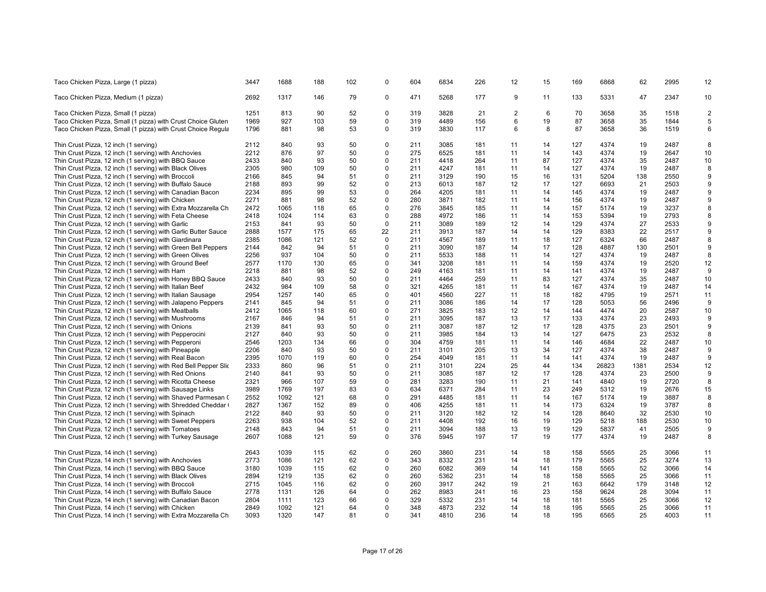| Taco Chicken Pizza, Large (1 pizza)                             | 3447         | 1688 | 188 | 102      | 0                       | 604 | 6834 | 226 | 12             | 15  | 169        | 6868         | 62       | 2995         | 12             |
|-----------------------------------------------------------------|--------------|------|-----|----------|-------------------------|-----|------|-----|----------------|-----|------------|--------------|----------|--------------|----------------|
| Taco Chicken Pizza, Medium (1 pizza)                            | 2692         | 1317 | 146 | 79       | 0                       | 471 | 5268 | 177 | 9              | 11  | 133        | 5331         | 47       | 2347         | 10             |
| Taco Chicken Pizza, Small (1 pizza)                             | 1251         | 813  | 90  | 52       | $\mathbf 0$             | 319 | 3828 | 21  | $\overline{2}$ | 6   | 70         | 3658         | 35       | 1518         | $\overline{2}$ |
| Taco Chicken Pizza, Small (1 pizza) with Crust Choice Gluten    | 1969         | 927  | 103 | 59       | $\Omega$                | 319 | 4489 | 156 | 6              | 19  | 87         | 3658         | 35       | 1844         | 5              |
| Taco Chicken Pizza, Small (1 pizza) with Crust Choice Regula    | 1796         | 881  | 98  | 53       | $\mathbf 0$             | 319 | 3830 | 117 | 6              | 8   | 87         | 3658         | 36       | 1519         | 6              |
| Thin Crust Pizza, 12 inch (1 serving)                           | 2112         | 840  | 93  | 50       | $\Omega$                | 211 | 3085 | 181 | 11             | 14  | 127        | 4374         | 19       | 2487         | 8              |
| Thin Crust Pizza, 12 inch (1 serving) with Anchovies            | 2212         | 876  | 97  | 50       | $\mathbf 0$             | 275 | 6525 | 181 | 11             | 14  | 143        | 4374         | 19       | 2647         | 10             |
| Thin Crust Pizza, 12 inch (1 serving) with BBQ Sauce            | 2433         | 840  | 93  | 50       | $\mathbf 0$             | 211 | 4418 | 264 | 11             | 87  | 127        | 4374         | 35       | 2487         | 10             |
| Thin Crust Pizza, 12 inch (1 serving) with Black Olives         | 2305         | 980  | 109 | 50       | $\Omega$                | 211 | 4247 | 181 | 11             | 14  | 127        | 4374         | 19       | 2487         | 8              |
| Thin Crust Pizza, 12 inch (1 serving) with Broccoli             | 2166         | 845  | 94  | 51       | $\mathbf 0$             | 211 | 3129 | 190 | 15             | 16  | 131        | 5204         | 138      | 2550         | 9              |
| Thin Crust Pizza, 12 inch (1 serving) with Buffalo Sauce        | 2188         | 893  | 99  | 52       | $\Omega$                | 213 | 6013 | 187 | 12             | 17  | 127        | 6693         | 21       | 2503         | 9              |
| Thin Crust Pizza, 12 inch (1 serving) with Canadian Bacon       | 2234         | 895  | 99  | 53       | $\Omega$                | 264 | 4205 | 181 | 11             | 14  | 145        | 4374         | 19       | 2487         | 9              |
| Thin Crust Pizza, 12 inch (1 serving) with Chicken              | 2271         | 881  | 98  | 52       | $\Omega$                | 280 | 3871 | 182 | 11             | 14  | 156        | 4374         | 19       | 2487         | 9              |
| Thin Crust Pizza, 12 inch (1 serving) with Extra Mozzarella Ch  | 2472         | 1065 | 118 | 65       | $\mathbf 0$             | 276 | 3845 | 185 | 11             | 14  | 157        | 5174         | 19       | 3237         | 8              |
| Thin Crust Pizza, 12 inch (1 serving) with Feta Cheese          | 2418         | 1024 | 114 | 63       | $\mathbf 0$             | 288 | 4972 | 186 | 11             | 14  | 153        | 5394         | 19       | 2793         | 8              |
| Thin Crust Pizza, 12 inch (1 serving) with Garlic               | 2153         | 841  | 93  | 50       | $\mathbf 0$             | 211 | 3089 | 189 | 12             | 14  | 129        | 4374         | 27       | 2533         | 9              |
| Thin Crust Pizza, 12 inch (1 serving) with Garlic Butter Sauce  | 2888         | 1577 | 175 | 65       | 22                      | 211 | 3913 | 187 | 14             | 14  | 129        | 8383         | 22       | 2517         | 9              |
| Thin Crust Pizza, 12 inch (1 serving) with Giardinara           | 2385         | 1086 | 121 | 52       | $\Omega$                | 211 | 4567 | 189 | 11             | 18  | 127        | 6324         | 66       | 2487         | 8              |
| Thin Crust Pizza, 12 inch (1 serving) with Green Bell Peppers   | 2144         | 842  | 94  | 51       | 0                       | 211 | 3090 | 187 | 14             | 17  | 128        | 4887         | 130      | 2501         | 9              |
| Thin Crust Pizza, 12 inch (1 serving) with Green Olives         | 2256         | 937  | 104 | 50       | $\Omega$                | 211 | 5533 | 188 | 11             | 14  | 127        | 4374         | 19       | 2487         | 8              |
| Thin Crust Pizza, 12 inch (1 serving) with Ground Beef          | 2577         | 1170 | 130 | 65       | $\Omega$                | 341 | 3208 | 181 | 11             | 14  | 159        | 4374         | 19       | 2520         | 12             |
| Thin Crust Pizza, 12 inch (1 serving) with Ham                  | 2218         | 881  | 98  | 52       | $\Omega$                | 249 | 4163 | 181 | 11             | 14  | 141        | 4374         | 19       | 2487         | 9              |
| Thin Crust Pizza, 12 inch (1 serving) with Honey BBQ Sauce      | 2433         | 840  | 93  | 50       | $\mathbf 0$             | 211 | 4464 | 259 | 11             | 83  | 127        | 4374         | 35       | 2487         | 10             |
| Thin Crust Pizza, 12 inch (1 serving) with Italian Beef         | 2432         | 984  | 109 | 58       | $\Omega$                | 321 | 4265 | 181 | 11             | 14  | 167        | 4374         | 19       | 2487         | 14             |
| Thin Crust Pizza, 12 inch (1 serving) with Italian Sausage      | 2954         | 1257 | 140 | 65       | $\Omega$                | 401 | 4560 | 227 | 11             | 18  | 182        | 4795         | 19       | 2571         | 11             |
|                                                                 |              | 845  | 94  | 51       | $\Omega$                | 211 | 3086 | 186 | 14             | 17  | 128        | 5053         | 56       | 2496         | 9              |
| Thin Crust Pizza, 12 inch (1 serving) with Jalapeno Peppers     | 2141<br>2412 | 1065 | 118 | 60       | $\Omega$                | 271 | 3825 | 183 | 12             | 14  | 144        | 4474         | 20       | 2587         | 10             |
| Thin Crust Pizza, 12 inch (1 serving) with Meatballs            | 2167         | 846  | 94  | 51       | $\mathbf 0$             | 211 | 3095 | 187 | 13             | 17  | 133        | 4374         | 23       | 2493         | 9              |
| Thin Crust Pizza, 12 inch (1 serving) with Mushrooms            |              |      |     | 50       | $\Omega$                | 211 | 3087 | 187 | 12             | 17  |            | 4375         | 23       |              | 9              |
| Thin Crust Pizza, 12 inch (1 serving) with Onions               | 2139         | 841  | 93  |          | $\Omega$                |     |      |     |                |     | 128        |              |          | 2501         |                |
| Thin Crust Pizza, 12 inch (1 serving) with Pepperocini          | 2127         | 840  | 93  | 50       | $\mathbf 0$             | 211 | 3985 | 184 | 13             | 14  | 127        | 6475         | 23       | 2532         | 8              |
| Thin Crust Pizza, 12 inch (1 serving) with Pepperoni            | 2546         | 1203 | 134 | 66<br>50 | $\Omega$                | 304 | 4759 | 181 | 11<br>13       | 14  | 146<br>127 | 4684<br>4374 | 22<br>38 | 2487<br>2487 | 10<br>9        |
| Thin Crust Pizza, 12 inch (1 serving) with Pineapple            | 2206         | 840  | 93  |          |                         | 211 | 3101 | 205 |                | 34  |            |              |          |              |                |
| Thin Crust Pizza, 12 inch (1 serving) with Real Bacon           | 2395         | 1070 | 119 | 60       | $\Omega$                | 254 | 4049 | 181 | 11             | 14  | 141        | 4374         | 19       | 2487         | 9              |
| Thin Crust Pizza, 12 inch (1 serving) with Red Bell Pepper Slic | 2333         | 860  | 96  | 51       | $\Omega$                | 211 | 3101 | 224 | 25             | 44  | 134        | 26823        | 1381     | 2534         | 12<br>9        |
| Thin Crust Pizza, 12 inch (1 serving) with Red Onions           | 2140         | 841  | 93  | 50       | $\mathbf 0$<br>$\Omega$ | 211 | 3085 | 187 | 12             | 17  | 128        | 4374         | 23       | 2500         |                |
| Thin Crust Pizza, 12 inch (1 serving) with Ricotta Cheese       | 2321         | 966  | 107 | 59       |                         | 281 | 3283 | 190 | 11             | 21  | 141        | 4840         | 19       | 2720         | 8              |
| Thin Crust Pizza, 12 inch (1 serving) with Sausage Links        | 3989         | 1769 | 197 | 83       | $\mathbf 0$             | 634 | 6371 | 284 | 11             | 23  | 249        | 5312         | 19       | 2676         | 15             |
| Thin Crust Pizza, 12 inch (1 serving) with Shaved Parmesan (    | 2552         | 1092 | 121 | 68       | $\Omega$                | 291 | 4485 | 181 | 11             | 14  | 167        | 5174         | 19       | 3887         | 8              |
| Thin Crust Pizza, 12 inch (1 serving) with Shredded Cheddar (   | 2827         | 1367 | 152 | 89       | $\Omega$                | 406 | 4255 | 181 | 11             | 14  | 173        | 6324         | 19       | 3787         | 8              |
| Thin Crust Pizza, 12 inch (1 serving) with Spinach              | 2122         | 840  | 93  | 50       | $\mathbf 0$             | 211 | 3120 | 182 | 12             | 14  | 128        | 8640         | 32       | 2530         | 10             |
| Thin Crust Pizza, 12 inch (1 serving) with Sweet Peppers        | 2263         | 938  | 104 | 52       | $\mathbf 0$             | 211 | 4408 | 192 | 16             | 19  | 129        | 5218         | 188      | 2530         | 10             |
| Thin Crust Pizza, 12 inch (1 serving) with Tomatoes             | 2148         | 843  | 94  | 51       | $\Omega$                | 211 | 3094 | 188 | 13             | 19  | 129        | 5837         | 41       | 2505         | 9              |
| Thin Crust Pizza, 12 inch (1 serving) with Turkey Sausage       | 2607         | 1088 | 121 | 59       | $\mathbf 0$             | 376 | 5945 | 197 | 17             | 19  | 177        | 4374         | 19       | 2487         | 8              |
| Thin Crust Pizza, 14 inch (1 serving)                           | 2643         | 1039 | 115 | 62       | $\Omega$                | 260 | 3860 | 231 | 14             | 18  | 158        | 5565         | 25       | 3066         | 11             |
| Thin Crust Pizza, 14 inch (1 serving) with Anchovies            | 2773         | 1086 | 121 | 62       | $\mathbf 0$             | 343 | 8332 | 231 | 14             | 18  | 179        | 5565         | 25       | 3274         | 13             |
| Thin Crust Pizza, 14 inch (1 serving) with BBQ Sauce            | 3180         | 1039 | 115 | 62       | 0                       | 260 | 6082 | 369 | 14             | 141 | 158        | 5565         | 52       | 3066         | 14             |
| Thin Crust Pizza, 14 inch (1 serving) with Black Olives         | 2894         | 1219 | 135 | 62       | $\mathbf 0$             | 260 | 5362 | 231 | 14             | 18  | 158        | 5565         | 25       | 3066         | 11             |
| Thin Crust Pizza, 14 inch (1 serving) with Broccoli             | 2715         | 1045 | 116 | 62       | $\mathbf 0$             | 260 | 3917 | 242 | 19             | 21  | 163        | 6642         | 179      | 3148         | 12             |
| Thin Crust Pizza, 14 inch (1 serving) with Buffalo Sauce        | 2778         | 1131 | 126 | 64       | 0                       | 262 | 8983 | 241 | 16             | 23  | 158        | 9624         | 28       | 3094         | 11             |
| Thin Crust Pizza, 14 inch (1 serving) with Canadian Bacon       | 2804         | 1111 | 123 | 66       | $\Omega$                | 329 | 5332 | 231 | 14             | 18  | 181        | 5565         | 25       | 3066         | 12             |
| Thin Crust Pizza, 14 inch (1 serving) with Chicken              | 2849         | 1092 | 121 | 64       | $\Omega$                | 348 | 4873 | 232 | 14             | 18  | 195        | 5565         | 25       | 3066         | 11             |
| Thin Crust Pizza, 14 inch (1 serving) with Extra Mozzarella Ch  | 3093         | 1320 | 147 | 81       | $\Omega$                | 341 | 4810 | 236 | 14             | 18  | 195        | 6565         | 25       | 4003         | 11             |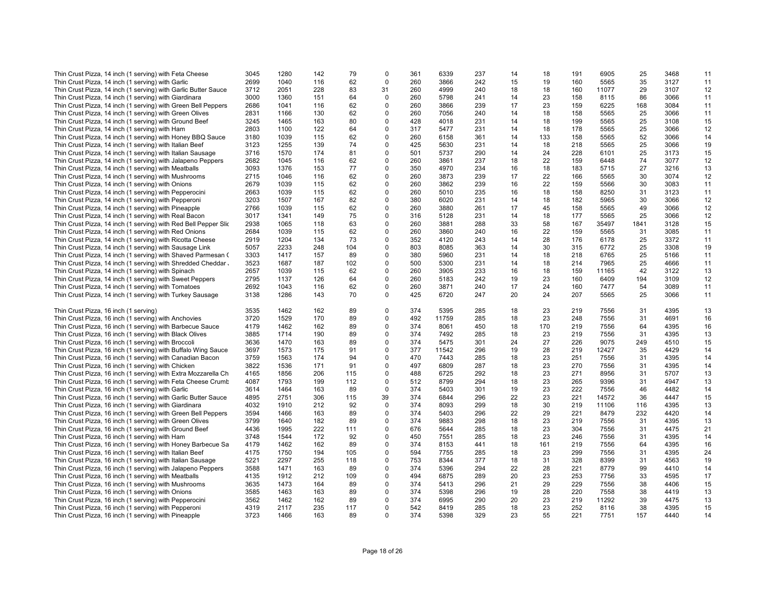| Thin Crust Pizza, 14 inch (1 serving) with Feta Cheese          | 3045 | 1280 | 142 | 79  | 0           | 361 | 6339  | 237 | 14 | 18  | 191 | 6905  | 25   | 3468 | 11 |
|-----------------------------------------------------------------|------|------|-----|-----|-------------|-----|-------|-----|----|-----|-----|-------|------|------|----|
| Thin Crust Pizza, 14 inch (1 serving) with Garlic               | 2699 | 1040 | 116 | 62  | $\mathbf 0$ | 260 | 3866  | 242 | 15 | 19  | 160 | 5565  | 35   | 3127 | 11 |
| Thin Crust Pizza, 14 inch (1 serving) with Garlic Butter Sauce  | 3712 | 2051 | 228 | 83  | 31          | 260 | 4999  | 240 | 18 | 18  | 160 | 11077 | 29   | 3107 | 12 |
| Thin Crust Pizza, 14 inch (1 serving) with Giardinara           | 3000 | 1360 | 151 | 64  | 0           | 260 | 5798  | 241 | 14 | 23  | 158 | 8115  | 86   | 3066 | 11 |
| Thin Crust Pizza, 14 inch (1 serving) with Green Bell Peppers   | 2686 | 1041 | 116 | 62  | $\mathbf 0$ | 260 | 3866  | 239 | 17 | 23  | 159 | 6225  | 168  | 3084 | 11 |
| Thin Crust Pizza, 14 inch (1 serving) with Green Olives         | 2831 | 1166 | 130 | 62  | 0           | 260 | 7056  | 240 | 14 | 18  | 158 | 5565  | 25   | 3066 | 11 |
| Thin Crust Pizza, 14 inch (1 serving) with Ground Beef          | 3245 | 1465 | 163 | 80  | $\mathbf 0$ | 428 | 4018  | 231 | 14 | 18  | 199 | 5565  | 25   | 3108 | 15 |
| Thin Crust Pizza, 14 inch (1 serving) with Ham                  | 2803 | 1100 | 122 | 64  | $\mathbf 0$ | 317 | 5477  | 231 | 14 | 18  | 178 | 5565  | 25   | 3066 | 12 |
| Thin Crust Pizza, 14 inch (1 serving) with Honey BBQ Sauce      | 3180 | 1039 | 115 | 62  | 0           | 260 | 6158  | 361 | 14 | 133 | 158 | 5565  | 52   | 3066 | 14 |
| Thin Crust Pizza, 14 inch (1 serving) with Italian Beef         | 3123 | 1255 | 139 | 74  | $\mathbf 0$ | 425 | 5630  | 231 | 14 | 18  | 218 | 5565  | 25   | 3066 | 19 |
|                                                                 | 3716 | 1570 | 174 | 81  | $\mathbf 0$ | 501 | 5737  | 290 | 14 | 24  | 228 | 6101  | 25   | 3173 | 15 |
| Thin Crust Pizza, 14 inch (1 serving) with Italian Sausage      |      |      |     |     |             |     |       |     |    |     |     |       |      |      |    |
| Thin Crust Pizza, 14 inch (1 serving) with Jalapeno Peppers     | 2682 | 1045 | 116 | 62  | $\mathbf 0$ | 260 | 3861  | 237 | 18 | 22  | 159 | 6448  | 74   | 3077 | 12 |
| Thin Crust Pizza, 14 inch (1 serving) with Meatballs            | 3093 | 1376 | 153 | 77  | $\mathbf 0$ | 350 | 4970  | 234 | 16 | 18  | 183 | 5715  | 27   | 3216 | 13 |
| Thin Crust Pizza, 14 inch (1 serving) with Mushrooms            | 2715 | 1046 | 116 | 62  | 0           | 260 | 3873  | 239 | 17 | 22  | 166 | 5565  | 30   | 3074 | 12 |
| Thin Crust Pizza, 14 inch (1 serving) with Onions               | 2679 | 1039 | 115 | 62  | $\mathbf 0$ | 260 | 3862  | 239 | 16 | 22  | 159 | 5566  | 30   | 3083 | 11 |
| Thin Crust Pizza, 14 inch (1 serving) with Pepperocini          | 2663 | 1039 | 115 | 62  | $\mathbf 0$ | 260 | 5010  | 235 | 16 | 18  | 158 | 8250  | 31   | 3123 | 11 |
| Thin Crust Pizza, 14 inch (1 serving) with Pepperoni            | 3203 | 1507 | 167 | 82  | $\mathbf 0$ | 380 | 6020  | 231 | 14 | 18  | 182 | 5965  | 30   | 3066 | 12 |
| Thin Crust Pizza, 14 inch (1 serving) with Pineapple            | 2766 | 1039 | 115 | 62  | $\mathbf 0$ | 260 | 3880  | 261 | 17 | 45  | 158 | 5565  | 49   | 3066 | 12 |
| Thin Crust Pizza, 14 inch (1 serving) with Real Bacon           | 3017 | 1341 | 149 | 75  | 0           | 316 | 5128  | 231 | 14 | 18  | 177 | 5565  | 25   | 3066 | 12 |
| Thin Crust Pizza, 14 inch (1 serving) with Red Bell Pepper Slic | 2938 | 1065 | 118 | 63  | $\mathbf 0$ | 260 | 3881  | 288 | 33 | 58  | 167 | 35497 | 1841 | 3128 | 15 |
| Thin Crust Pizza, 14 inch (1 serving) with Red Onions           | 2684 | 1039 | 115 | 62  | $\mathbf 0$ | 260 | 3860  | 240 | 16 | 22  | 159 | 5565  | 31   | 3085 | 11 |
| Thin Crust Pizza, 14 inch (1 serving) with Ricotta Cheese       | 2919 | 1204 | 134 | 73  | 0           | 352 | 4120  | 243 | 14 | 28  | 176 | 6178  | 25   | 3372 | 11 |
| Thin Crust Pizza, 14 inch (1 serving) with Sausage Link         | 5057 | 2233 | 248 | 104 | $\mathbf 0$ | 803 | 8085  | 363 | 14 | 30  | 315 | 6772  | 25   | 3308 | 19 |
| Thin Crust Pizza, 14 inch (1 serving) with Shaved Parmesan (    | 3303 | 1417 | 157 | 89  | 0           | 380 | 5960  | 231 | 14 | 18  | 218 | 6765  | 25   | 5166 | 11 |
|                                                                 | 3523 | 1687 | 187 | 102 | 0           | 500 | 5300  | 231 | 14 | 18  | 214 | 7965  | 25   | 4666 | 11 |
| Thin Crust Pizza, 14 inch (1 serving) with Shredded Cheddar.    |      |      |     |     |             |     |       |     |    |     |     |       | 42   |      |    |
| Thin Crust Pizza, 14 inch (1 serving) with Spinach              | 2657 | 1039 | 115 | 62  | $\mathbf 0$ | 260 | 3905  | 233 | 16 | 18  | 159 | 11165 |      | 3122 | 13 |
| Thin Crust Pizza, 14 inch (1 serving) with Sweet Peppers        | 2795 | 1137 | 126 | 64  | 0           | 260 | 5183  | 242 | 19 | 23  | 160 | 6409  | 194  | 3109 | 12 |
| Thin Crust Pizza, 14 inch (1 serving) with Tomatoes             | 2692 | 1043 | 116 | 62  | 0           | 260 | 3871  | 240 | 17 | 24  | 160 | 7477  | 54   | 3089 | 11 |
| Thin Crust Pizza, 14 inch (1 serving) with Turkey Sausage       | 3138 | 1286 | 143 | 70  | $\mathbf 0$ | 425 | 6720  | 247 | 20 | 24  | 207 | 5565  | 25   | 3066 | 11 |
|                                                                 |      |      |     |     |             |     |       |     |    |     |     |       |      |      |    |
| Thin Crust Pizza, 16 inch (1 serving)                           | 3535 | 1462 | 162 | 89  | $\mathbf 0$ | 374 | 5395  | 285 | 18 | 23  | 219 | 7556  | 31   | 4395 | 13 |
| Thin Crust Pizza, 16 inch (1 serving) with Anchovies            | 3720 | 1529 | 170 | 89  | 0           | 492 | 11759 | 285 | 18 | 23  | 248 | 7556  | 31   | 4691 | 16 |
| Thin Crust Pizza, 16 inch (1 serving) with Barbecue Sauce       | 4179 | 1462 | 162 | 89  | $\mathbf 0$ | 374 | 8061  | 450 | 18 | 170 | 219 | 7556  | 64   | 4395 | 16 |
| Thin Crust Pizza, 16 inch (1 serving) with Black Olives         | 3885 | 1714 | 190 | 89  | $\mathbf 0$ | 374 | 7492  | 285 | 18 | 23  | 219 | 7556  | 31   | 4395 | 13 |
| Thin Crust Pizza, 16 inch (1 serving) with Broccoli             | 3636 | 1470 | 163 | 89  | 0           | 374 | 5475  | 301 | 24 | 27  | 226 | 9075  | 249  | 4510 | 15 |
| Thin Crust Pizza, 16 inch (1 serving) with Buffalo Wing Sauce   | 3697 | 1573 | 175 | 91  | $\mathbf 0$ | 377 | 11542 | 296 | 19 | 28  | 219 | 12427 | 35   | 4429 | 14 |
| Thin Crust Pizza, 16 inch (1 serving) with Canadian Bacon       | 3759 | 1563 | 174 | 94  | $\mathbf 0$ | 470 | 7443  | 285 | 18 | 23  | 251 | 7556  | 31   | 4395 | 14 |
| Thin Crust Pizza, 16 inch (1 serving) with Chicken              | 3822 | 1536 | 171 | 91  | $\mathbf 0$ | 497 | 6809  | 287 | 18 | 23  | 270 | 7556  | 31   | 4395 | 14 |
| Thin Crust Pizza, 16 inch (1 serving) with Extra Mozzarella Ch  | 4165 | 1856 | 206 | 115 | $\mathbf 0$ | 488 | 6725  | 292 | 18 | 23  | 271 | 8956  | 31   | 5707 | 13 |
| Thin Crust Pizza, 16 inch (1 serving) with Feta Cheese Crumb    | 4087 | 1793 | 199 | 112 | 0           | 512 | 8799  | 294 | 18 | 23  | 265 | 9396  | 31   | 4947 | 13 |
| Thin Crust Pizza, 16 inch (1 serving) with Garlic               | 3614 | 1464 | 163 | 89  | $\mathbf 0$ | 374 | 5403  | 301 | 19 | 23  | 222 | 7556  | 46   | 4482 | 14 |
|                                                                 | 4895 | 2751 | 306 | 115 | 39          | 374 | 6844  | 296 | 22 | 23  | 221 | 14572 | 36   | 4447 | 15 |
| Thin Crust Pizza, 16 inch (1 serving) with Garlic Butter Sauce  |      |      | 212 | 92  | $\Omega$    | 374 |       |     |    | 30  |     |       |      |      |    |
| Thin Crust Pizza, 16 inch (1 serving) with Giardinara           | 4032 | 1910 |     |     |             |     | 8093  | 299 | 18 |     | 219 | 11106 | 116  | 4395 | 13 |
| Thin Crust Pizza, 16 inch (1 serving) with Green Bell Peppers   | 3594 | 1466 | 163 | 89  | $\mathbf 0$ | 374 | 5403  | 296 | 22 | 29  | 221 | 8479  | 232  | 4420 | 14 |
| Thin Crust Pizza, 16 inch (1 serving) with Green Olives         | 3799 | 1640 | 182 | 89  | 0           | 374 | 9883  | 298 | 18 | 23  | 219 | 7556  | 31   | 4395 | 13 |
| Thin Crust Pizza, 16 inch (1 serving) with Ground Beef          | 4436 | 1995 | 222 | 111 | $\mathbf 0$ | 676 | 5644  | 285 | 18 | 23  | 304 | 7556  | 31   | 4475 | 21 |
| Thin Crust Pizza, 16 inch (1 serving) with Ham                  | 3748 | 1544 | 172 | 92  | $\mathbf 0$ | 450 | 7551  | 285 | 18 | 23  | 246 | 7556  | 31   | 4395 | 14 |
| Thin Crust Pizza, 16 inch (1 serving) with Honey Barbecue Sa    | 4179 | 1462 | 162 | 89  | 0           | 374 | 8153  | 441 | 18 | 161 | 219 | 7556  | 64   | 4395 | 16 |
| Thin Crust Pizza, 16 inch (1 serving) with Italian Beef         | 4175 | 1750 | 194 | 105 | $\mathbf 0$ | 594 | 7755  | 285 | 18 | 23  | 299 | 7556  | 31   | 4395 | 24 |
| Thin Crust Pizza, 16 inch (1 serving) with Italian Sausage      | 5221 | 2297 | 255 | 118 | 0           | 753 | 8344  | 377 | 18 | 31  | 328 | 8399  | 31   | 4563 | 19 |
| Thin Crust Pizza, 16 inch (1 serving) with Jalapeno Peppers     | 3588 | 1471 | 163 | 89  | 0           | 374 | 5396  | 294 | 22 | 28  | 221 | 8779  | 99   | 4410 | 14 |
| Thin Crust Pizza, 16 inch (1 serving) with Meatballs            | 4135 | 1912 | 212 | 109 | 0           | 494 | 6875  | 289 | 20 | 23  | 253 | 7756  | 33   | 4595 | 17 |
| Thin Crust Pizza, 16 inch (1 serving) with Mushrooms            | 3635 | 1473 | 164 | 89  | 0           | 374 | 5413  | 296 | 21 | 29  | 229 | 7556  | 38   | 4406 | 15 |
| Thin Crust Pizza, 16 inch (1 serving) with Onions               | 3585 | 1463 | 163 | 89  | 0           | 374 | 5398  | 296 | 19 | 28  | 220 | 7558  | 38   | 4419 | 13 |
| Thin Crust Pizza, 16 inch (1 serving) with Pepperocini          | 3562 | 1462 | 162 | 89  | 0           | 374 | 6995  | 290 | 20 | 23  | 219 | 11292 | 39   | 4475 | 13 |
|                                                                 | 4319 | 2117 | 235 | 117 | $\mathbf 0$ | 542 | 8419  | 285 | 18 | 23  | 252 | 8116  | 38   | 4395 | 15 |
| Thin Crust Pizza, 16 inch (1 serving) with Pepperoni            |      |      |     | 89  | $\Omega$    |     |       |     |    | 55  |     |       |      |      |    |
| Thin Crust Pizza, 16 inch (1 serving) with Pineapple            | 3723 | 1466 | 163 |     |             | 374 | 5398  | 329 | 23 |     | 221 | 7751  | 157  | 4440 | 14 |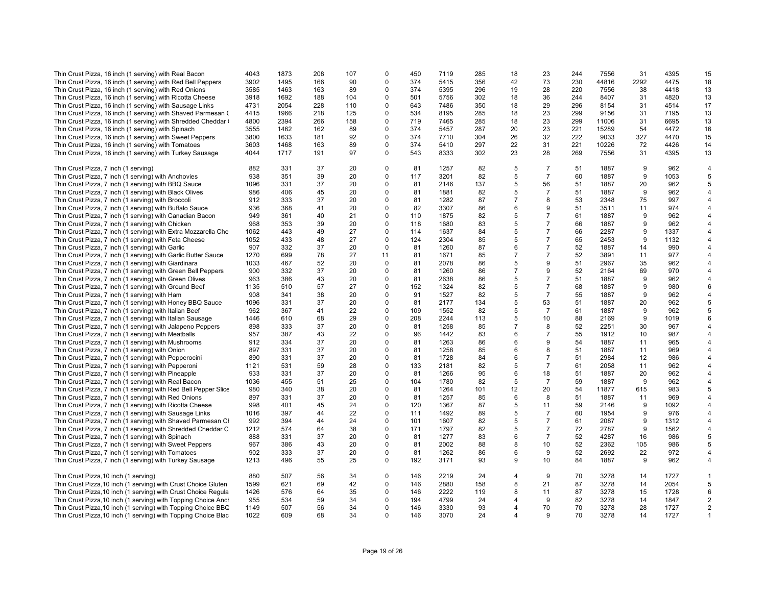| Thin Crust Pizza, 16 inch (1 serving) with Real Bacon           | 4043 | 1873 | 208 | 107 | $\mathbf 0$ | 450 | 7119 | 285 | 18             | 23             | 244 | 7556  | 31   | 4395 | 15             |
|-----------------------------------------------------------------|------|------|-----|-----|-------------|-----|------|-----|----------------|----------------|-----|-------|------|------|----------------|
| Thin Crust Pizza, 16 inch (1 serving) with Red Bell Peppers     | 3902 | 1495 | 166 | 90  | $\mathbf 0$ | 374 | 5415 | 356 | 42             | 73             | 230 | 44816 | 2292 | 4475 | 18             |
| Thin Crust Pizza, 16 inch (1 serving) with Red Onions           | 3585 | 1463 | 163 | 89  | $\Omega$    | 374 | 5395 | 296 | 19             | 28             | 220 | 7556  | 38   | 4418 | 13             |
| Thin Crust Pizza, 16 inch (1 serving) with Ricotta Cheese       | 3918 | 1692 | 188 | 104 | $\mathbf 0$ | 501 | 5756 | 302 | 18             | 36             | 244 | 8407  | 31   | 4820 | 13             |
| Thin Crust Pizza, 16 inch (1 serving) with Sausage Links        | 4731 | 2054 | 228 | 110 | $\mathbf 0$ | 643 | 7486 | 350 | 18             | 29             | 296 | 8154  | 31   | 4514 | 17             |
| Thin Crust Pizza, 16 inch (1 serving) with Shaved Parmesan (    | 4415 | 1966 | 218 | 125 | 0           | 534 | 8195 | 285 | 18             | 23             | 299 | 9156  | 31   | 7195 | 13             |
|                                                                 | 4800 | 2394 | 266 | 158 | $\mathbf 0$ | 719 | 7465 | 285 | 18             | 23             | 299 | 11006 | 31   | 6695 | 13             |
| Thin Crust Pizza, 16 inch (1 serving) with Shredded Cheddar (   |      |      |     |     |             |     |      |     |                |                |     |       |      |      |                |
| Thin Crust Pizza, 16 inch (1 serving) with Spinach              | 3555 | 1462 | 162 | 89  | $\mathbf 0$ | 374 | 5457 | 287 | 20             | 23             | 221 | 15289 | 54   | 4472 | 16             |
| Thin Crust Pizza, 16 inch (1 serving) with Sweet Peppers        | 3800 | 1633 | 181 | 92  | $\mathbf 0$ | 374 | 7710 | 304 | 26             | 32             | 222 | 9033  | 327  | 4470 | 15             |
| Thin Crust Pizza, 16 inch (1 serving) with Tomatoes             | 3603 | 1468 | 163 | 89  | $\mathbf 0$ | 374 | 5410 | 297 | 22             | 31             | 221 | 10226 | 72   | 4426 | 14             |
| Thin Crust Pizza, 16 inch (1 serving) with Turkey Sausage       | 4044 | 1717 | 191 | 97  | $\mathbf 0$ | 543 | 8333 | 302 | 23             | 28             | 269 | 7556  | 31   | 4395 | 13             |
| Thin Crust Pizza, 7 inch (1 serving)                            | 882  | 331  | 37  | 20  | $\mathbf 0$ | 81  | 1257 | 82  | 5              | $\overline{7}$ | 51  | 1887  | 9    | 962  | $\overline{4}$ |
| Thin Crust Pizza, 7 inch (1 serving) with Anchovies             | 938  | 351  | 39  | 20  | $\mathbf 0$ | 117 | 3201 | 82  | 5              | $\overline{7}$ | 60  | 1887  | 9    | 1053 | 5              |
| Thin Crust Pizza, 7 inch (1 serving) with BBQ Sauce             | 1096 | 331  | 37  | 20  | $\Omega$    | 81  | 2146 | 137 | 5              | 56             | 51  | 1887  | 20   | 962  | 5              |
| Thin Crust Pizza, 7 inch (1 serving) with Black Olives          | 986  | 406  | 45  | 20  | $\Omega$    | 81  | 1881 | 82  | 5              | $\overline{7}$ | 51  | 1887  | 9    | 962  | 4              |
| Thin Crust Pizza, 7 inch (1 serving) with Broccoli              | 912  | 333  | 37  | 20  | $\mathbf 0$ | 81  | 1282 | 87  | $\overline{7}$ | 8              | 53  | 2348  | 75   | 997  | 4              |
| Thin Crust Pizza, 7 inch (1 serving) with Buffalo Sauce         | 936  | 368  | 41  | 20  | $\mathbf 0$ | 82  | 3307 | 86  | 6              | 9              | 51  | 3511  | 11   | 974  | $\overline{4}$ |
| Thin Crust Pizza, 7 inch (1 serving) with Canadian Bacon        | 949  | 361  | 40  | 21  | $\mathbf 0$ | 110 | 1875 | 82  | 5              | $\overline{7}$ | 61  | 1887  | 9    | 962  | $\overline{4}$ |
|                                                                 | 968  | 353  | 39  | 20  | $\Omega$    | 118 | 1680 | 83  | 5              | $\overline{7}$ | 66  | 1887  | 9    | 962  | 4              |
| Thin Crust Pizza, 7 inch (1 serving) with Chicken               |      |      |     |     |             |     |      |     |                |                |     |       | 9    |      |                |
| Thin Crust Pizza, 7 inch (1 serving) with Extra Mozzarella Che  | 1062 | 443  | 49  | 27  | $\mathbf 0$ | 114 | 1637 | 84  | 5              | $\overline{7}$ | 66  | 2287  |      | 1337 | $\overline{4}$ |
| Thin Crust Pizza, 7 inch (1 serving) with Feta Cheese           | 1052 | 433  | 48  | 27  | 0           | 124 | 2304 | 85  | 5              | $\overline{7}$ | 65  | 2453  | 9    | 1132 | $\overline{4}$ |
| Thin Crust Pizza, 7 inch (1 serving) with Garlic                | 907  | 332  | 37  | 20  | $\mathbf 0$ | 81  | 1260 | 87  | 6              | $\overline{7}$ | 52  | 1887  | 14   | 990  | 4              |
| Thin Crust Pizza, 7 inch (1 serving) with Garlic Butter Sauce   | 1270 | 699  | 78  | 27  | 11          | 81  | 1671 | 85  | $\overline{7}$ | $\overline{7}$ | 52  | 3891  | 11   | 977  | 4              |
| Thin Crust Pizza, 7 inch (1 serving) with Giardinara            | 1033 | 467  | 52  | 20  | $\mathbf 0$ | 81  | 2078 | 86  | 5              | 9              | 51  | 2967  | 35   | 962  | 4              |
| Thin Crust Pizza, 7 inch (1 serving) with Green Bell Peppers    | 900  | 332  | 37  | 20  | $\Omega$    | 81  | 1260 | 86  | $\overline{7}$ | 9              | 52  | 2164  | 69   | 970  | $\overline{4}$ |
| Thin Crust Pizza, 7 inch (1 serving) with Green Olives          | 963  | 386  | 43  | 20  | $\mathbf 0$ | 81  | 2638 | 86  | 5              | $\overline{7}$ | 51  | 1887  | 9    | 962  | $\overline{4}$ |
| Thin Crust Pizza, 7 inch (1 serving) with Ground Beef           | 1135 | 510  | 57  | 27  | $\Omega$    | 152 | 1324 | 82  | 5              | $\overline{7}$ | 68  | 1887  | 9    | 980  | 6              |
| Thin Crust Pizza, 7 inch (1 serving) with Ham                   | 908  | 341  | 38  | 20  | $\Omega$    | 91  | 1527 | 82  | 5              | $\overline{7}$ | 55  | 1887  | 9    | 962  | $\overline{4}$ |
| Thin Crust Pizza, 7 inch (1 serving) with Honey BBQ Sauce       | 1096 | 331  | 37  | 20  | $\mathbf 0$ | 81  | 2177 | 134 | 5              | 53             | 51  | 1887  | 20   | 962  | 5              |
| Thin Crust Pizza, 7 inch (1 serving) with Italian Beef          | 962  | 367  | 41  | 22  | $\mathbf 0$ | 109 | 1552 | 82  | 5              | $\overline{7}$ | 61  | 1887  | 9    | 962  | 5              |
|                                                                 |      |      | 68  | 29  | $\Omega$    |     | 2244 |     | 5              | 10             | 88  | 2169  | 9    | 1019 | 6              |
| Thin Crust Pizza, 7 inch (1 serving) with Italian Sausage       | 1446 | 610  |     |     |             | 208 |      | 113 | $\overline{7}$ |                |     |       |      |      |                |
| Thin Crust Pizza, 7 inch (1 serving) with Jalapeno Peppers      | 898  | 333  | 37  | 20  | $\Omega$    | 81  | 1258 | 85  |                | 8              | 52  | 2251  | 30   | 967  | $\overline{4}$ |
| Thin Crust Pizza, 7 inch (1 serving) with Meatballs             | 957  | 387  | 43  | 22  | $\Omega$    | 96  | 1442 | 83  | 6              | $\overline{7}$ | 55  | 1912  | 10   | 987  | 4              |
| Thin Crust Pizza, 7 inch (1 serving) with Mushrooms             | 912  | 334  | 37  | 20  | $\mathbf 0$ | 81  | 1263 | 86  | 6              | 9              | 54  | 1887  | 11   | 965  | $\overline{4}$ |
| Thin Crust Pizza, 7 inch (1 serving) with Onion                 | 897  | 331  | 37  | 20  | $\Omega$    | 81  | 1258 | 85  | 6              | 8              | 51  | 1887  | 11   | 969  | 4              |
| Thin Crust Pizza, 7 inch (1 serving) with Pepperocini           | 890  | 331  | 37  | 20  | $\Omega$    | 81  | 1728 | 84  | 6              | $\overline{7}$ | 51  | 2984  | 12   | 986  |                |
| Thin Crust Pizza, 7 inch (1 serving) with Pepperoni             | 1121 | 531  | 59  | 28  | $\Omega$    | 133 | 2181 | 82  | 5              | $\overline{7}$ | 61  | 2058  | 11   | 962  | $\overline{4}$ |
| Thin Crust Pizza, 7 inch (1 serving) with Pineapple             | 933  | 331  | 37  | 20  | $\mathbf 0$ | 81  | 1266 | 95  | 6              | 18             | 51  | 1887  | 20   | 962  | $\overline{4}$ |
| Thin Crust Pizza, 7 inch (1 serving) with Real Bacon            | 1036 | 455  | 51  | 25  | $\Omega$    | 104 | 1780 | 82  | 5              | $\overline{7}$ | 59  | 1887  | 9    | 962  | $\overline{4}$ |
| Thin Crust Pizza, 7 inch (1 serving) with Red Bell Pepper Slice | 980  | 340  | 38  | 20  | $\mathbf 0$ | 81  | 1264 | 101 | 12             | 20             | 54  | 11877 | 615  | 983  | 5              |
| Thin Crust Pizza, 7 inch (1 serving) with Red Onions            | 897  | 331  | 37  | 20  | $\mathbf 0$ | 81  | 1257 | 85  | 6              | 8              | 51  | 1887  | 11   | 969  | 4              |
| Thin Crust Pizza, 7 inch (1 serving) with Ricotta Cheese        | 998  | 401  | 45  | 24  | $\mathbf 0$ | 120 | 1367 | 87  | 5              | 11             | 59  | 2146  | 9    | 1092 | $\overline{4}$ |
|                                                                 | 1016 | 397  | 44  | 22  | $\Omega$    | 111 | 1492 | 89  | 5              | $\overline{7}$ | 60  | 1954  | 9    | 976  | 4              |
| Thin Crust Pizza, 7 inch (1 serving) with Sausage Links         |      |      |     |     | $\mathbf 0$ |     |      |     | 5              | $\overline{7}$ | 61  |       | 9    |      | $\overline{4}$ |
| Thin Crust Pizza, 7 inch (1 serving) with Shaved Parmesan Cl    | 992  | 394  | 44  | 24  |             | 101 | 1607 | 82  |                |                |     | 2087  |      | 1312 |                |
| Thin Crust Pizza, 7 inch (1 serving) with Shredded Cheddar C    | 1212 | 574  | 64  | 38  | $\mathbf 0$ | 171 | 1797 | 82  | 5              | $\overline{7}$ | 72  | 2787  | 9    | 1562 | 4              |
| Thin Crust Pizza, 7 inch (1 serving) with Spinach               | 888  | 331  | 37  | 20  | $\Omega$    | 81  | 1277 | 83  | 6              | $\overline{7}$ | 52  | 4287  | 16   | 986  | 5              |
| Thin Crust Pizza, 7 inch (1 serving) with Sweet Peppers         | 967  | 386  | 43  | 20  | $\mathbf 0$ | 81  | 2002 | 88  | 8              | 10             | 52  | 2362  | 105  | 986  | 5              |
| Thin Crust Pizza, 7 inch (1 serving) with Tomatoes              | 902  | 333  | 37  | 20  | $\mathbf 0$ | 81  | 1262 | 86  | 6              | 9              | 52  | 2692  | 22   | 972  | 4              |
| Thin Crust Pizza, 7 inch (1 serving) with Turkey Sausage        | 1213 | 496  | 55  | 25  | $\mathbf 0$ | 192 | 3171 | 93  | 9              | 10             | 84  | 1887  | 9    | 962  | $\overline{4}$ |
| Thin Crust Pizza, 10 inch (1 serving)                           | 880  | 507  | 56  | 34  | $\mathbf 0$ | 146 | 2219 | 24  | $\overline{4}$ | 9              | 70  | 3278  | 14   | 1727 | $\mathbf{1}$   |
| Thin Crust Pizza, 10 inch (1 serving) with Crust Choice Gluten  | 1599 | 621  | 69  | 42  | $\mathbf 0$ | 146 | 2880 | 158 | 8              | 21             | 87  | 3278  | 14   | 2054 | 5              |
| Thin Crust Pizza, 10 inch (1 serving) with Crust Choice Regula  | 1426 | 576  | 64  | 35  | $\mathbf 0$ | 146 | 2222 | 119 | 8              | 11             | 87  | 3278  | 15   | 1728 | 6              |
| Thin Crust Pizza, 10 inch (1 serving) with Topping Choice Ancl  | 955  | 534  | 59  | 34  | $\mathbf 0$ | 194 | 4799 | 24  | 4              | 9              | 82  | 3278  | 14   | 1847 | $\overline{2}$ |
| Thin Crust Pizza, 10 inch (1 serving) with Topping Choice BBC   | 1149 | 507  | 56  | 34  | 0           | 146 | 3330 | 93  | 4              | 70             | 70  | 3278  | 28   | 1727 | $\overline{2}$ |
| Thin Crust Pizza, 10 inch (1 serving) with Topping Choice Blac  | 1022 | 609  | 68  | 34  | $\Omega$    | 146 | 3070 | 24  | 4              | q              | 70  | 3278  | 14   | 1727 | $\mathbf{1}$   |
|                                                                 |      |      |     |     |             |     |      |     |                |                |     |       |      |      |                |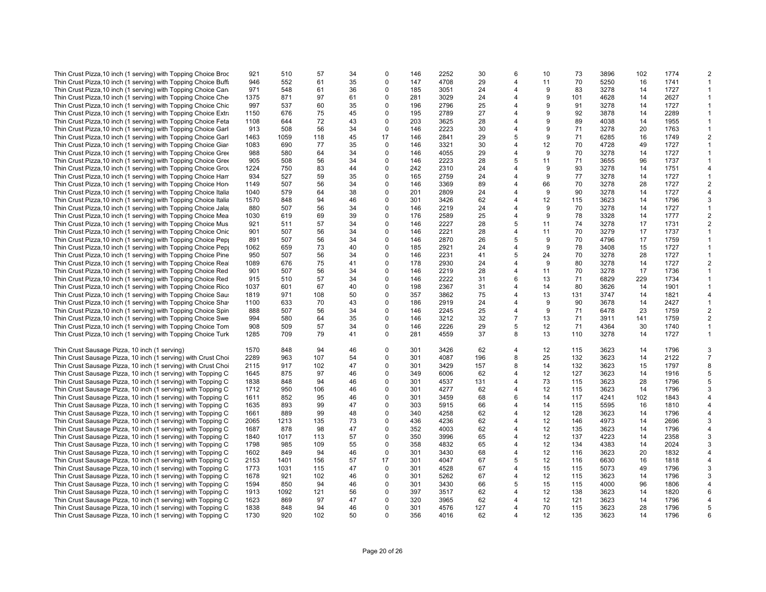| Thin Crust Pizza, 10 inch (1 serving) with Topping Choice Broc   | 921  | 510  | 57  | 34 | $\Omega$    | 146 | 2252 | 30  | 6              | 10 | 73  | 3896 | 102 | 1774 | 2              |
|------------------------------------------------------------------|------|------|-----|----|-------------|-----|------|-----|----------------|----|-----|------|-----|------|----------------|
| Thin Crust Pizza, 10 inch (1 serving) with Topping Choice Buff.  | 946  | 552  | 61  | 35 | $\mathbf 0$ | 147 | 4708 | 29  | 4              | 11 | 70  | 5250 | 16  | 1741 |                |
| Thin Crust Pizza, 10 inch (1 serving) with Topping Choice Can    | 971  | 548  | 61  | 36 | $\mathbf 0$ | 185 | 3051 | 24  | 4              | 9  | 83  | 3278 | 14  | 1727 | $\mathbf{1}$   |
|                                                                  | 1375 | 871  | 97  | 61 | $\mathbf 0$ | 281 | 3029 | 24  | 4              | 9  | 101 | 4628 | 14  | 2627 | $\mathbf{1}$   |
| Thin Crust Pizza, 10 inch (1 serving) with Topping Choice Che    |      |      |     |    |             |     |      |     |                |    |     |      |     |      |                |
| Thin Crust Pizza, 10 inch (1 serving) with Topping Choice Chic   | 997  | 537  | 60  | 35 | $\Omega$    | 196 | 2796 | 25  | 4              | 9  | 91  | 3278 | 14  | 1727 |                |
| Thin Crust Pizza, 10 inch (1 serving) with Topping Choice Extra  | 1150 | 676  | 75  | 45 | $\Omega$    | 195 | 2789 | 27  | 4              | 9  | 92  | 3878 | 14  | 2289 | $\mathbf{1}$   |
| Thin Crust Pizza, 10 inch (1 serving) with Topping Choice Feta   | 1108 | 644  | 72  | 43 | $\Omega$    | 203 | 3625 | 28  | 4              | 9  | 89  | 4038 | 14  | 1955 | -1             |
|                                                                  |      |      |     |    |             |     |      |     |                |    |     |      |     |      |                |
| Thin Crust Pizza, 10 inch (1 serving) with Topping Choice Garl   | 913  | 508  | 56  | 34 | $\mathbf 0$ | 146 | 2223 | 30  | 4              | 9  | 71  | 3278 | 20  | 1763 | $\mathbf{1}$   |
| Thin Crust Pizza, 10 inch (1 serving) with Topping Choice Garl   | 1463 | 1059 | 118 | 45 | 17          | 146 | 2841 | 29  | 5              | 9  | 71  | 6285 | 16  | 1749 | 2              |
| Thin Crust Pizza, 10 inch (1 serving) with Topping Choice Giar   | 1083 | 690  | 77  | 35 | $\Omega$    | 146 | 3321 | 30  | 4              | 12 | 70  | 4728 | 49  | 1727 |                |
|                                                                  |      |      | 64  | 34 | $\mathbf 0$ | 146 |      | 29  | 4              | 9  | 70  | 3278 | 14  | 1727 | $\mathbf{1}$   |
| Thin Crust Pizza, 10 inch (1 serving) with Topping Choice Gree   | 988  | 580  |     |    |             |     | 4055 |     |                |    |     |      |     |      |                |
| Thin Crust Pizza, 10 inch (1 serving) with Topping Choice Gree   | 905  | 508  | 56  | 34 | $\Omega$    | 146 | 2223 | 28  | 5              | 11 | 71  | 3655 | 96  | 1737 | -1             |
| Thin Crust Pizza, 10 inch (1 serving) with Topping Choice Grou   | 1224 | 750  | 83  | 44 | $\Omega$    | 242 | 2310 | 24  | 4              | 9  | 93  | 3278 | 14  | 1751 | 4              |
| Thin Crust Pizza, 10 inch (1 serving) with Topping Choice Ham    | 934  | 527  | 59  | 35 | $\Omega$    | 165 | 2759 | 24  | 4              | 9  | 77  | 3278 | 14  | 1727 | $\mathbf{1}$   |
|                                                                  |      |      |     |    |             |     |      |     |                |    |     |      |     |      |                |
| Thin Crust Pizza, 10 inch (1 serving) with Topping Choice Hon    | 1149 | 507  | 56  | 34 | $\Omega$    | 146 | 3369 | 89  | 4              | 66 | 70  | 3278 | 28  | 1727 | $\overline{2}$ |
| Thin Crust Pizza, 10 inch (1 serving) with Topping Choice Italia | 1040 | 579  | 64  | 38 | $\Omega$    | 201 | 2809 | 24  | 4              | 9  | 90  | 3278 | 14  | 1727 | 4              |
| Thin Crust Pizza, 10 inch (1 serving) with Topping Choice Italia | 1570 | 848  | 94  | 46 | $\Omega$    | 301 | 3426 | 62  | 4              | 12 | 115 | 3623 | 14  | 1796 | 3              |
| Thin Crust Pizza, 10 inch (1 serving) with Topping Choice Jala   | 880  | 507  | 56  | 34 | $\mathbf 0$ | 146 | 2219 | 24  | 4              | 9  | 70  | 3278 | 14  | 1727 |                |
|                                                                  |      |      |     |    |             |     |      |     |                |    |     |      |     |      |                |
| Thin Crust Pizza, 10 inch (1 serving) with Topping Choice Mea    | 1030 | 619  | 69  | 39 | $\mathbf 0$ | 176 | 2589 | 25  | 4              | 9  | 78  | 3328 | 14  | 1777 | 2              |
| Thin Crust Pizza, 10 inch (1 serving) with Topping Choice Mus    | 921  | 511  | 57  | 34 | $\Omega$    | 146 | 2227 | 28  | 5              | 11 | 74  | 3278 | 17  | 1731 | 2              |
| Thin Crust Pizza, 10 inch (1 serving) with Topping Choice Onic   | 901  | 507  | 56  | 34 | $\mathbf 0$ | 146 | 2221 | 28  | 4              | 11 | 70  | 3279 | 17  | 1737 |                |
|                                                                  |      |      |     |    |             |     |      |     |                |    |     |      |     |      |                |
| Thin Crust Pizza, 10 inch (1 serving) with Topping Choice Pep    | 891  | 507  | 56  | 34 | $\Omega$    | 146 | 2870 | 26  | 5              | 9  | 70  | 4796 | 17  | 1759 |                |
| Thin Crust Pizza, 10 inch (1 serving) with Topping Choice Pep    | 1062 | 659  | 73  | 40 | $\Omega$    | 185 | 2921 | 24  | 4              | 9  | 78  | 3408 | 15  | 1727 | $\mathbf{1}$   |
| Thin Crust Pizza, 10 inch (1 serving) with Topping Choice Pine   | 950  | 507  | 56  | 34 | $\mathbf 0$ | 146 | 2231 | 41  | 5              | 24 | 70  | 3278 | 28  | 1727 | $\mathbf{1}$   |
| Thin Crust Pizza, 10 inch (1 serving) with Topping Choice Rea    | 1089 | 676  | 75  | 41 | $\Omega$    | 178 | 2930 | 24  | 4              | 9  | 80  | 3278 | 14  | 1727 | 2              |
|                                                                  |      |      |     |    | $\Omega$    |     |      |     | 4              |    |     |      | 17  |      |                |
| Thin Crust Pizza, 10 inch (1 serving) with Topping Choice Red    | 901  | 507  | 56  | 34 |             | 146 | 2219 | 28  |                | 11 | 70  | 3278 |     | 1736 | -1             |
| Thin Crust Pizza, 10 inch (1 serving) with Topping Choice Red    | 915  | 510  | 57  | 34 | $\Omega$    | 146 | 2222 | 31  | 6              | 13 | 71  | 6829 | 229 | 1734 | -1             |
| Thin Crust Pizza, 10 inch (1 serving) with Topping Choice Rico   | 1037 | 601  | 67  | 40 | $\Omega$    | 198 | 2367 | 31  | 4              | 14 | 80  | 3626 | 14  | 1901 |                |
| Thin Crust Pizza, 10 inch (1 serving) with Topping Choice Sau:   | 1819 | 971  | 108 | 50 | $\mathbf 0$ | 357 | 3862 | 75  | 4              | 13 | 131 | 3747 | 14  | 1821 | 4              |
|                                                                  |      |      |     |    | $\Omega$    |     |      |     |                |    |     |      |     |      |                |
| Thin Crust Pizza, 10 inch (1 serving) with Topping Choice Sha    | 1100 | 633  | 70  | 43 |             | 186 | 2919 | 24  | 4              | 9  | 90  | 3678 | 14  | 2427 | $\mathbf{1}$   |
| Thin Crust Pizza, 10 inch (1 serving) with Topping Choice Spin   | 888  | 507  | 56  | 34 | $\Omega$    | 146 | 2245 | 25  | 4              | 9  | 71  | 6478 | 23  | 1759 | 2              |
| Thin Crust Pizza, 10 inch (1 serving) with Topping Choice Swe    | 994  | 580  | 64  | 35 | $\Omega$    | 146 | 3212 | 32  | $\overline{7}$ | 13 | 71  | 3911 | 141 | 1759 | 2              |
| Thin Crust Pizza, 10 inch (1 serving) with Topping Choice Tom    | 908  | 509  | 57  | 34 | $\Omega$    | 146 | 2226 | 29  | 5              | 12 | 71  | 4364 | 30  | 1740 | $\mathbf{1}$   |
|                                                                  |      |      |     |    |             |     |      |     |                |    |     |      |     |      |                |
| Thin Crust Pizza, 10 inch (1 serving) with Topping Choice Turk   | 1285 | 709  | 79  | 41 | $\mathbf 0$ | 281 | 4559 | 37  | 8              | 13 | 110 | 3278 | 14  | 1727 | $\mathbf{1}$   |
|                                                                  |      |      |     |    |             |     |      |     |                |    |     |      |     |      |                |
| Thin Crust Sausage Pizza, 10 inch (1 serving)                    | 1570 | 848  | 94  | 46 | $\Omega$    | 301 | 3426 | 62  | 4              | 12 | 115 | 3623 | 14  | 1796 | 3              |
| Thin Crust Sausage Pizza, 10 inch (1 serving) with Crust Choi    | 2289 | 963  | 107 | 54 | $\mathbf 0$ | 301 | 4087 | 196 | 8              | 25 | 132 | 3623 | 14  | 2122 | $\overline{7}$ |
|                                                                  |      |      |     |    |             |     |      |     |                |    |     |      |     |      |                |
| Thin Crust Sausage Pizza, 10 inch (1 serving) with Crust Choi    | 2115 | 917  | 102 | 47 | $\Omega$    | 301 | 3429 | 157 | 8              | 14 | 132 | 3623 | 15  | 1797 | 8              |
| Thin Crust Sausage Pizza, 10 inch (1 serving) with Topping C     | 1645 | 875  | 97  | 46 | $\mathbf 0$ | 349 | 6006 | 62  | 4              | 12 | 127 | 3623 | 14  | 1916 | 5              |
| Thin Crust Sausage Pizza, 10 inch (1 serving) with Topping C     | 1838 | 848  | 94  | 46 | $\mathbf 0$ | 301 | 4537 | 131 | 4              | 73 | 115 | 3623 | 28  | 1796 | 5              |
| Thin Crust Sausage Pizza, 10 inch (1 serving) with Topping C     | 1712 | 950  | 106 | 46 | $\Omega$    | 301 | 4277 | 62  | 4              | 12 | 115 | 3623 | 14  | 1796 | 3              |
|                                                                  |      |      |     |    |             |     |      |     |                |    |     |      |     |      |                |
| Thin Crust Sausage Pizza, 10 inch (1 serving) with Topping C     | 1611 | 852  | 95  | 46 | $\Omega$    | 301 | 3459 | 68  | 6              | 14 | 117 | 4241 | 102 | 1843 | 4              |
| Thin Crust Sausage Pizza, 10 inch (1 serving) with Topping C     | 1635 | 893  | 99  | 47 | $\Omega$    | 303 | 5915 | 66  | 4              | 14 | 115 | 5595 | 16  | 1810 | 4              |
| Thin Crust Sausage Pizza, 10 inch (1 serving) with Topping C     | 1661 | 889  | 99  | 48 | $\Omega$    | 340 | 4258 | 62  | 4              | 12 | 128 | 3623 | 14  | 1796 |                |
| Thin Crust Sausage Pizza, 10 inch (1 serving) with Topping C     | 2065 | 1213 | 135 | 73 | $\mathbf 0$ | 436 | 4236 | 62  | 4              | 12 | 146 | 4973 | 14  | 2696 | 3              |
|                                                                  |      |      |     |    |             |     |      |     |                |    |     |      |     |      |                |
| Thin Crust Sausage Pizza, 10 inch (1 serving) with Topping C     | 1687 | 878  | 98  | 47 | $\Omega$    | 352 | 4003 | 62  | 4              | 12 | 135 | 3623 | 14  | 1796 | 4              |
| Thin Crust Sausage Pizza, 10 inch (1 serving) with Topping C     | 1840 | 1017 | 113 | 57 | $\mathbf 0$ | 350 | 3996 | 65  | 4              | 12 | 137 | 4223 | 14  | 2358 | 3              |
| Thin Crust Sausage Pizza, 10 inch (1 serving) with Topping C     | 1798 | 985  | 109 | 55 | $\mathbf 0$ | 358 | 4832 | 65  | 4              | 12 | 134 | 4383 | 14  | 2024 | 3              |
| Thin Crust Sausage Pizza, 10 inch (1 serving) with Topping C     | 1602 | 849  | 94  | 46 | $\mathbf 0$ | 301 | 3430 | 68  | 4              | 12 | 116 | 3623 | 20  | 1832 | 4              |
|                                                                  |      |      |     |    |             |     |      |     |                |    |     |      |     |      |                |
| Thin Crust Sausage Pizza, 10 inch (1 serving) with Topping C     | 2153 | 1401 | 156 | 57 | 17          | 301 | 4047 | 67  | 5              | 12 | 116 | 6630 | 16  | 1818 | 4              |
| Thin Crust Sausage Pizza, 10 inch (1 serving) with Topping C     | 1773 | 1031 | 115 | 47 | $\Omega$    | 301 | 4528 | 67  | 4              | 15 | 115 | 5073 | 49  | 1796 | 3              |
| Thin Crust Sausage Pizza, 10 inch (1 serving) with Topping C     | 1678 | 921  | 102 | 46 | $\Omega$    | 301 | 5262 | 67  | 4              | 12 | 115 | 3623 | 14  | 1796 | 3              |
|                                                                  |      |      | 94  |    | $\mathbf 0$ |     |      |     | 5              | 15 |     |      | 96  |      | 4              |
| Thin Crust Sausage Pizza, 10 inch (1 serving) with Topping C     | 1594 | 850  |     | 46 |             | 301 | 3430 | 66  |                |    | 115 | 4000 |     | 1806 |                |
| Thin Crust Sausage Pizza, 10 inch (1 serving) with Topping C     | 1913 | 1092 | 121 | 56 | $\mathbf 0$ | 397 | 3517 | 62  | 4              | 12 | 138 | 3623 | 14  | 1820 | 6              |
| Thin Crust Sausage Pizza, 10 inch (1 serving) with Topping C     | 1623 | 869  | 97  | 47 | $\Omega$    | 320 | 3965 | 62  | 4              | 12 | 121 | 3623 | 14  | 1796 | 4              |
| Thin Crust Sausage Pizza, 10 inch (1 serving) with Topping C     | 1838 | 848  | 94  | 46 | $\Omega$    | 301 | 4576 | 127 | 4              | 70 | 115 | 3623 | 28  | 1796 | 5              |
|                                                                  |      |      |     | 50 | $\Omega$    |     |      |     | 4              | 12 |     |      |     |      |                |
| Thin Crust Sausage Pizza, 10 inch (1 serving) with Topping C     | 1730 | 920  | 102 |    |             | 356 | 4016 | 62  |                |    | 135 | 3623 | 14  | 1796 | 6              |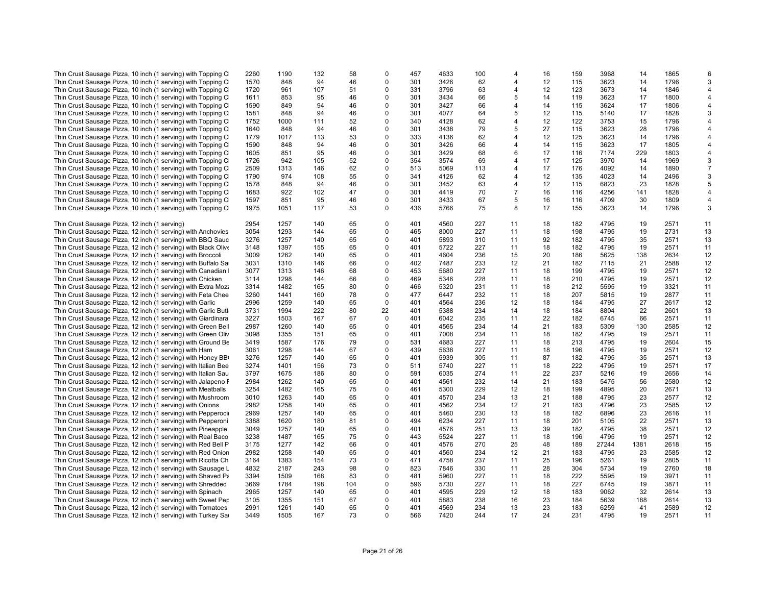| Thin Crust Sausage Pizza, 10 inch (1 serving) with Topping C   | 2260 | 1190 | 132 | 58  | $\mathbf 0$ | 457 | 4633 | 100 | 4  | 16 | 159 | 3968  | 14   | 1865 | 6              |
|----------------------------------------------------------------|------|------|-----|-----|-------------|-----|------|-----|----|----|-----|-------|------|------|----------------|
| Thin Crust Sausage Pizza, 10 inch (1 serving) with Topping C   | 1570 | 848  | 94  | 46  | $\mathbf 0$ | 301 | 3426 | 62  | 4  | 12 | 115 | 3623  | 14   | 1796 | 3              |
|                                                                |      |      | 107 | 51  | 0           | 331 | 3796 | 63  | 4  | 12 | 123 | 3673  | 14   | 1846 |                |
| Thin Crust Sausage Pizza, 10 inch (1 serving) with Topping C   | 1720 | 961  |     |     |             |     |      |     |    |    |     |       |      |      | 4              |
| Thin Crust Sausage Pizza, 10 inch (1 serving) with Topping C   | 1611 | 853  | 95  | 46  | $\Omega$    | 301 | 3434 | 66  | 5  | 14 | 119 | 3623  | 17   | 1800 | 4              |
| Thin Crust Sausage Pizza, 10 inch (1 serving) with Topping C   | 1590 | 849  | 94  | 46  | $\mathbf 0$ | 301 | 3427 | 66  | 4  | 14 | 115 | 3624  | 17   | 1806 | 4              |
| Thin Crust Sausage Pizza, 10 inch (1 serving) with Topping C   | 1581 | 848  | 94  | 46  | 0           | 301 | 4077 | 64  | 5  | 12 | 115 | 5140  | 17   | 1828 | 3              |
| Thin Crust Sausage Pizza, 10 inch (1 serving) with Topping C   | 1752 | 1000 | 111 | 52  | $\mathbf 0$ | 340 | 4128 | 62  | 4  | 12 | 122 | 3753  | 15   | 1796 | 4              |
| Thin Crust Sausage Pizza, 10 inch (1 serving) with Topping C   | 1640 | 848  | 94  | 46  | 0           | 301 | 3438 | 79  | 5  | 27 | 115 | 3623  | 28   | 1796 | 4              |
| Thin Crust Sausage Pizza, 10 inch (1 serving) with Topping C   | 1779 | 1017 | 113 | 53  | 0           | 333 | 4136 | 62  | 4  | 12 | 125 | 3623  | 14   | 1796 |                |
| Thin Crust Sausage Pizza, 10 inch (1 serving) with Topping C   | 1590 | 848  | 94  | 46  | $\mathbf 0$ | 301 | 3426 | 66  | 4  | 14 | 115 | 3623  | 17   | 1805 | 4              |
|                                                                |      |      |     |     |             |     |      |     |    |    |     |       |      |      |                |
| Thin Crust Sausage Pizza, 10 inch (1 serving) with Topping C   | 1605 | 851  | 95  | 46  | $\Omega$    | 301 | 3429 | 68  | 6  | 17 | 116 | 7174  | 229  | 1803 | 4              |
| Thin Crust Sausage Pizza, 10 inch (1 serving) with Topping C   | 1726 | 942  | 105 | 52  | $\mathbf 0$ | 354 | 3574 | 69  | 4  | 17 | 125 | 3970  | 14   | 1969 | 3              |
| Thin Crust Sausage Pizza, 10 inch (1 serving) with Topping C   | 2509 | 1313 | 146 | 62  | 0           | 513 | 5069 | 113 | 4  | 17 | 176 | 4092  | 14   | 1890 | $\overline{7}$ |
| Thin Crust Sausage Pizza, 10 inch (1 serving) with Topping C   | 1790 | 974  | 108 | 55  | $\Omega$    | 341 | 4126 | 62  | 4  | 12 | 135 | 4023  | 14   | 2496 | 3              |
| Thin Crust Sausage Pizza, 10 inch (1 serving) with Topping C   | 1578 | 848  | 94  | 46  | $\mathbf 0$ | 301 | 3452 | 63  | 4  | 12 | 115 | 6823  | 23   | 1828 | 5              |
| Thin Crust Sausage Pizza, 10 inch (1 serving) with Topping C   | 1683 | 922  | 102 | 47  | $\mathbf 0$ | 301 | 4419 | 70  | 7  | 16 | 116 | 4256  | 141  | 1828 | 4              |
| Thin Crust Sausage Pizza, 10 inch (1 serving) with Topping C   | 1597 | 851  | 95  | 46  | $\mathbf 0$ | 301 | 3433 | 67  | 5  | 16 | 116 | 4709  | 30   | 1809 | 4              |
|                                                                |      |      |     |     |             |     |      | 75  |    |    |     |       |      | 1796 |                |
| Thin Crust Sausage Pizza, 10 inch (1 serving) with Topping C   | 1975 | 1051 | 117 | 53  | 0           | 436 | 5766 |     | 8  | 17 | 155 | 3623  | 14   |      | 3              |
|                                                                |      |      |     |     |             |     |      |     |    |    |     |       |      |      |                |
| Thin Crust Sausage Pizza, 12 inch (1 serving)                  | 2954 | 1257 | 140 | 65  | $\Omega$    | 401 | 4560 | 227 | 11 | 18 | 182 | 4795  | 19   | 2571 | 11             |
| Thin Crust Sausage Pizza, 12 inch (1 serving) with Anchovies   | 3054 | 1293 | 144 | 65  | $\mathbf 0$ | 465 | 8000 | 227 | 11 | 18 | 198 | 4795  | 19   | 2731 | 13             |
| Thin Crust Sausage Pizza, 12 inch (1 serving) with BBQ Sauc    | 3276 | 1257 | 140 | 65  | 0           | 401 | 5893 | 310 | 11 | 92 | 182 | 4795  | 35   | 2571 | 13             |
| Thin Crust Sausage Pizza, 12 inch (1 serving) with Black Olive | 3148 | 1397 | 155 | 65  | $\mathbf 0$ | 401 | 5722 | 227 | 11 | 18 | 182 | 4795  | 19   | 2571 | 11             |
| Thin Crust Sausage Pizza, 12 inch (1 serving) with Broccoli    | 3009 | 1262 | 140 | 65  | $\mathbf 0$ | 401 | 4604 | 236 | 15 | 20 | 186 | 5625  | 138  | 2634 | 12             |
| Thin Crust Sausage Pizza, 12 inch (1 serving) with Buffalo Sa  | 3031 | 1310 | 146 | 66  | $\mathbf 0$ | 402 | 7487 | 233 | 12 | 21 | 182 | 7115  | 21   | 2588 | 12             |
| Thin Crust Sausage Pizza, 12 inch (1 serving) with Canadian    | 3077 | 1313 | 146 | 68  | $\mathbf 0$ | 453 | 5680 | 227 | 11 | 18 | 199 | 4795  | 19   | 2571 | 12             |
|                                                                |      |      |     | 66  |             | 469 |      |     |    |    |     |       | 19   | 2571 |                |
| Thin Crust Sausage Pizza, 12 inch (1 serving) with Chicken     | 3114 | 1298 | 144 |     | 0           |     | 5346 | 228 | 11 | 18 | 210 | 4795  |      |      | 12             |
| Thin Crust Sausage Pizza, 12 inch (1 serving) with Extra Moz:  | 3314 | 1482 | 165 | 80  | $\mathbf 0$ | 466 | 5320 | 231 | 11 | 18 | 212 | 5595  | 19   | 3321 | 11             |
| Thin Crust Sausage Pizza, 12 inch (1 serving) with Feta Chee   | 3260 | 1441 | 160 | 78  | 0           | 477 | 6447 | 232 | 11 | 18 | 207 | 5815  | 19   | 2877 | 11             |
| Thin Crust Sausage Pizza, 12 inch (1 serving) with Garlic      | 2996 | 1259 | 140 | 65  | $\Omega$    | 401 | 4564 | 236 | 12 | 18 | 184 | 4795  | 27   | 2617 | 12             |
| Thin Crust Sausage Pizza, 12 inch (1 serving) with Garlic Butt | 3731 | 1994 | 222 | 80  | 22          | 401 | 5388 | 234 | 14 | 18 | 184 | 8804  | 22   | 2601 | 13             |
| Thin Crust Sausage Pizza, 12 inch (1 serving) with Giardinara  | 3227 | 1503 | 167 | 67  | 0           | 401 | 6042 | 235 | 11 | 22 | 182 | 6745  | 66   | 2571 | 11             |
| Thin Crust Sausage Pizza, 12 inch (1 serving) with Green Bell  | 2987 | 1260 | 140 | 65  | $\mathbf 0$ | 401 | 4565 | 234 | 14 | 21 | 183 | 5309  | 130  | 2585 | 12             |
| Thin Crust Sausage Pizza, 12 inch (1 serving) with Green Oliv  | 3098 | 1355 | 151 | 65  | 0           | 401 | 7008 | 234 | 11 | 18 | 182 | 4795  | 19   | 2571 | 11             |
|                                                                | 3419 | 1587 | 176 | 79  | $\mathbf 0$ | 531 | 4683 | 227 | 11 | 18 | 213 | 4795  | 19   | 2604 | 15             |
| Thin Crust Sausage Pizza, 12 inch (1 serving) with Ground Be   |      |      |     |     |             |     |      |     |    |    |     |       |      |      |                |
| Thin Crust Sausage Pizza, 12 inch (1 serving) with Ham         | 3061 | 1298 | 144 | 67  | $\Omega$    | 439 | 5638 | 227 | 11 | 18 | 196 | 4795  | 19   | 2571 | 12             |
| Thin Crust Sausage Pizza, 12 inch (1 serving) with Honey BB    | 3276 | 1257 | 140 | 65  | $\Omega$    | 401 | 5939 | 305 | 11 | 87 | 182 | 4795  | 35   | 2571 | 13             |
| Thin Crust Sausage Pizza, 12 inch (1 serving) with Italian Bee | 3274 | 1401 | 156 | 73  | $\mathbf 0$ | 511 | 5740 | 227 | 11 | 18 | 222 | 4795  | 19   | 2571 | 17             |
| Thin Crust Sausage Pizza, 12 inch (1 serving) with Italian Sau | 3797 | 1675 | 186 | 80  | 0           | 591 | 6035 | 274 | 11 | 22 | 237 | 5216  | 19   | 2656 | 14             |
| Thin Crust Sausage Pizza, 12 inch (1 serving) with Jalapeno F  | 2984 | 1262 | 140 | 65  | $\Omega$    | 401 | 4561 | 232 | 14 | 21 | 183 | 5475  | 56   | 2580 | 12             |
| Thin Crust Sausage Pizza, 12 inch (1 serving) with Meatballs   | 3254 | 1482 | 165 | 75  | $\mathbf 0$ | 461 | 5300 | 229 | 12 | 18 | 199 | 4895  | 20   | 2671 | 13             |
| Thin Crust Sausage Pizza, 12 inch (1 serving) with Mushroom    | 3010 | 1263 | 140 | 65  | 0           | 401 | 4570 | 234 | 13 | 21 | 188 | 4795  | 23   | 2577 | 12             |
| Thin Crust Sausage Pizza, 12 inch (1 serving) with Onions      | 2982 | 1258 | 140 | 65  | $\Omega$    | 401 | 4562 | 234 | 12 | 21 | 183 | 4796  | 23   | 2585 | 12             |
|                                                                |      |      |     |     | $\mathbf 0$ |     |      |     |    |    |     |       |      |      |                |
| Thin Crust Sausage Pizza, 12 inch (1 serving) with Pepperocii  | 2969 | 1257 | 140 | 65  |             | 401 | 5460 | 230 | 13 | 18 | 182 | 6896  | 23   | 2616 | 11             |
| Thin Crust Sausage Pizza, 12 inch (1 serving) with Pepperoni   | 3388 | 1620 | 180 | 81  | 0           | 494 | 6234 | 227 | 11 | 18 | 201 | 5105  | 22   | 2571 | 13             |
| Thin Crust Sausage Pizza, 12 inch (1 serving) with Pineapple   | 3049 | 1257 | 140 | 65  | $\Omega$    | 401 | 4576 | 251 | 13 | 39 | 182 | 4795  | 38   | 2571 | 12             |
| Thin Crust Sausage Pizza, 12 inch (1 serving) with Real Baco   | 3238 | 1487 | 165 | 75  | $\mathbf 0$ | 443 | 5524 | 227 | 11 | 18 | 196 | 4795  | 19   | 2571 | 12             |
| Thin Crust Sausage Pizza, 12 inch (1 serving) with Red Bell P  | 3175 | 1277 | 142 | 66  | $\mathbf 0$ | 401 | 4576 | 270 | 25 | 48 | 189 | 27244 | 1381 | 2618 | 15             |
| Thin Crust Sausage Pizza, 12 inch (1 serving) with Red Onion   | 2982 | 1258 | 140 | 65  | $\mathbf 0$ | 401 | 4560 | 234 | 12 | 21 | 183 | 4795  | 23   | 2585 | 12             |
| Thin Crust Sausage Pizza, 12 inch (1 serving) with Ricotta Ch  | 3164 | 1383 | 154 | 73  | 0           | 471 | 4758 | 237 | 11 | 25 | 196 | 5261  | 19   | 2805 | 11             |
| Thin Crust Sausage Pizza, 12 inch (1 serving) with Sausage L   | 4832 | 2187 | 243 | 98  | $\mathbf 0$ | 823 | 7846 | 330 | 11 | 28 | 304 | 5734  | 19   | 2760 | 18             |
|                                                                |      |      |     |     |             |     |      |     |    |    |     |       |      |      |                |
| Thin Crust Sausage Pizza, 12 inch (1 serving) with Shaved Pa   | 3394 | 1509 | 168 | 83  | 0           | 481 | 5960 | 227 | 11 | 18 | 222 | 5595  | 19   | 3971 | 11             |
| Thin Crust Sausage Pizza, 12 inch (1 serving) with Shredded    | 3669 | 1784 | 198 | 104 | $\mathbf 0$ | 596 | 5730 | 227 | 11 | 18 | 227 | 6745  | 19   | 3871 | 11             |
| Thin Crust Sausage Pizza, 12 inch (1 serving) with Spinach     | 2965 | 1257 | 140 | 65  | $\mathbf 0$ | 401 | 4595 | 229 | 12 | 18 | 183 | 9062  | 32   | 2614 | 13             |
| Thin Crust Sausage Pizza, 12 inch (1 serving) with Sweet Per   | 3105 | 1355 | 151 | 67  | 0           | 401 | 5883 | 238 | 16 | 23 | 184 | 5639  | 188  | 2614 | 13             |
| Thin Crust Sausage Pizza, 12 inch (1 serving) with Tomatoes    | 2991 | 1261 | 140 | 65  | $\mathbf 0$ | 401 | 4569 | 234 | 13 | 23 | 183 | 6259  | 41   | 2589 | 12             |
| Thin Crust Sausage Pizza, 12 inch (1 serving) with Turkey Sai  | 3449 | 1505 | 167 | 73  | $\Omega$    | 566 | 7420 | 244 | 17 | 24 | 231 | 4795  | 19   | 2571 | 11             |
|                                                                |      |      |     |     |             |     |      |     |    |    |     |       |      |      |                |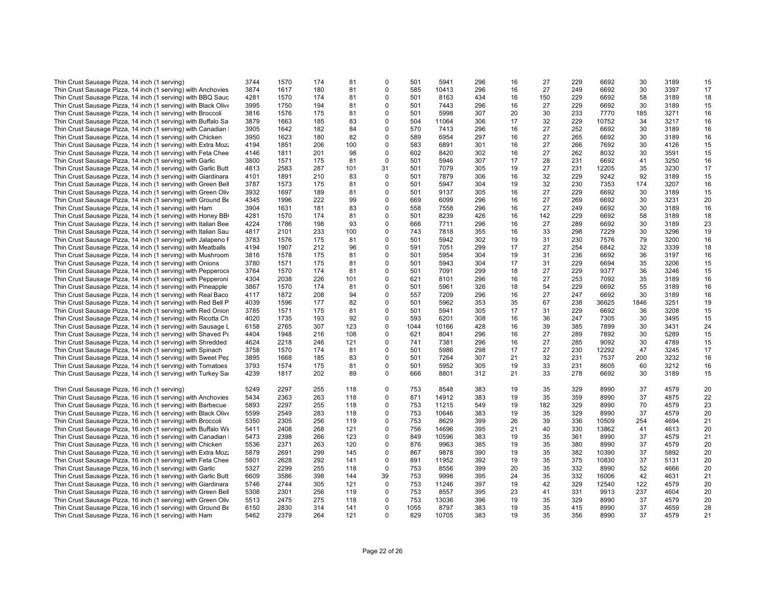| Thin Crust Sausage Pizza, 14 inch (1 serving)                  | 3744 | 1570 | 174 | 81  | 0           | 501  | 5941  | 296 | 16       | 27  | 229 | 6692  | 30   | 3189 | 15       |
|----------------------------------------------------------------|------|------|-----|-----|-------------|------|-------|-----|----------|-----|-----|-------|------|------|----------|
| Thin Crust Sausage Pizza, 14 inch (1 serving) with Anchovies   | 3874 | 1617 | 180 | 81  | $\mathbf 0$ | 585  | 10413 | 296 | 16       | 27  | 249 | 6692  | 30   | 3397 | 17       |
| Thin Crust Sausage Pizza, 14 inch (1 serving) with BBQ Sauc    | 4281 | 1570 | 174 | 81  | $\mathbf 0$ | 501  | 8163  | 434 | 16       | 150 | 229 | 6692  | 58   | 3189 | 18       |
| Thin Crust Sausage Pizza, 14 inch (1 serving) with Black Olive | 3995 | 1750 | 194 | 81  | $\mathbf 0$ | 501  | 7443  | 296 | 16       | 27  | 229 | 6692  | 30   | 3189 | 15       |
| Thin Crust Sausage Pizza, 14 inch (1 serving) with Broccoli    | 3816 | 1576 | 175 | 81  | $\mathbf 0$ | 501  | 5998  | 307 | 20       | 30  | 233 | 7770  | 185  | 3271 | 16       |
| Thin Crust Sausage Pizza, 14 inch (1 serving) with Buffalo Sa  | 3879 | 1663 | 185 | 83  | 0           | 504  | 11064 | 306 | 17       | 32  | 229 | 10752 | 34   | 3217 | 16       |
| Thin Crust Sausage Pizza, 14 inch (1 serving) with Canadian    | 3905 | 1642 | 182 | 84  | $\mathbf 0$ | 570  | 7413  | 296 | 16       | 27  | 252 | 6692  | 30   | 3189 | 16       |
| Thin Crust Sausage Pizza, 14 inch (1 serving) with Chicken     | 3950 | 1623 | 180 | 82  | $\mathbf 0$ | 589  | 6954  | 297 | 16       | 27  | 265 | 6692  | 30   | 3189 | 16       |
| Thin Crust Sausage Pizza, 14 inch (1 serving) with Extra Moz:  | 4194 | 1851 | 206 | 100 | $\mathbf 0$ | 583  | 6891  | 301 | 16       | 27  | 266 | 7692  | 30   | 4126 | 15       |
| Thin Crust Sausage Pizza, 14 inch (1 serving) with Feta Chee   | 4146 | 1811 | 201 | 98  | $\mathbf 0$ | 602  | 8420  | 302 | 16       | 27  | 262 | 8032  | 30   | 3591 | 15       |
|                                                                |      |      | 175 | 81  | $\mathbf 0$ |      | 5946  | 307 | 17       | 28  | 231 |       | 41   | 3250 |          |
| Thin Crust Sausage Pizza, 14 inch (1 serving) with Garlic      | 3800 | 1571 |     |     |             | 501  |       |     |          |     |     | 6692  |      |      | 16       |
| Thin Crust Sausage Pizza, 14 inch (1 serving) with Garlic Butt | 4813 | 2583 | 287 | 101 | 31          | 501  | 7079  | 305 | 19       | 27  | 231 | 12205 | 35   | 3230 | 17       |
| Thin Crust Sausage Pizza, 14 inch (1 serving) with Giardinara  | 4101 | 1891 | 210 | 83  | $\mathbf 0$ | 501  | 7879  | 306 | 16       | 32  | 229 | 9242  | 92   | 3189 | 15       |
| Thin Crust Sausage Pizza, 14 inch (1 serving) with Green Bell  | 3787 | 1573 | 175 | 81  | $\mathbf 0$ | 501  | 5947  | 304 | 19       | 32  | 230 | 7353  | 174  | 3207 | 16       |
| Thin Crust Sausage Pizza, 14 inch (1 serving) with Green Oliv  | 3932 | 1697 | 189 | 81  | 0           | 501  | 9137  | 305 | 16       | 27  | 229 | 6692  | 30   | 3189 | 15       |
| Thin Crust Sausage Pizza, 14 inch (1 serving) with Ground Be   | 4345 | 1996 | 222 | 99  | $\mathbf 0$ | 669  | 6099  | 296 | 16       | 27  | 269 | 6692  | 30   | 3231 | 20       |
| Thin Crust Sausage Pizza, 14 inch (1 serving) with Ham         | 3904 | 1631 | 181 | 83  | $\mathbf 0$ | 558  | 7558  | 296 | 16       | 27  | 249 | 6692  | 30   | 3189 | 16       |
| Thin Crust Sausage Pizza, 14 inch (1 serving) with Honey BB    | 4281 | 1570 | 174 | 81  | 0           | 501  | 8239  | 426 | 16       | 142 | 229 | 6692  | 58   | 3189 | 18       |
| Thin Crust Sausage Pizza, 14 inch (1 serving) with Italian Bee | 4224 | 1786 | 198 | 93  | $\mathbf 0$ | 666  | 7711  | 296 | 16       | 27  | 289 | 6692  | 30   | 3189 | 23       |
| Thin Crust Sausage Pizza, 14 inch (1 serving) with Italian Sau | 4817 | 2101 | 233 | 100 | $\mathbf 0$ | 743  | 7818  | 355 | 16       | 33  | 298 | 7229  | 30   | 3296 | 19       |
| Thin Crust Sausage Pizza, 14 inch (1 serving) with Jalapeno F  | 3783 | 1576 | 175 | 81  | $\mathbf 0$ | 501  | 5942  | 302 | 19       | 31  | 230 | 7576  | 79   | 3200 | 16       |
| Thin Crust Sausage Pizza, 14 inch (1 serving) with Meatballs   | 4194 | 1907 | 212 | 96  | $\mathbf 0$ | 591  | 7051  | 299 | 17       | 27  | 254 | 6842  | 32   | 3339 | 18       |
| Thin Crust Sausage Pizza, 14 inch (1 serving) with Mushroom    | 3816 | 1578 | 175 | 81  | $\mathbf 0$ | 501  | 5954  | 304 | 19       | 31  | 236 | 6692  | 36   | 3197 | 16       |
| Thin Crust Sausage Pizza, 14 inch (1 serving) with Onions      | 3780 | 1571 | 175 | 81  | $\mathbf 0$ | 501  | 5943  | 304 | 17       | 31  | 229 | 6694  | 35   | 3206 | 15       |
| Thin Crust Sausage Pizza, 14 inch (1 serving) with Pepperoci   | 3764 | 1570 | 174 | 81  | $\mathbf 0$ | 501  | 7091  | 299 | 18       | 27  | 229 | 9377  | 36   | 3246 | 15       |
| Thin Crust Sausage Pizza, 14 inch (1 serving) with Pepperoni   | 4304 | 2038 | 226 | 101 | $\mathbf 0$ | 621  | 8101  | 296 | 16       | 27  | 253 | 7092  | 35   | 3189 | 16       |
| Thin Crust Sausage Pizza, 14 inch (1 serving) with Pineapple   | 3867 | 1570 | 174 | 81  | 0           | 501  | 5961  | 326 | 18       | 54  | 229 | 6692  | 55   | 3189 | 16       |
| Thin Crust Sausage Pizza, 14 inch (1 serving) with Real Baco   | 4117 | 1872 | 208 | 94  | $\mathbf 0$ | 557  | 7209  | 296 | 16       | 27  | 247 | 6692  | 30   | 3189 | 16       |
| Thin Crust Sausage Pizza, 14 inch (1 serving) with Red Bell P  | 4039 | 1596 | 177 | 82  | $\mathbf 0$ | 501  | 5962  | 353 | 35       | 67  | 238 | 36625 | 1846 | 3251 | 19       |
| Thin Crust Sausage Pizza, 14 inch (1 serving) with Red Onion   | 3785 | 1571 | 175 | 81  | $\mathbf 0$ | 501  | 5941  | 305 | 17       | 31  | 229 | 6692  | 36   | 3208 | 15       |
| Thin Crust Sausage Pizza, 14 inch (1 serving) with Ricotta Ch  | 4020 | 1735 | 193 | 92  | $\mathbf 0$ | 593  | 6201  | 308 | 16       | 36  | 247 | 7305  | 30   | 3495 | 15       |
| Thin Crust Sausage Pizza, 14 inch (1 serving) with Sausage L   | 6158 | 2765 | 307 | 123 | $\mathbf 0$ | 1044 | 10166 | 428 | 16       | 39  | 385 | 7899  | 30   | 3431 | 24       |
|                                                                | 4404 | 1948 | 216 | 108 | $\mathbf 0$ | 621  | 8041  | 296 |          | 27  | 289 | 7892  | 30   | 5289 |          |
| Thin Crust Sausage Pizza, 14 inch (1 serving) with Shaved Pa   | 4624 | 2218 | 246 | 121 | $\mathbf 0$ | 741  |       | 296 | 16<br>16 | 27  | 285 | 9092  | 30   | 4789 | 15<br>15 |
| Thin Crust Sausage Pizza, 14 inch (1 serving) with Shredded    |      |      |     |     |             |      | 7381  |     |          |     |     |       | 47   |      |          |
| Thin Crust Sausage Pizza, 14 inch (1 serving) with Spinach     | 3758 | 1570 | 174 | 81  | $\mathbf 0$ | 501  | 5986  | 298 | 17       | 27  | 230 | 12292 |      | 3245 | 17       |
| Thin Crust Sausage Pizza, 14 inch (1 serving) with Sweet Per   | 3895 | 1668 | 185 | 83  | 0           | 501  | 7264  | 307 | 21       | 32  | 231 | 7537  | 200  | 3232 | 16       |
| Thin Crust Sausage Pizza, 14 inch (1 serving) with Tomatoes    | 3793 | 1574 | 175 | 81  | $\Omega$    | 501  | 5952  | 305 | 19       | 33  | 231 | 8605  | 60   | 3212 | 16       |
| Thin Crust Sausage Pizza, 14 inch (1 serving) with Turkey Sa   | 4239 | 1817 | 202 | 89  | $\mathbf 0$ | 666  | 8801  | 312 | 21       | 33  | 278 | 6692  | 30   | 3189 | 15       |
| Thin Crust Sausage Pizza, 16 inch (1 serving)                  | 5249 | 2297 | 255 | 118 | $\mathbf 0$ | 753  | 8548  | 383 | 19       | 35  | 329 | 8990  | 37   | 4579 | 20       |
| Thin Crust Sausage Pizza, 16 inch (1 serving) with Anchovies   | 5434 | 2363 | 263 | 118 | $\mathbf 0$ | 871  | 14912 | 383 | 19       | 35  | 359 | 8990  | 37   | 4875 | 22       |
| Thin Crust Sausage Pizza, 16 inch (1 serving) with Barbecue    | 5893 | 2297 | 255 | 118 | $\mathbf 0$ | 753  | 11215 | 549 | 19       | 182 | 329 | 8990  | 70   | 4579 | 23       |
| Thin Crust Sausage Pizza, 16 inch (1 serving) with Black Olive | 5599 | 2549 | 283 | 118 | 0           | 753  | 10646 | 383 | 19       | 35  | 329 | 8990  | 37   | 4579 | 20       |
| Thin Crust Sausage Pizza, 16 inch (1 serving) with Broccoli    | 5350 | 2305 | 256 | 119 | $\mathbf 0$ | 753  | 8629  | 399 | 26       | 39  | 336 | 10509 | 254  | 4694 | 21       |
| Thin Crust Sausage Pizza, 16 inch (1 serving) with Buffalo Wi  | 5411 | 2408 | 268 | 121 | $\mathbf 0$ | 756  | 14696 | 395 | 21       | 40  | 330 | 13862 | 41   | 4613 | 20       |
| Thin Crust Sausage Pizza, 16 inch (1 serving) with Canadian    | 5473 | 2398 | 266 | 123 | $\mathbf 0$ | 849  | 10596 | 383 | 19       | 35  | 361 | 8990  | 37   | 4579 | 21       |
| Thin Crust Sausage Pizza, 16 inch (1 serving) with Chicken     | 5536 | 2371 | 263 | 120 | $\mathbf 0$ | 876  | 9963  | 385 | 19       | 35  | 380 | 8990  | 37   | 4579 | 20       |
| Thin Crust Sausage Pizza, 16 inch (1 serving) with Extra Moz:  | 5879 | 2691 | 299 | 145 | 0           | 867  | 9878  | 390 | 19       | 35  | 382 | 10390 | 37   | 5892 | 20       |
| Thin Crust Sausage Pizza, 16 inch (1 serving) with Feta Chee   | 5801 | 2628 | 292 | 141 | $\mathbf 0$ | 891  | 11952 | 392 | 19       | 35  | 375 | 10830 | 37   | 5131 | 20       |
| Thin Crust Sausage Pizza, 16 inch (1 serving) with Garlic      | 5327 | 2299 | 255 | 118 | $\mathbf 0$ | 753  | 8556  | 399 | 20       | 35  | 332 | 8990  | 52   | 4666 | 20       |
| Thin Crust Sausage Pizza, 16 inch (1 serving) with Garlic Butt | 6609 | 3586 | 398 | 144 | 39          | 753  | 9998  | 395 | 24       | 35  | 332 | 16006 | 42   | 4631 | 21       |
| Thin Crust Sausage Pizza, 16 inch (1 serving) with Giardinara  | 5746 | 2744 | 305 | 121 | $\mathbf 0$ | 753  | 11246 | 397 | 19       | 42  | 329 | 12540 | 122  | 4579 | 20       |
|                                                                |      | 2301 | 256 |     | $\mathbf 0$ | 753  | 8557  |     |          |     |     |       | 237  | 4604 | 20       |
| Thin Crust Sausage Pizza, 16 inch (1 serving) with Green Bell  | 5308 |      |     | 119 |             |      |       | 395 | 23       | 41  | 331 | 9913  |      |      |          |
| Thin Crust Sausage Pizza, 16 inch (1 serving) with Green Oliv  | 5513 | 2475 | 275 | 118 | $\mathbf 0$ | 753  | 13036 | 396 | 19       | 35  | 329 | 8990  | 37   | 4579 | 20       |
| Thin Crust Sausage Pizza, 16 inch (1 serving) with Ground Be   | 6150 | 2830 | 314 | 141 | $\mathbf 0$ | 1055 | 8797  | 383 | 19       | 35  | 415 | 8990  | 37   | 4659 | 28       |
| Thin Crust Sausage Pizza, 16 inch (1 serving) with Ham         | 5462 | 2379 | 264 | 121 | $\Omega$    | 829  | 10705 | 383 | 19       | 35  | 356 | 8990  | 37   | 4579 | 21       |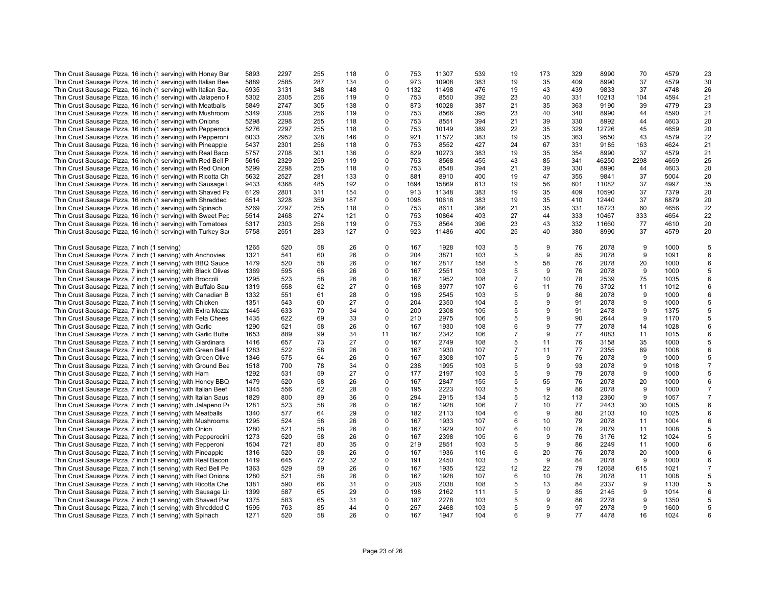| Thin Crust Sausage Pizza, 16 inch (1 serving) with Honey Bar   | 5893 | 2297 | 255 | 118 | 0           | 753  | 11307 | 539 | 19             | 173 | 329 | 8990  | 70               | 4579 | 23             |
|----------------------------------------------------------------|------|------|-----|-----|-------------|------|-------|-----|----------------|-----|-----|-------|------------------|------|----------------|
| Thin Crust Sausage Pizza, 16 inch (1 serving) with Italian Bee | 5889 | 2585 | 287 | 134 | 0           | 973  | 10908 | 383 | 19             | 35  | 409 | 8990  | 37               | 4579 | 30             |
| Thin Crust Sausage Pizza, 16 inch (1 serving) with Italian Sau | 6935 | 3131 | 348 | 148 | 0           | 1132 | 11498 | 476 | 19             | 43  | 439 | 9833  | 37               | 4748 | 26             |
|                                                                |      |      |     |     |             |      |       |     |                |     |     |       |                  |      |                |
| Thin Crust Sausage Pizza, 16 inch (1 serving) with Jalapeno F  | 5302 | 2305 | 256 | 119 | $\Omega$    | 753  | 8550  | 392 | 23             | 40  | 331 | 10213 | 104              | 4594 | 21             |
| Thin Crust Sausage Pizza, 16 inch (1 serving) with Meatballs   | 5849 | 2747 | 305 | 138 | 0           | 873  | 10028 | 387 | 21             | 35  | 363 | 9190  | 39               | 4779 | 23             |
| Thin Crust Sausage Pizza, 16 inch (1 serving) with Mushroom    | 5349 | 2308 | 256 | 119 | 0           | 753  | 8566  | 395 | 23             | 40  | 340 | 8990  | 44               | 4590 | 21             |
| Thin Crust Sausage Pizza, 16 inch (1 serving) with Onions      | 5298 | 2298 | 255 | 118 | 0           | 753  | 8551  | 394 | 21             | 39  | 330 | 8992  | 44               | 4603 | 20             |
| Thin Crust Sausage Pizza, 16 inch (1 serving) with Pepperoci   | 5276 | 2297 | 255 | 118 | 0           | 753  | 10149 | 389 | 22             | 35  | 329 | 12726 | 45               | 4659 | 20             |
| Thin Crust Sausage Pizza, 16 inch (1 serving) with Pepperoni   | 6033 | 2952 | 328 | 146 | 0           | 921  | 11572 | 383 | 19             | 35  | 363 | 9550  | 43               | 4579 | 22             |
| Thin Crust Sausage Pizza, 16 inch (1 serving) with Pineapple   | 5437 | 2301 | 256 | 118 | 0           | 753  | 8552  | 427 | 24             | 67  | 331 | 9185  | 163              | 4624 | 21             |
| Thin Crust Sausage Pizza, 16 inch (1 serving) with Real Baco   | 5757 | 2708 | 301 | 136 | 0           | 829  | 10273 | 383 | 19             | 35  | 354 | 8990  | 37               | 4579 | 21             |
| Thin Crust Sausage Pizza, 16 inch (1 serving) with Red Bell P  | 5616 | 2329 | 259 | 119 | 0           | 753  | 8568  | 455 | 43             | 85  | 341 | 46250 | 2298             | 4659 | 25             |
| Thin Crust Sausage Pizza, 16 inch (1 serving) with Red Onion   | 5299 | 2298 | 255 | 118 | 0           | 753  | 8548  | 394 | 21             | 39  | 330 | 8990  | 44               | 4603 | 20             |
| Thin Crust Sausage Pizza, 16 inch (1 serving) with Ricotta Ch  | 5632 | 2527 | 281 | 133 | 0           | 881  | 8910  | 400 | 19             | 47  | 355 | 9841  | 37               | 5004 | 20             |
| Thin Crust Sausage Pizza, 16 inch (1 serving) with Sausage L   | 9433 | 4368 | 485 | 192 | 0           | 1694 | 15869 | 613 | 19             | 56  | 601 | 11082 | 37               | 4997 | 35             |
|                                                                |      |      |     |     |             |      |       |     |                |     |     |       |                  |      |                |
| Thin Crust Sausage Pizza, 16 inch (1 serving) with Shaved Pa   | 6129 | 2801 | 311 | 154 | 0           | 913  | 11348 | 383 | 19             | 35  | 409 | 10590 | 37               | 7379 | 20             |
| Thin Crust Sausage Pizza, 16 inch (1 serving) with Shredded    | 6514 | 3228 | 359 | 187 | 0           | 1098 | 10618 | 383 | 19             | 35  | 410 | 12440 | 37               | 6879 | 20             |
| Thin Crust Sausage Pizza, 16 inch (1 serving) with Spinach     | 5269 | 2297 | 255 | 118 | $\mathbf 0$ | 753  | 8611  | 386 | 21             | 35  | 331 | 16723 | 60               | 4656 | 22             |
| Thin Crust Sausage Pizza, 16 inch (1 serving) with Sweet Per   | 5514 | 2468 | 274 | 121 | $\mathbf 0$ | 753  | 10864 | 403 | 27             | 44  | 333 | 10467 | 333              | 4654 | 22             |
| Thin Crust Sausage Pizza, 16 inch (1 serving) with Tomatoes    | 5317 | 2303 | 256 | 119 | $\mathbf 0$ | 753  | 8564  | 396 | 23             | 43  | 332 | 11660 | 77               | 4610 | 20             |
| Thin Crust Sausage Pizza, 16 inch (1 serving) with Turkey Sa   | 5758 | 2551 | 283 | 127 | 0           | 923  | 11486 | 400 | 25             | 40  | 380 | 8990  | 37               | 4579 | 20             |
|                                                                |      |      |     |     |             |      |       |     |                |     |     |       |                  |      |                |
| Thin Crust Sausage Pizza, 7 inch (1 serving)                   | 1265 | 520  | 58  | 26  | 0           | 167  | 1928  | 103 | 5              | 9   | 76  | 2078  | $\boldsymbol{9}$ | 1000 | 5              |
| Thin Crust Sausage Pizza, 7 inch (1 serving) with Anchovies    | 1321 | 541  | 60  | 26  | 0           | 204  | 3871  | 103 | 5              | 9   | 85  | 2078  | $\boldsymbol{9}$ | 1091 | 6              |
| Thin Crust Sausage Pizza, 7 inch (1 serving) with BBQ Sauce    | 1479 | 520  | 58  | 26  | 0           | 167  | 2817  | 158 | 5              | 58  | 76  | 2078  | 20               | 1000 | 6              |
| Thin Crust Sausage Pizza, 7 inch (1 serving) with Black Olives | 1369 | 595  | 66  | 26  | 0           | 167  | 2551  | 103 | 5              | 9   | 76  | 2078  | 9                | 1000 | 5              |
| Thin Crust Sausage Pizza, 7 inch (1 serving) with Broccoli     | 1295 | 523  | 58  | 26  | 0           | 167  | 1952  | 108 | $\overline{7}$ | 10  | 78  | 2539  | 75               | 1035 | 6              |
| Thin Crust Sausage Pizza, 7 inch (1 serving) with Buffalo Sau  | 1319 | 558  | 62  | 27  | 0           | 168  | 3977  | 107 | 6              | 11  | 76  | 3702  | 11               | 1012 | 6              |
| Thin Crust Sausage Pizza, 7 inch (1 serving) with Canadian B   | 1332 | 551  | 61  | 28  | 0           | 196  | 2545  | 103 | 5              | 9   | 86  | 2078  | 9                | 1000 | 6              |
|                                                                |      |      |     |     |             |      |       |     | 5              |     |     |       | 9                |      |                |
| Thin Crust Sausage Pizza, 7 inch (1 serving) with Chicken      | 1351 | 543  | 60  | 27  | 0           | 204  | 2350  | 104 |                | 9   | 91  | 2078  |                  | 1000 | 5              |
| Thin Crust Sausage Pizza, 7 inch (1 serving) with Extra Mozza  | 1445 | 633  | 70  | 34  | 0           | 200  | 2308  | 105 | 5              | 9   | 91  | 2478  | 9                | 1375 | 5              |
| Thin Crust Sausage Pizza, 7 inch (1 serving) with Feta Chees   | 1435 | 622  | 69  | 33  | 0           | 210  | 2975  | 106 | 5              | 9   | 90  | 2644  | $\boldsymbol{9}$ | 1170 | 5              |
| Thin Crust Sausage Pizza, 7 inch (1 serving) with Garlic       | 1290 | 521  | 58  | 26  | $\mathbf 0$ | 167  | 1930  | 108 | 6              | 9   | 77  | 2078  | 14               | 1028 | 6              |
| Thin Crust Sausage Pizza, 7 inch (1 serving) with Garlic Butte | 1653 | 889  | 99  | 34  | 11          | 167  | 2342  | 106 | $\overline{7}$ | 9   | 77  | 4083  | 11               | 1015 | 6              |
| Thin Crust Sausage Pizza, 7 inch (1 serving) with Giardinara   | 1416 | 657  | 73  | 27  | $\mathbf 0$ | 167  | 2749  | 108 | 5              | 11  | 76  | 3158  | 35               | 1000 | 5              |
| Thin Crust Sausage Pizza, 7 inch (1 serving) with Green Bell I | 1283 | 522  | 58  | 26  | 0           | 167  | 1930  | 107 | $\overline{7}$ | 11  | 77  | 2355  | 69               | 1008 | 6              |
| Thin Crust Sausage Pizza, 7 inch (1 serving) with Green Olive  | 1346 | 575  | 64  | 26  | $\mathbf 0$ | 167  | 3308  | 107 | 5              | 9   | 76  | 2078  | 9                | 1000 | 5              |
| Thin Crust Sausage Pizza, 7 inch (1 serving) with Ground Bee   | 1518 | 700  | 78  | 34  | 0           | 238  | 1995  | 103 | 5              | 9   | 93  | 2078  | $\boldsymbol{9}$ | 1018 | 7              |
| Thin Crust Sausage Pizza, 7 inch (1 serving) with Ham          | 1292 | 531  | 59  | 27  | 0           | 177  | 2197  | 103 | 5              | 9   | 79  | 2078  | 9                | 1000 | 5              |
| Thin Crust Sausage Pizza, 7 inch (1 serving) with Honey BBQ    | 1479 | 520  | 58  | 26  | $\Omega$    | 167  | 2847  | 155 | 5              | 55  | 76  | 2078  | 20               | 1000 | 6              |
| Thin Crust Sausage Pizza, 7 inch (1 serving) with Italian Beef | 1345 | 556  | 62  | 28  | $\mathbf 0$ | 195  | 2223  | 103 | 5              | 9   | 86  | 2078  | 9                | 1000 | $\overline{7}$ |
| Thin Crust Sausage Pizza, 7 inch (1 serving) with Italian Saus | 1829 | 800  | 89  | 36  | 0           | 294  | 2915  | 134 | 5              | 12  | 113 | 2360  | $9\,$            | 1057 | $\overline{7}$ |
| Thin Crust Sausage Pizza, 7 inch (1 serving) with Jalapeno Po  | 1281 | 523  | 58  | 26  | $\Omega$    | 167  | 1928  | 106 | $\overline{7}$ | 10  | 77  | 2443  | 30               | 1005 | 6              |
|                                                                |      |      |     |     | 0           |      |       |     | 6              |     |     |       | 10               |      | 6              |
| Thin Crust Sausage Pizza, 7 inch (1 serving) with Meatballs    | 1340 | 577  | 64  | 29  |             | 182  | 2113  | 104 |                | 9   | 80  | 2103  |                  | 1025 |                |
| Thin Crust Sausage Pizza, 7 inch (1 serving) with Mushrooms    | 1295 | 524  | 58  | 26  | 0           | 167  | 1933  | 107 | 6              | 10  | 79  | 2078  | 11               | 1004 | 6              |
| Thin Crust Sausage Pizza, 7 inch (1 serving) with Onion        | 1280 | 521  | 58  | 26  | 0           | 167  | 1929  | 107 | 6              | 10  | 76  | 2079  | 11               | 1008 | 5              |
| Thin Crust Sausage Pizza, 7 inch (1 serving) with Pepperocini  | 1273 | 520  | 58  | 26  | 0           | 167  | 2398  | 105 | 6              | 9   | 76  | 3176  | 12               | 1024 | 5              |
| Thin Crust Sausage Pizza, 7 inch (1 serving) with Pepperoni    | 1504 | 721  | 80  | 35  | 0           | 219  | 2851  | 103 | 5              | 9   | 86  | 2249  | 11               | 1000 | 6              |
| Thin Crust Sausage Pizza, 7 inch (1 serving) with Pineapple    | 1316 | 520  | 58  | 26  | $\Omega$    | 167  | 1936  | 116 | 6              | 20  | 76  | 2078  | 20               | 1000 | 6              |
| Thin Crust Sausage Pizza, 7 inch (1 serving) with Real Bacon   | 1419 | 645  | 72  | 32  | 0           | 191  | 2450  | 103 | 5              | 9   | 84  | 2078  | 9                | 1000 | 6              |
| Thin Crust Sausage Pizza, 7 inch (1 serving) with Red Bell Pe  | 1363 | 529  | 59  | 26  | 0           | 167  | 1935  | 122 | 12             | 22  | 79  | 12068 | 615              | 1021 | $\overline{7}$ |
| Thin Crust Sausage Pizza, 7 inch (1 serving) with Red Onions   | 1280 | 521  | 58  | 26  | 0           | 167  | 1928  | 107 | 6              | 10  | 76  | 2078  | 11               | 1008 | 5              |
| Thin Crust Sausage Pizza, 7 inch (1 serving) with Ricotta Che  | 1381 | 590  | 66  | 31  | 0           | 206  | 2038  | 108 | 5              | 13  | 84  | 2337  | 9                | 1130 | 5              |
| Thin Crust Sausage Pizza, 7 inch (1 serving) with Sausage Lin  | 1399 | 587  | 65  | 29  | 0           | 198  | 2162  | 111 | 5              | 9   | 85  | 2145  | $\boldsymbol{9}$ | 1014 | 6              |
| Thin Crust Sausage Pizza, 7 inch (1 serving) with Shaved Par   | 1375 | 583  | 65  | 31  | $\mathbf 0$ | 187  | 2278  | 103 | 5              | 9   | 86  | 2278  | 9                | 1350 | 5              |
| Thin Crust Sausage Pizza, 7 inch (1 serving) with Shredded C   | 1595 | 763  | 85  | 44  | $\Omega$    | 257  | 2468  | 103 | 5              | 9   | 97  | 2978  | 9                | 1600 | 5              |
|                                                                | 1271 | 520  | 58  | 26  | $\Omega$    | 167  | 1947  | 104 | 6              | 9   | 77  | 4478  | 16               | 1024 | 6              |
| Thin Crust Sausage Pizza, 7 inch (1 serving) with Spinach      |      |      |     |     |             |      |       |     |                |     |     |       |                  |      |                |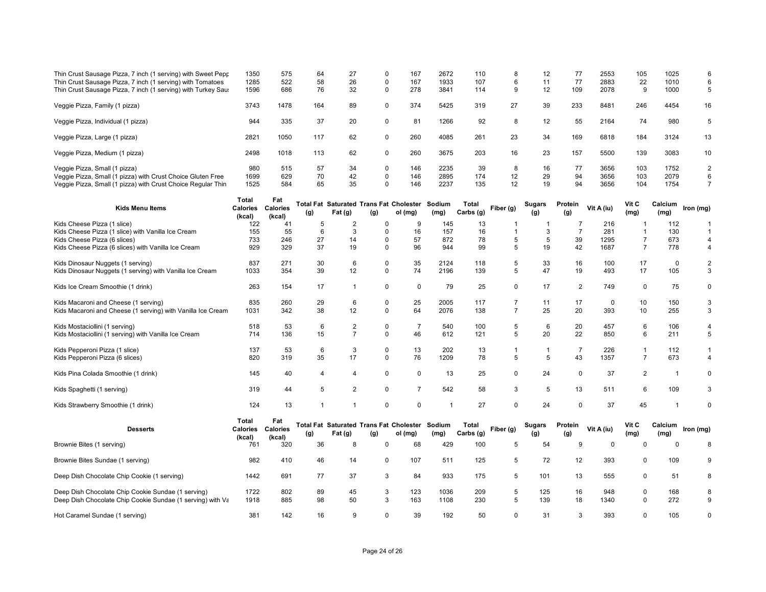| Thin Crust Sausage Pizza, 7 inch (1 serving) with Sweet Pepp                                  | 1350                     | 575             | 64             | 27             | $\Omega$                   | 167                                                       | 2672           | 110                | 8              | 12                   | 77             | 2553        | 105            | 1025                    | 6                   |
|-----------------------------------------------------------------------------------------------|--------------------------|-----------------|----------------|----------------|----------------------------|-----------------------------------------------------------|----------------|--------------------|----------------|----------------------|----------------|-------------|----------------|-------------------------|---------------------|
| Thin Crust Sausage Pizza, 7 inch (1 serving) with Tomatoes                                    | 1285                     | 522             | 58             | 26             | $\mathbf 0$                | 167                                                       | 1933           | 107                | 6              | 11                   | 77             | 2883        | 22             | 1010                    | 6                   |
| Thin Crust Sausage Pizza, 7 inch (1 serving) with Turkey Saus                                 | 1596                     | 686             | 76             | 32             | $\mathbf 0$                | 278                                                       | 3841           | 114                | 9              | 12                   | 109            | 2078        | 9              | 1000                    | 5                   |
| Veggie Pizza, Family (1 pizza)                                                                | 3743                     | 1478            | 164            | 89             | $\mathbf 0$                | 374                                                       | 5425           | 319                | 27             | 39                   | 233            | 8481        | 246            | 4454                    | 16                  |
| Veggie Pizza, Individual (1 pizza)                                                            | 944                      | 335             | 37             | 20             | $\mathbf 0$                | 81                                                        | 1266           | 92                 | 8              | 12                   | 55             | 2164        | 74             | 980                     | 5                   |
| Veggie Pizza, Large (1 pizza)                                                                 | 2821                     | 1050            | 117            | 62             | $\mathbf 0$                | 260                                                       | 4085           | 261                | 23             | 34                   | 169            | 6818        | 184            | 3124                    | 13                  |
| Veggie Pizza, Medium (1 pizza)                                                                | 2498                     | 1018            | 113            | 62             | $\mathbf 0$                | 260                                                       | 3675           | 203                | 16             | 23                   | 157            | 5500        | 139            | 3083                    | 10                  |
| Veggie Pizza, Small (1 pizza)                                                                 | 980                      | 515             | 57             | 34             | $\mathbf 0$                | 146                                                       | 2235           | 39                 | 8              | 16                   | 77             | 3656        | 103            | 1752                    | $\overline{2}$      |
| Veggie Pizza, Small (1 pizza) with Crust Choice Gluten Free                                   | 1699                     | 629             | 70             | 42             | $\mathbf 0$                | 146                                                       | 2895           | 174                | 12             | 29                   | 94             | 3656        | 103            | 2079                    | 6                   |
| Veggie Pizza, Small (1 pizza) with Crust Choice Regular Thin                                  | 1525                     | 584             | 65             | 35             | $\Omega$                   | 146                                                       | 2237           | 135                | 12             | 19                   | 94             | 3656        | 104            | 1754                    | $\overline{7}$      |
|                                                                                               | Total                    | Fat             |                |                |                            |                                                           |                |                    |                |                      |                |             | Vit C          |                         |                     |
| Kids Menu Items                                                                               | <b>Calories Calories</b> |                 | (g)            | Fat (g)        | (g)                        | <b>Total Fat Saturated Trans Fat Cholester</b><br>ol (mg) | Sodium<br>(mg) | Total<br>Carbs (g) | Fiber (g)      | <b>Sugars</b><br>(g) | Protein<br>(g) | Vit A (iu)  | (mg)           | Calcium<br>(mg)         | Iron (mg)           |
| Kids Cheese Pizza (1 slice)                                                                   | (kcal)<br>122            | (kcal)<br>41    | 5              | $\overline{2}$ | $\Omega$                   | 9                                                         | 145            | 13                 | -1             | -1                   | 7              | 216         | -1             | 112                     | $\mathbf 1$         |
| Kids Cheese Pizza (1 slice) with Vanilla Ice Cream                                            | 155                      | 55              | 6              | 3              | $\mathbf 0$                | 16                                                        | 157            | 16                 | $\mathbf{1}$   | 3                    | $\overline{7}$ | 281         | $\mathbf{1}$   | 130                     | $\mathbf 1$         |
| Kids Cheese Pizza (6 slices)                                                                  | 733                      | 246             | 27             | 14             | $\mathbf 0$                | 57                                                        | 872            | 78                 | 5              | 5                    | 39             | 1295        | $\overline{7}$ | 673                     | $\overline{4}$      |
| Kids Cheese Pizza (6 slices) with Vanilla Ice Cream                                           | 929                      | 329             | 37             | 19             | $\Omega$                   | 96                                                        | 944            | 99                 | 5              | 19                   | 42             | 1687        | $\overline{7}$ | 778                     | $\overline{4}$      |
|                                                                                               |                          |                 |                |                |                            |                                                           |                |                    |                |                      |                |             |                |                         |                     |
| Kids Dinosaur Nuggets (1 serving)<br>Kids Dinosaur Nuggets (1 serving) with Vanilla Ice Cream | 837<br>1033              | 271<br>354      | 30<br>39       | 6<br>12        | $\mathbf 0$<br>$\mathbf 0$ | 35<br>74                                                  | 2124<br>2196   | 118<br>139         | 5<br>5         | 33<br>47             | 16<br>19       | 100<br>493  | 17<br>17       | $\mathbf 0$<br>105      | $\overline{2}$<br>3 |
|                                                                                               |                          |                 |                |                |                            |                                                           |                |                    |                |                      |                |             |                |                         |                     |
| Kids Ice Cream Smoothie (1 drink)                                                             | 263                      | 154             | 17             | $\overline{1}$ | $\mathbf 0$                | $\mathbf 0$                                               | 79             | 25                 | 0              | 17                   | $\overline{c}$ | 749         | 0              | 75                      | $\pmb{0}$           |
| Kids Macaroni and Cheese (1 serving)                                                          | 835                      | 260             | 29             | 6              | $\mathbf 0$                | 25                                                        | 2005           | 117                | $\overline{7}$ | 11                   | 17             | $\mathbf 0$ | 10             | 150                     | 3                   |
| Kids Macaroni and Cheese (1 serving) with Vanilla Ice Cream                                   | 1031                     | 342             | 38             | 12             | $\mathsf 0$                | 64                                                        | 2076           | 138                | $\overline{7}$ | 25                   | 20             | 393         | 10             | 255                     | 3                   |
| Kids Mostaciollini (1 serving)                                                                | 518                      | 53              | 6              | $\overline{c}$ | $\mathbf 0$                | $\overline{7}$                                            | 540            | 100                | 5              | 6                    | 20             | 457         | 6              | 106                     | $\overline{4}$      |
| Kids Mostaciollini (1 serving) with Vanilla Ice Cream                                         | 714                      | 136             | 15             | $\overline{7}$ | $\mathbf 0$                | 46                                                        | 612            | 121                | 5              | 20                   | 22             | 850         | 6              | 211                     | 5                   |
|                                                                                               |                          |                 |                |                |                            |                                                           |                |                    |                |                      |                |             |                |                         |                     |
| Kids Pepperoni Pizza (1 slice)                                                                | 137                      | 53              | 6              | 3              | $\mathbf 0$                | 13                                                        | 202            | 13                 | $\mathbf{1}$   | $\overline{1}$       | $\overline{7}$ | 226         | $\mathbf{1}$   | 112                     | $\mathbf{1}$        |
| Kids Pepperoni Pizza (6 slices)                                                               | 820                      | 319             | 35             | 17             | $\mathbf 0$                | 76                                                        | 1209           | 78                 | 5              | 5                    | 43             | 1357        | $\overline{7}$ | 673                     | $\overline{4}$      |
| Kids Pina Colada Smoothie (1 drink)                                                           | 145                      | 40              | $\overline{4}$ | 4              | $\mathbf 0$                | 0                                                         | 13             | 25                 | 0              | 24                   | 0              | 37          | $\overline{c}$ | $\overline{1}$          | 0                   |
| Kids Spaghetti (1 serving)                                                                    | 319                      | 44              | 5              | $\mathbf{2}$   | $\mathbf 0$                | $\overline{7}$                                            | 542            | 58                 | 3              | 5                    | 13             | 511         | 6              | 109                     | 3                   |
| Kids Strawberry Smoothie (1 drink)                                                            | 124                      | 13              | $\mathbf 1$    | $\mathbf{1}$   | $\mathbf 0$                | $\pmb{0}$                                                 | $\mathbf 1$    | 27                 | 0              | 24                   | $\mathbf 0$    | 37          | 45             | $\overline{\mathbf{1}}$ | $\Omega$            |
|                                                                                               | Total                    | Fat             |                |                |                            | Total Fat Saturated Trans Fat Cholester Sodium            |                | Total              |                | Sugars               | Protein        |             | Vit C          | Calcium                 |                     |
| <b>Desserts</b>                                                                               | <b>Calories</b>          | <b>Calories</b> | (g)            | Fat (g)        | (g)                        | ol (mg)                                                   | (mg)           | Carbs (g)          | Fiber (g)      | (g)                  | (g)            | Vit A (iu)  | (mg)           | (mg)                    | Iron (mg)           |
|                                                                                               | (kcal)                   | (kcal)          |                |                | $\Omega$                   | 68                                                        |                |                    | 5              | 54                   | 9              | $\Omega$    | $\Omega$       | $\Omega$                | 8                   |
| Brownie Bites (1 serving)                                                                     | 761                      | 320             | 36             | 8              |                            |                                                           | 429            | 100                |                |                      |                |             |                |                         |                     |
| Brownie Bites Sundae (1 serving)                                                              | 982                      | 410             | 46             | 14             | $\mathbf 0$                | 107                                                       | 511            | 125                | 5              | 72                   | 12             | 393         | $\Omega$       | 109                     | 9                   |
| Deep Dish Chocolate Chip Cookie (1 serving)                                                   | 1442                     | 691             | 77             | 37             | 3                          | 84                                                        | 933            | 175                | 5              | 101                  | 13             | 555         | 0              | 51                      | 8                   |
| Deep Dish Chocolate Chip Cookie Sundae (1 serving)                                            | 1722                     | 802             | 89             | 45             | 3                          | 123                                                       | 1036           | 209                | 5              | 125                  | 16             | 948         | 0              | 168                     | 8                   |
| Deep Dish Chocolate Chip Cookie Sundae (1 serving) with Va                                    | 1918                     | 885             | 98             | 50             | 3                          | 163                                                       | 1108           | 230                | 5              | 139                  | 18             | 1340        | $\Omega$       | 272                     | 9                   |
| Hot Caramel Sundae (1 serving)                                                                | 381                      | 142             | 16             | 9              | $\Omega$                   | 39                                                        | 192            | 50                 | 0              | 31                   | 3              | 393         | $\Omega$       | 105                     | $\mathbf 0$         |
|                                                                                               |                          |                 |                |                |                            |                                                           |                |                    |                |                      |                |             |                |                         |                     |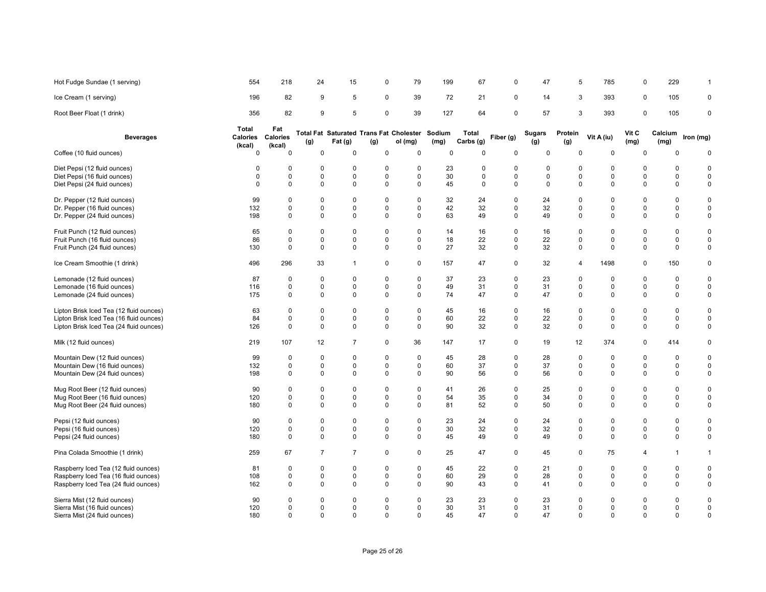| Hot Fudge Sundae (1 serving)            | 554                                | 218                       | 24             | 15                                                        | $\Omega$    | 79          | 199         | 67                 | $\mathbf 0$ | 47            | 5              | 785         | 0             | 229             | 1            |
|-----------------------------------------|------------------------------------|---------------------------|----------------|-----------------------------------------------------------|-------------|-------------|-------------|--------------------|-------------|---------------|----------------|-------------|---------------|-----------------|--------------|
| Ice Cream (1 serving)                   | 196                                | 82                        | 9              | 5                                                         | $\mathbf 0$ | 39          | 72          | 21                 | 0           | 14            | 3              | 393         | 0             | 105             | 0            |
| Root Beer Float (1 drink)               | 356                                | 82                        | 9              | 5                                                         | 0           | 39          | 127         | 64                 | $\mathsf 0$ | 57            | 3              | 393         | 0             | 105             | 0            |
| <b>Beverages</b>                        | Total<br><b>Calories</b><br>(kcal) | Fat<br>Calories<br>(kcal) | (g)            | Total Fat Saturated Trans Fat Cholester Sodium<br>Fat (g) | (g)         | ol (mg)     | (mg)        | Total<br>Carbs (g) | Fiber (g)   | Sugars<br>(g) | Protein<br>(g) | Vit A (iu)  | Vit C<br>(mg) | Calcium<br>(mg) | Iron (mg)    |
| Coffee (10 fluid ounces)                | $\mathbf 0$                        | $\mathbf 0$               | $\mathbf 0$    | $\mathbf 0$                                               | $\Omega$    | 0           | $\mathbf 0$ | $\Omega$           | 0           | $\mathbf 0$   | $\Omega$       | 0           | 0             | $\Omega$        | $\mathbf 0$  |
| Diet Pepsi (12 fluid ounces)            | $\Omega$                           | $\Omega$                  | 0              | $^{\circ}$                                                | $\Omega$    | 0           | 23          | 0                  | 0           | 0             | 0              | $\Omega$    | $\Omega$      | $\Omega$        | $\Omega$     |
| Diet Pepsi (16 fluid ounces)            | $\mathbf 0$                        | 0                         | 0              | $\mathbf 0$                                               | 0           | 0           | 30          | 0                  | 0           | 0             | 0              | $\mathbf 0$ | 0             | 0               | 0            |
| Diet Pepsi (24 fluid ounces)            | $\mathbf 0$                        | $\Omega$                  | $\mathbf 0$    | $\mathbf 0$                                               | $\Omega$    | $\mathbf 0$ | 45          | $\mathbf 0$        | $\mathbf 0$ | $\mathbf 0$   | $\Omega$       | $\Omega$    | 0             | $\mathbf 0$     | 0            |
| Dr. Pepper (12 fluid ounces)            | 99                                 | $\mathbf 0$               | 0              | $\mathbf 0$                                               | $\Omega$    | 0           | 32          | 24                 | 0           | 24            | $\mathbf 0$    | $\Omega$    | 0             | 0               | $\mathbf 0$  |
| Dr. Pepper (16 fluid ounces)            | 132                                | $\mathbf 0$               | 0              | $\mathbf 0$                                               | $\mathbf 0$ | 0           | 42          | 32                 | 0           | 32            | $\mathbf 0$    | 0           | 0             | 0               | 0            |
| Dr. Pepper (24 fluid ounces)            | 198                                | 0                         | $\mathbf 0$    | $\mathbf 0$                                               | $\mathbf 0$ | $\mathbf 0$ | 63          | 49                 | $\mathsf 0$ | 49            | $\mathbf 0$    | $\mathbf 0$ | $\mathbf 0$   | $\pmb{0}$       | 0            |
| Fruit Punch (12 fluid ounces)           | 65                                 | $\mathbf 0$               | 0              | $\mathbf 0$                                               | $\Omega$    | 0           | 14          | 16                 | $\mathsf 0$ | 16            | $\mathbf 0$    | $\mathbf 0$ | 0             | 0               | 0            |
| Fruit Punch (16 fluid ounces)           | 86                                 | $\mathbf 0$               | $\mathbf 0$    | $\mathbf 0$                                               | $\mathbf 0$ | $\mathbf 0$ | 18          | 22                 | $\mathbf 0$ | 22            | $\mathbf 0$    | $\Omega$    | $\mathbf 0$   | $\mathsf 0$     | 0            |
| Fruit Punch (24 fluid ounces)           | 130                                | $\mathbf 0$               | 0              | $\mathbf 0$                                               | $\mathbf 0$ | $\mathbf 0$ | 27          | 32                 | 0           | 32            | $\mathbf 0$    | $\Omega$    | 0             | 0               | 0            |
| Ice Cream Smoothie (1 drink)            | 496                                | 296                       | 33             | $\mathbf{1}$                                              | $\mathbf 0$ | $\mathbf 0$ | 157         | 47                 | 0           | 32            | $\overline{4}$ | 1498        | 0             | 150             | 0            |
| Lemonade (12 fluid ounces)              | 87                                 | $\Omega$                  | $\mathbf 0$    | $\mathbf 0$                                               | $\Omega$    | $\mathbf 0$ | 37          | 23                 | $\mathbf 0$ | 23            | $\mathbf 0$    | $\Omega$    | $\Omega$      | 0               | 0            |
| Lemonade (16 fluid ounces)              | 116                                | $\mathbf 0$               | 0              | $\mathbf 0$                                               | $\mathbf 0$ | 0           | 49          | 31                 | 0           | 31            | 0              | $\Omega$    | 0             | 0               | 0            |
| Lemonade (24 fluid ounces)              | 175                                | 0                         | 0              | $\mathbf 0$                                               | $\mathbf 0$ | 0           | 74          | 47                 | 0           | 47            | $\mathbf 0$    | $\mathbf 0$ | 0             | $\pmb{0}$       | 0            |
| Lipton Brisk Iced Tea (12 fluid ounces) | 63                                 | $\mathbf 0$               | $\mathbf 0$    | $\mathbf 0$                                               | $\mathbf 0$ | $\mathbf 0$ | 45          | 16                 | $\mathsf 0$ | 16            | $\mathbf 0$    | $\Omega$    | 0             | 0               | 0            |
| Lipton Brisk Iced Tea (16 fluid ounces) | 84                                 | $\Omega$                  | 0              | $\mathbf 0$                                               | $\Omega$    | $\mathbf 0$ | 60          | 22                 | 0           | 22            | $\mathbf 0$    | $\Omega$    | 0             | 0               | 0            |
| Lipton Brisk Iced Tea (24 fluid ounces) | 126                                | 0                         | $\mathbf 0$    | 0                                                         | $\mathbf 0$ | $\mathbf 0$ | 90          | 32                 | 0           | 32            | 0              | 0           | 0             | $\mathbf 0$     | 0            |
| Milk (12 fluid ounces)                  | 219                                | 107                       | 12             | $\overline{7}$                                            | $\mathbf 0$ | 36          | 147         | 17                 | $\mathbf 0$ | 19            | 12             | 374         | 0             | 414             | 0            |
| Mountain Dew (12 fluid ounces)          | 99                                 | $\mathbf 0$               | $\mathbf 0$    | $\mathbf 0$                                               | $\mathbf 0$ | 0           | 45          | 28                 | $\mathsf 0$ | 28            | $\mathbf 0$    | $\Omega$    | $\Omega$      | 0               | 0            |
| Mountain Dew (16 fluid ounces)          | 132                                | $\mathbf 0$               | 0              | $\mathbf 0$                                               | $\mathbf 0$ | 0           | 60          | 37                 | 0           | 37            | 0              | $\Omega$    | 0             | 0               | 0            |
| Mountain Dew (24 fluid ounces)          | 198                                | 0                         | 0              | 0                                                         | 0           | 0           | 90          | 56                 | 0           | 56            | 0              | 0           | 0             | 0               | 0            |
| Mug Root Beer (12 fluid ounces)         | 90                                 | $\Omega$                  | $\mathbf 0$    | $\mathbf 0$                                               | $\Omega$    | $\mathbf 0$ | 41          | 26                 | 0           | 25            | 0              | $\Omega$    | 0             | 0               | 0            |
| Mug Root Beer (16 fluid ounces)         | 120                                | $\mathbf 0$               | 0              | $\mathbf 0$                                               | $\mathbf 0$ | 0           | 54          | 35                 | 0           | 34            | $\mathbf 0$    | 0           | 0             | 0               | 0            |
| Mug Root Beer (24 fluid ounces)         | 180                                | 0                         | 0              | $\mathbf 0$                                               | $\Omega$    | $\mathbf 0$ | 81          | 52                 | 0           | 50            | $\Omega$       | $\Omega$    | 0             | 0               | 0            |
| Pepsi (12 fluid ounces)                 | 90                                 | $\mathbf 0$               | 0              | $\mathbf 0$                                               | $\Omega$    | 0           | 23          | 24                 | 0           | 24            | 0              | $\Omega$    | 0             | 0               | 0            |
| Pepsi (16 fluid ounces)                 | 120                                | $\mathbf 0$               | $\mathbf 0$    | $\mathbf 0$                                               | $\mathbf 0$ | 0           | 30          | 32                 | 0           | 32            | $\mathbf 0$    | $\Omega$    | 0             | $\pmb{0}$       | 0            |
| Pepsi (24 fluid ounces)                 | 180                                | $\mathbf 0$               | $\mathbf 0$    | $\mathbf 0$                                               | $\Omega$    | $\Omega$    | 45          | 49                 | $\mathbf 0$ | 49            | $\Omega$       | $\Omega$    | $\Omega$      | $\mathbf 0$     | 0            |
| Pina Colada Smoothie (1 drink)          | 259                                | 67                        | $\overline{7}$ | $\overline{7}$                                            | $\mathbf 0$ | 0           | 25          | 47                 | $\mathsf 0$ | 45            | $\mathbf 0$    | 75          | 4             | $\mathbf{1}$    | $\mathbf{1}$ |
| Raspberry Iced Tea (12 fluid ounces)    | 81                                 | $\mathbf 0$               | 0              | $\mathbf 0$                                               | $\Omega$    | 0           | 45          | 22                 | 0           | 21            | 0              | $\Omega$    | 0             | 0               | 0            |
| Raspberry Iced Tea (16 fluid ounces)    | 108                                | $\mathbf 0$               | 0              | $\mathbf 0$                                               | $\Omega$    | $\mathbf 0$ | 60          | 29                 | $\mathbf 0$ | 28            | $\mathbf 0$    | 0           | 0             | 0               | 0            |
| Raspberry Iced Tea (24 fluid ounces)    | 162                                | $\mathbf 0$               | $\Omega$       | $\mathbf 0$                                               | $\mathbf 0$ | $\mathbf 0$ | 90          | 43                 | 0           | 41            | $\Omega$       | 0           | 0             | $\mathbf 0$     | 0            |
| Sierra Mist (12 fluid ounces)           | 90                                 | $\Omega$                  | 0              | $\Omega$                                                  | $\Omega$    | 0           | 23          | 23                 | $\Omega$    | 23            | $\Omega$       | $\Omega$    | $\Omega$      | $\Omega$        | 0            |
| Sierra Mist (16 fluid ounces)           | 120                                | $\mathbf 0$               | $\mathbf 0$    | $\mathbf 0$                                               | $\mathbf 0$ | 0           | 30          | 31                 | 0           | 31            | $\mathbf 0$    | $\mathbf 0$ | 0             | 0               | 0            |
| Sierra Mist (24 fluid ounces)           | 180                                | $\Omega$                  | $\Omega$       | $\Omega$                                                  | $\Omega$    | $\Omega$    | 45          | 47                 | $\mathbf 0$ | 47            | $\Omega$       | $\Omega$    | $\Omega$      | $\mathbf 0$     | $\mathbf 0$  |